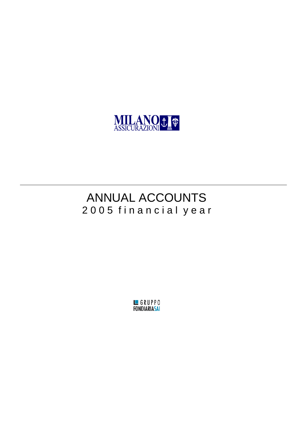

## ANNUAL ACCOUNTS 2 0 0 5 f i n a n c i a l y e a r

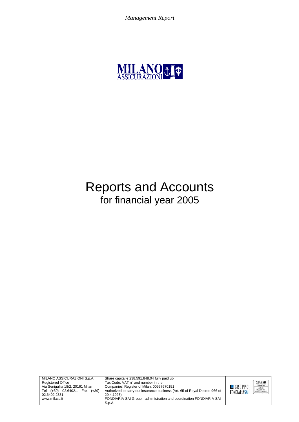

## Reports and Accounts for financial year 2005



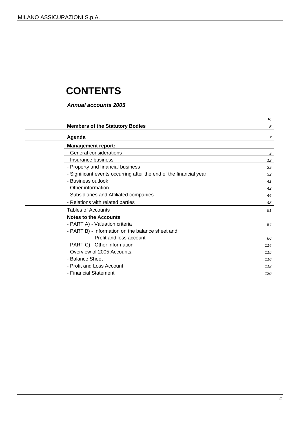## **CONTENTS**

*Annual accounts 2005* 

|                                                                    | Ρ.              |
|--------------------------------------------------------------------|-----------------|
| <b>Members of the Statutory Bodies</b>                             | 5               |
| Agenda                                                             | $\overline{7}$  |
| <b>Management report:</b>                                          |                 |
| - General considerations                                           | 9               |
| - Insurance business                                               | 12 <sup>°</sup> |
| - Property and financial business                                  | 29              |
| - Significant events occurring after the end of the financial year | 32              |
| - Business outlook                                                 | 41              |
| - Other information                                                | 42              |
| - Subsidiaries and Affiliated companies                            | 44              |
| - Relations with related parties                                   | 48              |
| <b>Tables of Accounts</b>                                          | 51              |
| <b>Notes to the Accounts</b>                                       |                 |
| - PART A) - Valuation criteria                                     | 54              |
| - PART B) - Information on the balance sheet and                   |                 |
| Profit and loss account                                            | 66              |
| - PART C) - Other information                                      | 114             |
| - Overview of 2005 Accounts:                                       | 115             |
| - Balance Sheet                                                    | 116             |
| - Profit and Loss Account                                          | 118             |
| - Financial Statement                                              | 120             |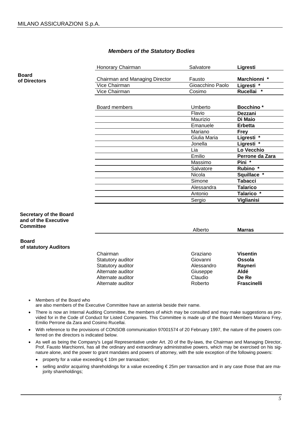#### *Members of the Statutory Bodies*

Honorary Chairman **Constructs** Salvatore **Ligresti** Chairman and Managing Director Fausto **Marchionni \***  Vice Chairman Gioacchino Paolo **Ligresti \***  Vice Chairman Cosimo **Rucellai \***  Board members **Board members Board members Board members**  Flavio **Dezzani**  Maurizio **Di Maio**  Emanuele **Erbetta**  Mariano **Frey**  Giulia Maria **Ligresti \***  Jonella **Ligresti \***  Lia **Lo Vecchio**  Emilio **Perrone da Zara**  Massimo **Pini \***  Salvatore **Rubino \***  Nicola **Squillace \***  Simone **Tabacci**  Alessandra **Talarico**  Antonio **Talarico \***  Sergio **Viglianisi** 

#### **Secretary of the Board and of the Executive Committee**

| <b>Committee</b>      |                   | Alberto    | <b>Marras</b>      |
|-----------------------|-------------------|------------|--------------------|
| <b>Board</b>          |                   |            |                    |
| of statutory Auditors |                   |            |                    |
|                       | Chairman          | Graziano   | <b>Visentin</b>    |
|                       | Statutory auditor | Giovanni   | Ossola             |
|                       | Statutory auditor | Alessandro | Rayneri            |
|                       | Alternate auditor | Giuseppe   | Aldé               |
|                       | Alternate auditor | Claudio    | De Re              |
|                       | Alternate auditor | Roberto    | <b>Frascinelli</b> |

- Members of the Board who are also members of the Executive Committee have an asterisk beside their name.
- There is now an Internal Auditing Committee, the members of which may be consulted and may make suggestions as provided for in the Code of Conduct for Listed Companies. This Committee is made up of the Board Members Mariano Frey, Emilio Perrone da Zara and Cosimo Rucellai.
- With reference to the provisions of CONSOB communication 97001574 of 20 February 1997, the nature of the powers conferred on the directors is indicated below.
- As well as being the Company's Legal Representative under Art. 20 of the By-laws, the Chairman and Managing Director, Prof. Fausto Marchionni, has all the ordinary and extraordinary administrative powers, which may be exercised on his signature alone, and the power to grant mandates and powers of attorney, with the sole exception of the following powers:
	- property for a value exceeding € 10m per transaction;
	- selling and/or acquiring shareholdings for a value exceeding € 25m per transaction and in any case those that are majority shareholdings;

**Board of Directors**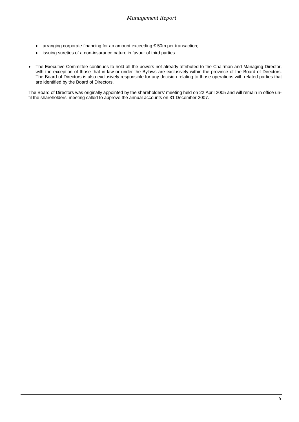- arranging corporate financing for an amount exceeding € 50m per transaction;
- issuing sureties of a non-insurance nature in favour of third parties.
- The Executive Committee continues to hold all the powers not already attributed to the Chairman and Managing Director, with the exception of those that in law or under the Bylaws are exclusively within the province of the Board of Directors. The Board of Directors is also exclusively responsible for any decision relating to those operations with related parties that are identified by the Board of Directors.

The Board of Directors was originally appointed by the shareholders' meeting held on 22 April 2005 and will remain in office until the shareholders' meeting called to approve the annual accounts on 31 December 2007.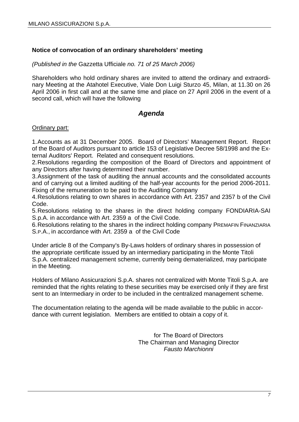## **Notice of convocation of an ordinary shareholders' meeting**

*(Published in the* Gazzetta Ufficiale *no. 71 of 25 March 2006)* 

Shareholders who hold ordinary shares are invited to attend the ordinary and extraordinary Meeting at the Atahotel Executive, Viale Don Luigi Sturzo 45, Milan, at 11.30 on 26 April 2006 in first call and at the same time and place on 27 April 2006 in the event of a second call, which will have the following

## *Agenda*

#### Ordinary part:

1. Accounts as at 31 December 2005. Board of Directors' Management Report. Report of the Board of Auditors pursuant to article 153 of Legislative Decree 58/1998 and the External Auditors' Report. Related and consequent resolutions.

2. Resolutions regarding the composition of the Board of Directors and appointment of any Directors after having determined their number.

3. Assignment of the task of auditing the annual accounts and the consolidated accounts and of carrying out a limited auditing of the half-year accounts for the period 2006-2011. Fixing of the remuneration to be paid to the Auditing Company

4. Resolutions relating to own shares in accordance with Art. 2357 and 2357 b of the Civil Code.

5. Resolutions relating to the shares in the direct holding company FONDIARIA-SAI S.p.A. in accordance with Art. 2359 a of the Civil Code.

6. Resolutions relating to the shares in the indirect holding company PREMAFIN FINANZIARIA S.P.A., in accordance with Art. 2359 a of the Civil Code

Under article 8 of the Company's By-Laws holders of ordinary shares in possession of the appropriate certificate issued by an intermediary participating in the Monte Titoli S.p.A. centralized management scheme, currently being dematerialized, may participate in the Meeting.

Holders of Milano Assicurazioni S.p.A. shares not centralized with Monte Titoli S.p.A. are reminded that the rights relating to these securities may be exercised only if they are first sent to an Intermediary in order to be included in the centralized management scheme.

The documentation relating to the agenda will be made available to the public in accordance with current legislation. Members are entitled to obtain a copy of it.

> for The Board of Directors The Chairman and Managing Director *Fausto Marchionni*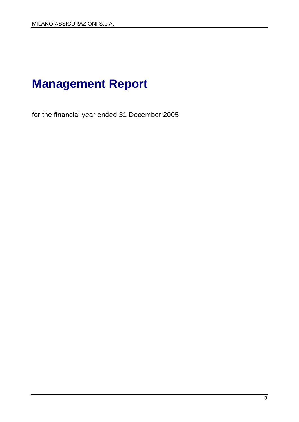## **Management Report**

for the financial year ended 31 December 2005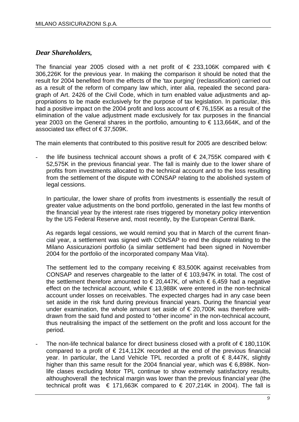## *Dear Shareholders,*

The financial year 2005 closed with a net profit of  $\epsilon$  233,106K compared with  $\epsilon$ 306,226K for the previous year. In making the comparison it should be noted that the result for 2004 benefited from the effects of the 'tax purging' (reclassification) carried out as a result of the reform of company law which, inter alia, repealed the second paragraph of Art. 2426 of the Civil Code, which in turn enabled value adjustments and appropriations to be made exclusively for the purpose of tax legislation. In particular, this had a positive impact on the 2004 profit and loss account of  $\epsilon$  76,155K as a result of the elimination of the value adjustment made exclusively for tax purposes in the financial year 2003 on the General shares in the portfolio, amounting to  $\epsilon$  113,664K, and of the associated tax effect of  $\in$  37.509K.

The main elements that contributed to this positive result for 2005 are described below:

the life business technical account shows a profit of  $\in$  24.755K compared with  $\in$ 52,575K in the previous financial year. The fall is mainly due to the lower share of profits from investments allocated to the technical account and to the loss resulting from the settlement of the dispute with CONSAP relating to the abolished system of legal cessions.

In particular, the lower share of profits from investments is essentially the result of greater value adjustments on the bond portfolio, generated in the last few months of the financial year by the interest rate rises triggered by monetary policy intervention by the US Federal Reserve and, most recently, by the European Central Bank.

As regards legal cessions, we would remind you that in March of the current financial year, a settlement was signed with CONSAP to end the dispute relating to the Milano Assicurazioni portfolio (a similar settlement had been signed in November 2004 for the portfolio of the incorporated company Maa Vita).

The settlement led to the company receiving  $\epsilon$  83,500K against receivables from CONSAP and reserves chargeable to the latter of  $\epsilon$  103,947K in total. The cost of the settlement therefore amounted to  $\epsilon$  20,447K, of which  $\epsilon$  6,459 had a negative effect on the technical account, while  $\epsilon$  13,988K were entered in the non-technical account under losses on receivables. The expected charges had in any case been set aside in the risk fund during previous financial years. During the financial year under examination, the whole amount set aside of  $\epsilon$  20,700K was therefore withdrawn from the said fund and posted to "other income" in the non-technical account, thus neutralising the impact of the settlement on the profit and loss account for the period.

The non-life technical balance for direct business closed with a profit of  $\epsilon$  180,110K compared to a profit of  $\epsilon$  214,112K recorded at the end of the previous financial year. In particular, the Land Vehicle TPL recorded a profit of  $\epsilon$  8,447K, slightly higher than this same result for the 2004 financial year, which was  $\epsilon$  6,898K. Nonlife clases excluding Motor TPL continue to show extremely satisfactory results, althoughoverall the technical margin was lower than the previous financial year (the technical profit was  $\epsilon$  171,663K compared to  $\epsilon$  207,214K in 2004). The fall is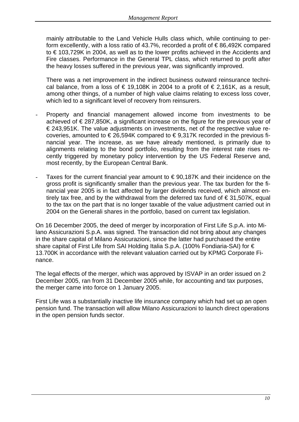mainly attributable to the Land Vehicle Hulls class which, while continuing to perform excellently, with a loss ratio of 43.7%, recorded a profit of € 86,492K compared to € 103,729K in 2004, as well as to the lower profits achieved in the Accidents and Fire classes. Performance in the General TPL class, which returned to profit after the heavy losses suffered in the previous year, was significantly improved.

There was a net improvement in the indirect business outward reinsurance technical balance, from a loss of  $\epsilon$  19,108K in 2004 to a profit of  $\epsilon$  2,161K, as a result, among other things, of a number of high value claims relating to excess loss cover, which led to a significant level of recovery from reinsurers.

- Property and financial management allowed income from investments to be achieved of  $\epsilon$  287,850K, a significant increase on the figure for the previous year of € 243,951K. The value adjustments on investments, net of the respective value recoveries, amounted to  $\in$  26,594K compared to  $\in$  9,317K recorded in the previous financial year. The increase, as we have already mentioned, is primarily due to alignments relating to the bond portfolio, resulting from the interest rate rises recently triggered by monetary policy intervention by the US Federal Reserve and, most recently, by the European Central Bank.
- Taxes for the current financial year amount to  $\epsilon$  90,187K and their incidence on the gross profit is significantly smaller than the previous year. The tax burden for the financial year 2005 is in fact affected by larger dividends received, which almost entirely tax free, and by the withdrawal from the deferred tax fund of  $\epsilon$  31,507K, equal to the tax on the part that is no longer taxable of the value adjustment carried out in 2004 on the Generali shares in the portfolio, based on current tax legislation.

On 16 December 2005, the deed of merger by incorporation of First Life S.p.A. into Milano Assicurazioni S.p.A. was signed. The transaction did not bring about any changes in the share capital of Milano Assicurazioni, since the latter had purchased the entire share capital of First Life from SAI Holding Italia S.p.A. (100% Fondiaria-SAI) for € 13.700K in accordance with the relevant valuation carried out by KPMG Corporate Finance.

The legal effects of the merger, which was approved by ISVAP in an order issued on 2 December 2005, ran from 31 December 2005 while, for accounting and tax purposes, the merger came into force on 1 January 2005.

First Life was a substantially inactive life insurance company which had set up an open pension fund. The transaction will allow Milano Assicurazioni to launch direct operations in the open pension funds sector.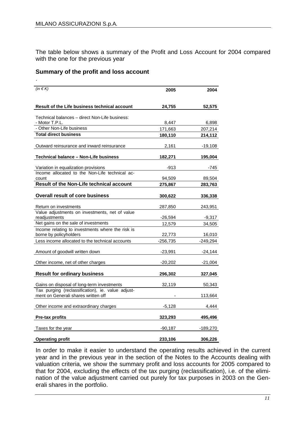The table below shows a summary of the Profit and Loss Account for 2004 compared with the one for the previous year

#### **Summary of the profit and loss account**

| (in $\notin K$ )                                                                         | 2005       | 2004       |
|------------------------------------------------------------------------------------------|------------|------------|
| Result of the Life business technical account                                            | 24,755     | 52,575     |
| Technical balances - direct Non-Life business:<br>- Motor T.P.L.                         | 8,447      | 6,898      |
| - Other Non-Life business                                                                | 171,663    | 207,214    |
| <b>Total direct business</b>                                                             | 180,110    | 214,112    |
| Outward reinsurance and inward reinsurance                                               | 2,161      | -19,108    |
| Technical balance - Non-Life business                                                    | 182,271    | 195,004    |
| Variation in equalization provisions                                                     | -913       | -745       |
| Income allocated to the Non-Life technical ac-<br>count                                  | 94,509     | 89,504     |
| <b>Result of the Non-Life technical account</b>                                          | 275,867    | 283,763    |
| <b>Overall result of core business</b>                                                   | 300,622    | 336,338    |
| Return on investments                                                                    | 287,850    | 243,951    |
| Value adjustments on investments, net of value<br>readjustments                          | $-26,594$  | $-9,317$   |
| Net gains on the sale of investments                                                     | 12,579     | 34,505     |
| Income relating to investments where the risk is<br>borne by policyholders               | 22,773     | 16,010     |
| Less income allocated to the technical accounts                                          | $-256,735$ | $-249,294$ |
| Amount of goodwill written down                                                          | $-23,991$  | -24,144    |
| Other income, net of other charges                                                       | $-20,202$  | $-21,004$  |
| <b>Result for ordinary business</b>                                                      | 296,302    | 327,045    |
| Gains on disposal of long-term investments                                               | 32,119     | 50,343     |
| Tax purging (reclassification), ie. value adjust-<br>ment on Generali shares written off |            | 113,664    |
| Other income and extraordinary charges                                                   | $-5,128$   | 4,444      |
| <b>Pre-tax profits</b>                                                                   | 323,293    | 495,496    |
| Taxes for the year                                                                       | $-90,187$  | -189,270   |
| <b>Operating profit</b>                                                                  | 233,106    | 306,226    |

In order to make it easier to understand the operating results achieved in the current year and in the previous year in the section of the Notes to the Accounts dealing with valuation criteria, we show the summary profit and loss accounts for 2005 compared to that for 2004, excluding the effects of the tax purging (reclassification), i.e. of the elimination of the value adjustment carried out purely for tax purposes in 2003 on the Generali shares in the portfolio.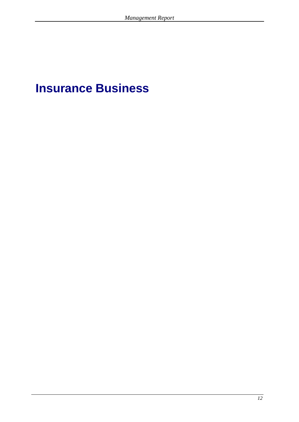## **Insurance Business**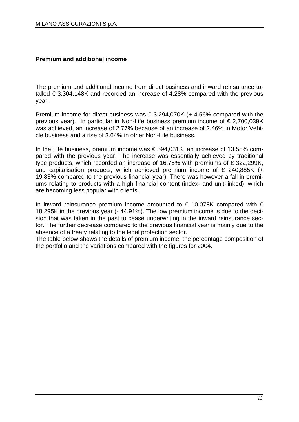## **Premium and additional income**

The premium and additional income from direct business and inward reinsurance totalled  $\epsilon$  3,304,148K and recorded an increase of 4.28% compared with the previous year.

Premium income for direct business was  $\epsilon$  3,294,070K (+ 4.56% compared with the previous year). In particular in Non-Life business premium income of  $\epsilon$  2,700,039K was achieved, an increase of 2.77% because of an increase of 2.46% in Motor Vehicle business and a rise of 3.64% in other Non-Life business.

In the Life business, premium income was €594,031K, an increase of 13.55% compared with the previous year. The increase was essentially achieved by traditional type products, which recorded an increase of 16.75% with premiums of € 322,299K, and capitalisation products, which achieved premium income of  $\epsilon$  240,885K (+ 19.83% compared to the previous financial year). There was however a fall in premiums relating to products with a high financial content (index- and unit-linked), which are becoming less popular with clients.

In inward reinsurance premium income amounted to  $\epsilon$  10,078K compared with  $\epsilon$ 18,295K in the previous year (- 44.91%). The low premium income is due to the decision that was taken in the past to cease underwriting in the inward reinsurance sector. The further decrease compared to the previous financial year is mainly due to the absence of a treaty relating to the legal protection sector.

The table below shows the details of premium income, the percentage composition of the portfolio and the variations compared with the figures for 2004.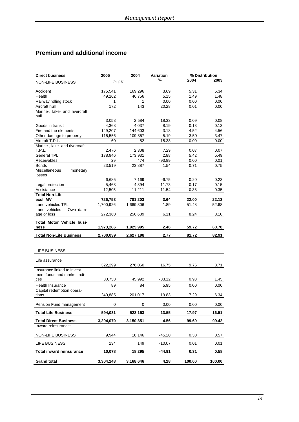## **Premium and additional income**

| <b>Direct business</b>                                     | 2005          | 2004      | Variation |        | % Distribution |
|------------------------------------------------------------|---------------|-----------|-----------|--------|----------------|
| <b>NON-LIFE BUSINESS</b>                                   | In $\notin K$ |           | %         | 2004   | 2003           |
| Accident                                                   | 175,541       | 169,296   | 3.69      | 5.31   | 5.34           |
| Health                                                     | 49,162        | 46,756    | 5.15      | 1.49   | 1.48           |
| Railway rolling stock                                      | 1             | 1         | 0.00      | 0.00   | $0.00\,$       |
| Aircraft hull                                              | 172           | 143       | 20.28     | 0.01   | 0.00           |
| Marine-, lake- and rivercraft<br>hull                      |               |           |           |        |                |
|                                                            | 3,058         | 2,584     | 18.33     | 0.09   | 0.08           |
| Goods in transit                                           | 4.368         | 4,037     | 8.19      | 0.13   | 0.13           |
| Fire and the elements                                      | 149,207       | 144,603   | 3.18      | 4.52   | 4.56           |
| Other damage to property                                   | 115.556       | 109,857   | 5.19      | 3.50   | 3.47           |
| Aircraft T.P.L.                                            | 60            | 52        | 15.38     | 0.00   | $0.00\,$       |
| Marine-, lake- and rivercraft                              |               |           |           |        |                |
| T.P.L.                                                     | 2,476         | 2,308     | 7.29      | 0.07   | 0.07           |
| <b>General TPL</b>                                         | 178,946       | 173,931   | 2.88      | 5.42   | 5.49           |
| Receivables                                                | 29            | 474       | $-93.89$  | 0.00   | 0.01           |
| <b>Bonds</b>                                               | 23,519        | 23,887    | 1.54      | 0.71   | 0.75           |
| Miscellaneous<br>monetary<br>losses                        |               |           |           |        |                |
|                                                            | 6,685         | 7.169     | $-6.75$   | 0.20   | 0.23           |
| Legal protection                                           | 5,468         | 4,894     | 11.73     | 0.17   | 0.15           |
| Assistance                                                 | 12,505        | 11,211    | 11.54     | 0.38   | 0.35           |
| <b>Total Non-Life</b>                                      |               |           |           |        |                |
| excl. MV                                                   | 726,753       | 701,203   | 3.64      | 22.00  | 22.13          |
| Land vehicles TPL                                          | 1,700,926     | 1,669,306 | 1.89      | 51.48  | 52.68          |
| Land vehicles - Own dam-                                   |               |           |           |        |                |
| age or loss                                                | 272,360       | 256,689   | 6.11      | 8.24   | 8.10           |
| <b>Total Motor Vehicle busi-</b><br>ness                   | 1,973,286     | 1,925,995 | 2.46      | 59.72  | 60.78          |
| <b>Total Non-Life Business</b>                             | 2,700,039     | 2,627,198 | 2.77      | 81.72  | 82.91          |
|                                                            |               |           |           |        |                |
| LIFE BUSINESS                                              |               |           |           |        |                |
|                                                            |               |           |           |        |                |
| Life assurance                                             |               |           |           |        |                |
|                                                            | 322,299       | 276,060   | 16.75     | 9.75   | 8.71           |
| Insurance linked to invest-<br>ment funds and market indi- |               |           |           |        |                |
| ces                                                        | 30,758        | 45,992    | -33.12    | 0.93   | 1.45           |
| Health Insurance                                           | 89            | 84        | 5.95      | 0.00   | 0.00           |
| Capital redemption opera-                                  |               |           |           |        |                |
| tions                                                      | 240,885       | 201.017   | 19.83     | 7.29   | 6.34           |
| Pension Fund management                                    | 0             | 0         | 0.00      | 0.00   | 0.00           |
| <b>Total Life Business</b>                                 | 594,031       | 523.153   | 13.55     | 17.97  | 16.51          |
| <b>Total Direct Business</b>                               | 3,294,070     | 3,150,351 | 4.56      | 99.69  | 99.42          |
| Inward reinsurance:                                        |               |           |           |        |                |
| NON-LIFE BUSINESS                                          | 9,944         | 18,146    | $-45.20$  | 0.30   | 0.57           |
|                                                            |               |           |           |        |                |
| LIFE BUSINESS                                              | 134           | 149       | $-10.07$  | 0.01   | 0.01           |
| <b>Total inward reinsurance</b>                            | 10,078        | 18,295    | -44.91    | 0.31   | 0.58           |
| <b>Grand total</b>                                         | 3,304,148     | 3,168,646 | 4.28      | 100.00 | 100.00         |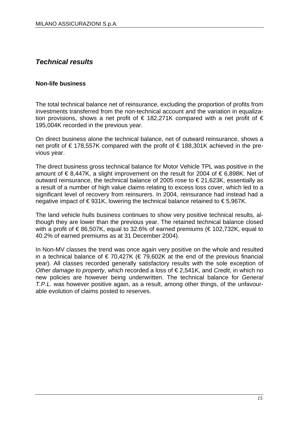## *Technical results*

## **Non-life business**

The total technical balance net of reinsurance, excluding the proportion of profits from investments transferred from the non-technical account and the variation in equalization provisions, shows a net profit of  $\epsilon$  182,271K compared with a net profit of  $\epsilon$ 195,004K recorded in the previous year.

On direct business alone the technical balance, net of outward reinsurance, shows a net profit of € 178,557K compared with the profit of € 188,301K achieved in the previous year.

The direct business gross technical balance for Motor Vehicle TPL was positive in the amount of  $\epsilon$ 8,447K, a slight improvement on the result for 2004 of  $\epsilon$ 6,898K. Net of outward reinsurance, the technical balance of 2005 rose to € 21,623K, essentially as a result of a number of high value claims relating to excess loss cover, which led to a significant level of recovery from reinsurers. In 2004, reinsurance had instead had a negative impact of €931K, lowering the technical balance retained to €5,967K.

The land vehicle hulls business continues to show very positive technical results, although they are lower than the previous year. The retained technical balance closed with a profit of  $\epsilon$  86,507K, equal to 32.6% of earned premiums ( $\epsilon$  102,732K, equal to 40.2% of earned premiums as at 31 December 2004).

In Non-MV classes the trend was once again very positive on the whole and resulted in a technical balance of  $\epsilon$  70,427K ( $\epsilon$  79,602K at the end of the previous financial year). All classes recorded generally satisfactory results with the sole exception of *Other damage to property*, which recorded a loss of € 2,541K, and *Credit*, in which no new policies are however being underwritten. The technical balance for *General T.P.L.* was however positive again, as a result, among other things, of the unfavourable evolution of claims posted to reserves.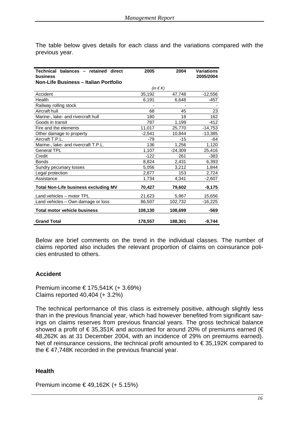The table below gives details for each class and the variations compared with the previous year.

| Technical balances - retained direct<br>business<br>Non-Life Business - Italian Portfolio | 2005             | 2004      | <b>Variations</b><br>2005/2004 |
|-------------------------------------------------------------------------------------------|------------------|-----------|--------------------------------|
|                                                                                           | (in $\notin K$ ) |           |                                |
| Accident                                                                                  | 35,192           | 47,748    | $-12,556$                      |
| Health                                                                                    | 6,191            | 6,648     | $-457$                         |
| Railway rolling stock                                                                     |                  |           |                                |
| Aircraft hull                                                                             | 68               | 45        | 23                             |
| Marine-, lake- and rivercraft hull                                                        | 180              | 18        | 162                            |
| Goods in transit                                                                          | 787              | 1,199     | $-412$                         |
| Fire and the elements                                                                     | 11,017           | 25,770    | $-14,753$                      |
| Other damage to property                                                                  | $-2,541$         | 10,844    | $-13,385$                      |
| Aircraft T.P.L.                                                                           | -79              | -15       | -64                            |
| Marine-, lake- and rivercraft T.P.L.                                                      | 136              | 1,256     | 1,120                          |
| <b>General TPL</b>                                                                        | 1,107            | $-24,309$ | 25,416                         |
| Credit                                                                                    | $-122$           | 261       | $-383$                         |
| <b>Bonds</b>                                                                              | 8,824            | 2,431     | 6,393                          |
| Sundry pecuniary losses                                                                   | 5,056            | 3,212     | 1,844                          |
| Legal protection                                                                          | 2,877            | 153       | 2,724                          |
| Assistance                                                                                | 1,734            | 4,341     | $-2,607$                       |
| <b>Total Non-Life business excluding MV</b>                                               | 70,427           | 79,602    | $-9,175$                       |
|                                                                                           |                  |           |                                |
| Land vehicles - motor TPL                                                                 | 21,623           | 5,967     | 15,656                         |
| Land vehicles - Own damage or loss                                                        | 86,507           | 102,732   | $-16,225$                      |
| <b>Total motor vehicle business</b>                                                       | 108,130          | 108,699   | -569                           |
| <b>Grand Total</b>                                                                        | 178,557          | 188,301   | $-9,744$                       |

Below are brief comments on the trend in the individual classes. The number of claims reported also includes the relevant proportion of claims on coinsurance policies entrusted to others.

## **Accident**

Premium income € 175,541K (+ 3.69%) Claims reported 40,404 (+ 3.2%)

The technical performance of this class is extremely positive, although slightly less than in the previous financial year, which had however benefited from significant savings on claims reserves from previous financial years. The gross technical balance showed a profit of  $\epsilon$  35,351K and accounted for around 20% of premiums earned ( $\epsilon$ 48,262K as at 31 December 2004, with an incidence of 29% on premiums earned). Net of reinsurance cessions, the technical profit amounted to  $\epsilon$  35,192K compared to the  $\epsilon$ 47,748K recorded in the previous financial year.

#### **Health**

Premium income € 49,162K (+ 5.15%)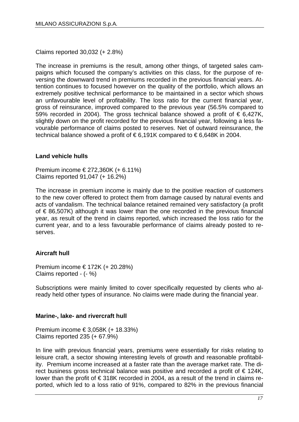Claims reported 30,032 (+ 2.8%)

The increase in premiums is the result, among other things, of targeted sales campaigns which focused the company's activities on this class, for the purpose of reversing the downward trend in premiums recorded in the previous financial years. Attention continues to focused however on the quality of the portfolio, which allows an extremely positive technical performance to be maintained in a sector which shows an unfavourable level of profitability. The loss ratio for the current financial year, gross of reinsurance, improved compared to the previous year (56.5% compared to 59% recorded in 2004). The gross technical balance showed a profit of  $\epsilon$  6,427K, slightly down on the profit recorded for the previous financial year, following a less favourable performance of claims posted to reserves. Net of outward reinsurance, the technical balance showed a profit of € 6,191K compared to € 6,648K in 2004.

## **Land vehicle hulls**

Premium income € 272,360K (+ 6.11%) Claims reported 91,047 (+ 16.2%)

The increase in premium income is mainly due to the positive reaction of customers to the new cover offered to protect them from damage caused by natural events and acts of vandalism. The technical balance retained remained very satisfactory (a profit of € 86,507K) although it was lower than the one recorded in the previous financial year, as result of the trend in claims reported, which increased the loss ratio for the current year, and to a less favourable performance of claims already posted to reserves.

## **Aircraft hull**

Premium income € 172K (+ 20.28%) Claims reported - (- %)

Subscriptions were mainly limited to cover specifically requested by clients who already held other types of insurance. No claims were made during the financial year.

## **Marine-, lake- and rivercraft hull**

Premium income € 3,058K (+ 18.33%) Claims reported 235 (+ 67.9%)

In line with previous financial years, premiums were essentially for risks relating to leisure craft, a sector showing interesting levels of growth and reasonable profitability. Premium income increased at a faster rate than the average market rate. The direct business gross technical balance was positive and recorded a profit of € 124K, lower than the profit of € 318K recorded in 2004, as a result of the trend in claims reported, which led to a loss ratio of 91%, compared to 82% in the previous financial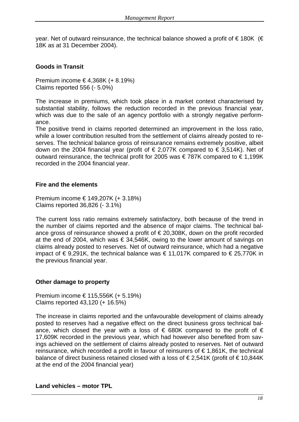year. Net of outward reinsurance, the technical balance showed a profit of  $\epsilon$  180K ( $\epsilon$ 18K as at 31 December 2004).

## **Goods in Transit**

Premium income € 4,368K (+ 8.19%) Claims reported 556 (- 5.0%)

The increase in premiums, which took place in a market context characterised by substantial stability, follows the reduction recorded in the previous financial year, which was due to the sale of an agency portfolio with a strongly negative performance.

The positive trend in claims reported determined an improvement in the loss ratio, while a lower contribution resulted from the settlement of claims already posted to reserves. The technical balance gross of reinsurance remains extremely positive, albeit down on the 2004 financial year (profit of  $\epsilon$  2,077K compared to  $\epsilon$  3,514K). Net of outward reinsurance, the technical profit for 2005 was €787K compared to €1,199K recorded in the 2004 financial year.

## **Fire and the elements**

Premium income € 149,207K (+ 3.18%) Claims reported 36,826 (- 3.1%)

The current loss ratio remains extremely satisfactory, both because of the trend in the number of claims reported and the absence of major claims. The technical balance gross of reinsurance showed a profit of € 20,308K, down on the profit recorded at the end of 2004, which was  $\epsilon$  34,546K, owing to the lower amount of savings on claims already posted to reserves. Net of outward reinsurance, which had a negative impact of €9,291K, the technical balance was  $\epsilon$  11,017K compared to  $\epsilon$  25,770K in the previous financial year.

## **Other damage to property**

Premium income € 115,556K (+ 5.19%) Claims reported 43,120 (+ 16.5%)

The increase in claims reported and the unfavourable development of claims already posted to reserves had a negative effect on the direct business gross technical balance, which closed the year with a loss of  $\epsilon$  680K compared to the profit of  $\epsilon$ 17,609K recorded in the previous year, which had however also benefited from savings achieved on the settlement of claims already posted to reserves. Net of outward reinsurance, which recorded a profit in favour of reinsurers of  $\epsilon$  1,861K, the technical balance of direct business retained closed with a loss of € 2,541K (profit of € 10,844K at the end of the 2004 financial year)

#### **Land vehicles – motor TPL**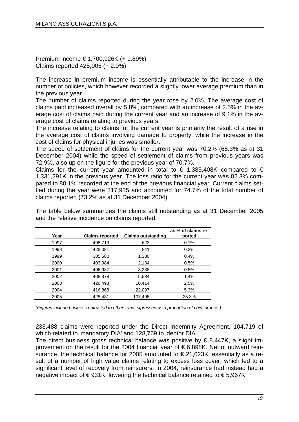Premium income € 1,700,926K (+ 1.89%) Claims reported 425,005 (+ 2.0%)

The increase in premium income is essentially attributable to the increase in the number of policies, which however recorded a slightly lower average premium than in the previous year.

The number of claims reported during the year rose by 2.0%. The average cost of claims paid increased overall by 5.8%, compared with an increase of 2.5% in the average cost of claims paid during the current year and an increase of 9.1% in the average cost of claims relating to previous years.

The increase relating to claims for the current year is primarily the result of a rise in the average cost of claims involving damage to property, while the increase in the cost of claims for physical injuries was smaller.

The speed of settlement of claims for the current year was 70.2% (68.3% as at 31 December 2004) while the speed of settlement of claims from previous years was 72.9%, also up on the figure for the previous year of 70.7%.

Claims for the current year amounted in total to  $\epsilon$  1,385,408K compared to  $\epsilon$ 1,331,291K in the previous year. The loss ratio for the current year was 82.3% compared to 80.1% recorded at the end of the previous financial year. Current claims settled during the year were 317,935 and accounted for 74.7% of the total number of claims reported (73.2% as at 31 December 2004).

| Year | <b>Claims reported</b> | <b>Claims outstanding</b> | as % of claims re-<br>ported |
|------|------------------------|---------------------------|------------------------------|
| 1997 | 498.713                | 623                       | 0.1%                         |
| 1998 | 428,081                | 841                       | 0.2%                         |
| 1999 | 385,580                | 1,380                     | 0.4%                         |
| 2000 | 403,984                | 2,134                     | 0.5%                         |
| 2001 | 406,937                | 3,238                     | 0.8%                         |
| 2002 | 408.878                | 5.584                     | 1.4%                         |
| 2003 | 420.498                | 10.414                    | 2.5%                         |
| 2004 | 416,868                | 22,097                    | 5.3%                         |
| 2005 | 425.431                | 107,496                   | 25.3%                        |
|      |                        |                           |                              |

The table below summarizes the claims still outstanding as at 31 December 2005 and the relative incidence on claims reported:

*(Figures include business entrusted to others and expressed as a proportion of coinsurance.)*

233,488 claims were reported under the Direct Indemnity Agreement, 104,719 of which related to 'mandatory DIA' and 128,769 to 'debtor DIA'.

The direct business gross technical balance was positive by  $\epsilon$  8,447K, a slight improvement on the result for the 2004 financial year of € 6,898K. Net of outward reinsurance, the technical balance for 2005 amounted to  $\epsilon$  21,623K, essentially as a result of a number of high value claims relating to excess loss cover, which led to a significant level of recovery from reinsurers. In 2004, reinsurance had instead had a negative impact of  $\epsilon$ 931K, lowering the technical balance retained to  $\epsilon$ 5,967K.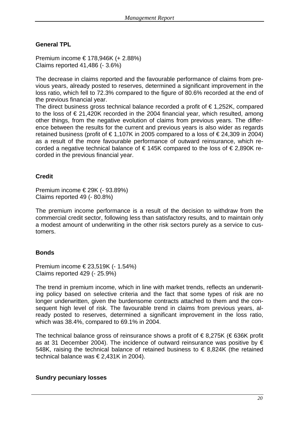## **General TPL**

Premium income € 178,946K (+ 2.88%) Claims reported 41,486 (- 3.6%)

The decrease in claims reported and the favourable performance of claims from previous years, already posted to reserves, determined a significant improvement in the loss ratio, which fell to 72.3% compared to the figure of 80.6% recorded at the end of the previous financial year.

The direct business gross technical balance recorded a profit of  $\epsilon$  1,252K, compared to the loss of  $\epsilon$  21,420K recorded in the 2004 financial year, which resulted, among other things, from the negative evolution of claims from previous years. The difference between the results for the current and previous years is also wider as regards retained business (profit of  $\in 1,107K$  in 2005 compared to a loss of  $\in 24,309$  in 2004) as a result of the more favourable performance of outward reinsurance, which recorded a negative technical balance of  $\epsilon$  145K compared to the loss of  $\epsilon$  2,890K recorded in the previous financial year.

## **Credit**

Premium income € 29K (- 93.89%) Claims reported 49 (- 80.8%)

The premium income performance is a result of the decision to withdraw from the commercial credit sector, following less than satisfactory results, and to maintain only a modest amount of underwriting in the other risk sectors purely as a service to customers.

## **Bonds**

Premium income € 23,519K (- 1.54%) Claims reported 429 (- 25.9%)

The trend in premium income, which in line with market trends, reflects an underwriting policy based on selective criteria and the fact that some types of risk are no longer underwritten, given the burdensome contracts attached to them and the consequent high level of risk. The favourable trend in claims from previous years, already posted to reserves, determined a significant improvement in the loss ratio, which was 38.4%, compared to 69.1% in 2004.

The technical balance gross of reinsurance shows a profit of  $\epsilon$  8,275K ( $\epsilon$  636K profit as at 31 December 2004). The incidence of outward reinsurance was positive by  $\epsilon$ 548K, raising the technical balance of retained business to  $\epsilon$  8,824K (the retained technical balance was € 2,431K in 2004).

#### **Sundry pecuniary losses**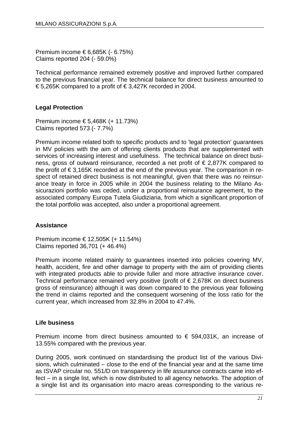Premium income € 6,685K (- 6.75%) Claims reported 204 (- 59.0%)

Technical performance remained extremely positive and improved further compared to the previous financial year. The technical balance for direct business amounted to € 5,265K compared to a profit of € 3,427K recorded in 2004.

## **Legal Protection**

Premium income € 5,468K (+ 11.73%) Claims reported 573 (- 7.7%)

Premium income related both to specific products and to 'legal protection' guarantees in MV policies with the aim of offering clients products that are supplemented with services of increasing interest and usefulness. The technical balance on direct business, gross of outward reinsurance, recorded a net profit of € 2,877K compared to the profit of € 3,165K recorded at the end of the previous year. The comparison in respect of retained direct business is not meaningful, given that there was no reinsurance treaty in force in 2005 while in 2004 the business relating to the Milano Assicurazioni portfolio was ceded, under a proportional reinsurance agreement, to the associated company Europa Tutela Giudiziaria, from which a significant proportion of the total portfolio was accepted, also under a proportional agreement.

## **Assistance**

Premium income € 12,505K (+ 11.54%) Claims reported 36,701 (+ 46.4%)

Premium income related mainly to guarantees inserted into policies covering MV, health, accident, fire and other damage to property with the aim of providing clients with integrated products able to provide fuller and more attractive insurance cover. Technical performance remained very positive (profit of  $\epsilon$  2,678K on direct business gross of reinsurance) although it was down compared to the previous year following the trend in claims reported and the consequent worsening of the loss ratio for the current year, which increased from 32.8% in 2004 to 47.4%.

## **Life business**

Premium income from direct business amounted to  $\epsilon$  594,031K, an increase of 13.55% compared with the previous year.

During 2005, work continued on standardising the product list of the various Divisions, which culminated – close to the end of the financial year and at the same time as ISVAP circular no. 551/D on transparency in life assurance contracts came into effect – in a single list, which is now distributed to all agency networks. The adoption of a single list and its organisation into macro areas corresponding to the various re-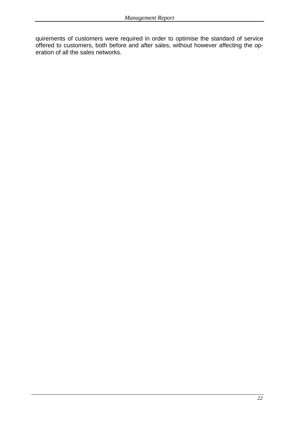quirements of customers were required in order to optimise the standard of service offered to customers, both before and after sales, without however affecting the operation of all the sales networks.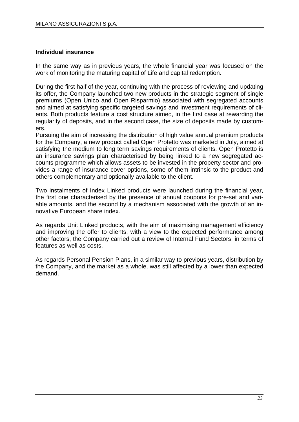## **Individual insurance**

In the same way as in previous years, the whole financial year was focused on the work of monitoring the maturing capital of Life and capital redemption.

During the first half of the year, continuing with the process of reviewing and updating its offer, the Company launched two new products in the strategic segment of single premiums (Open Unico and Open Risparmio) associated with segregated accounts and aimed at satisfying specific targeted savings and investment requirements of clients. Both products feature a cost structure aimed, in the first case at rewarding the regularity of deposits, and in the second case, the size of deposits made by customers.

Pursuing the aim of increasing the distribution of high value annual premium products for the Company, a new product called Open Protetto was marketed in July, aimed at satisfying the medium to long term savings requirements of clients. Open Protetto is an insurance savings plan characterised by being linked to a new segregated accounts programme which allows assets to be invested in the property sector and provides a range of insurance cover options, some of them intrinsic to the product and others complementary and optionally available to the client.

Two instalments of Index Linked products were launched during the financial year, the first one characterised by the presence of annual coupons for pre-set and variable amounts, and the second by a mechanism associated with the growth of an innovative European share index.

As regards Unit Linked products, with the aim of maximising management efficiency and improving the offer to clients, with a view to the expected performance among other factors, the Company carried out a review of Internal Fund Sectors, in terms of features as well as costs.

As regards Personal Pension Plans, in a similar way to previous years, distribution by the Company, and the market as a whole, was still affected by a lower than expected demand.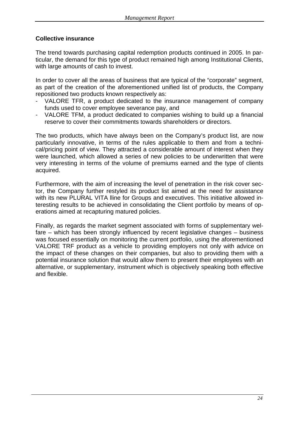## **Collective insurance**

The trend towards purchasing capital redemption products continued in 2005. In particular, the demand for this type of product remained high among Institutional Clients, with large amounts of cash to invest.

In order to cover all the areas of business that are typical of the "corporate" segment, as part of the creation of the aforementioned unified list of products, the Company repositioned two products known respectively as:

- VALORE TFR, a product dedicated to the insurance management of company funds used to cover employee severance pay, and
- VALORE TFM, a product dedicated to companies wishing to build up a financial reserve to cover their commitments towards shareholders or directors.

The two products, which have always been on the Company's product list, are now particularly innovative, in terms of the rules applicable to them and from a technical/pricing point of view. They attracted a considerable amount of interest when they were launched, which allowed a series of new policies to be underwritten that were very interesting in terms of the volume of premiums earned and the type of clients acquired.

Furthermore, with the aim of increasing the level of penetration in the risk cover sector, the Company further restyled its product list aimed at the need for assistance with its new PLURAL VITA lline for Groups and executives. This initiative allowed interesting results to be achieved in consolidating the Client portfolio by means of operations aimed at recapturing matured policies.

Finally, as regards the market segment associated with forms of supplementary welfare – which has been strongly influenced by recent legislative changes – business was focused essentially on monitoring the current portfolio, using the aforementioned VALORE TRF product as a vehicle to providing employers not only with advice on the impact of these changes on their companies, but also to providing them with a potential insurance solution that would allow them to present their employees with an alternative, or supplementary, instrument which is objectively speaking both effective and flexible.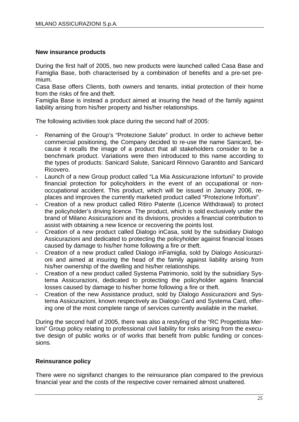#### **New insurance products**

During the first half of 2005, two new products were launched called Casa Base and Famiglia Base, both characterised by a combination of benefits and a pre-set premium.

Casa Base offers Clients, both owners and tenants, initial protection of their home from the risks of fire and theft.

Famiglia Base is instead a product aimed at insuring the head of the family against liability arising from his/her property and his/her relationships.

The following activities took place during the second half of 2005:

- Renaming of the Group's "Protezione Salute" product. In order to achieve better commercial positioning, the Company decided to re-use the name Sanicard, because it recalls the image of a product that all stakeholders consider to be a benchmark product. Variations were then introduced to this name according to the types of products: Sanicard Salute, Sanicard Rinnovo Garantito and Sanicard Ricovero.
- Launch of a new Group product called "La Mia Assicurazione Infortuni" to provide financial protection for policyholders in the event of an occupational or nonoccupational accident. This product, which will be issued in January 2006, replaces and improves the currently marketed product called "Protezione Infortuni".
- Creation of a new product called Ritiro Patente (Licence Withdrawal) to protect the policyholder's driving licence. The product, which is sold exclusively under the brand of Milano Assicurazioni and its divisions, provides a financial contribution to assist with obtaining a new licence or recovering the points lost.
- Creation of a new product called Dialogo inCasa, sold by the subsidiary Dialogo Assicurazioni and dedicated to protecting the policyholder against financial losses caused by damage to his/her home following a fire or theft.
- Creation of a new product called Dialogo inFamiglia, sold by Dialogo Assicurazioni and aimed at insuring the head of the family against liability arising from his/her ownership of the dwelling and his/her relationships.
- Creation of a new product called Systema Patrimonio, sold by the subsidiary Systema Assicurazioni, dedicated to protecting the policyholder agains financial losses caused by damage to his/her home following a fire or theft.
- Creation of the new Assistance product, sold by Dialogo Assicurazioni and Systema Assicurazioni, known respectively as Dialogo Card and Systema Card, offering one of the most complete range of services currently available in the market.

During the second half of 2005, there was also a restyling of the "RC Progettista Merloni" Group policy relating to professional civil liability for risks arising from the executive design of public works or of works that benefit from public funding or concessions.

## **Reinsurance policy**

There were no signifanct changes to the reinsurance plan compared to the previous financial year and the costs of the respective cover remained almost unaltered.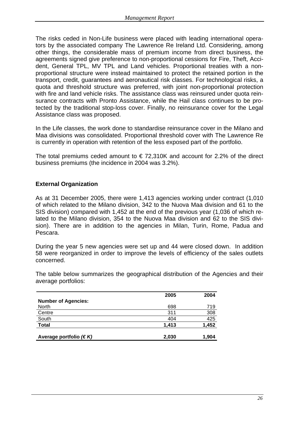The risks ceded in Non-Life business were placed with leading international operators by the associated company The Lawrence Re Ireland Ltd. Considering, among other things, the considerable mass of premium income from direct business, the agreements signed give preference to non-proportional cessions for Fire, Theft, Accident, General TPL, MV TPL and Land vehicles. Proportional treaties with a nonproportional structure were instead maintained to protect the retained portion in the transport, credit, guarantees and aeronautical risk classes. For technological risks, a quota and threshold structure was preferred, with joint non-proportional protection with fire and land vehicle risks. The assistance class was reinsured under quota reinsurance contracts with Pronto Assistance, while the Hail class continues to be protected by the traditional stop-loss cover. Finally, no reinsurance cover for the Legal Assistance class was proposed.

In the Life classes, the work done to standardise reinsurance cover in the Milano and Maa divisions was consolidated. Proportional threshold cover with The Lawrence Re is currently in operation with retention of the less exposed part of the portfolio.

The total premiums ceded amount to  $\epsilon$  72,310K and account for 2.2% of the direct business premiums (the incidence in 2004 was 3.2%).

## **External Organization**

As at 31 December 2005, there were 1,413 agencies working under contract (1,010 of which related to the Milano division, 342 to the Nuova Maa division and 61 to the SIS division) compared with 1,452 at the end of the previous year (1,036 of which related to the Milano division, 354 to the Nuova Maa division and 62 to the SIS division). There are in addition to the agencies in Milan, Turin, Rome, Padua and Pescara.

During the year 5 new agencies were set up and 44 were closed down. In addition 58 were reorganized in order to improve the levels of efficiency of the sales outlets concerned.

The table below summarizes the geographical distribution of the Agencies and their average portfolios:

|                             | 2005  | 2004  |
|-----------------------------|-------|-------|
| <b>Number of Agencies:</b>  |       |       |
| <b>North</b>                | 698   | 719   |
| Centre                      | 311   | 308   |
| South                       | 404   | 425   |
| <b>Total</b>                | 1,413 | 1,452 |
| Average portfolio $(\in K)$ | 2,030 | 1,904 |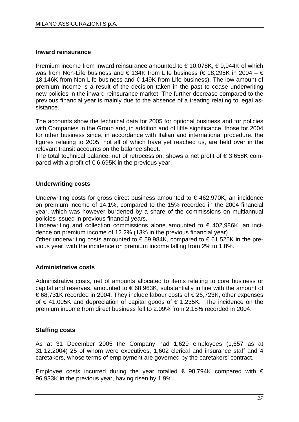## **Inward reinsurance**

Premium income from inward reinsurance amounted to €10,078K, €9,944K of which was from Non-Life business and  $\epsilon$  134K from Life business ( $\epsilon$  18.295K in 2004 –  $\epsilon$ 18,146K from Non-Life business and € 149K from Life business). The low amount of premium income is a result of the decision taken in the past to cease underwriting new policies in the inward reinsurance market. The further decrease compared to the previous financial year is mainly due to the absence of a treating relating to legal assistance.

The accounts show the technical data for 2005 for optional business and for policies with Companies in the Group and, in addition and of little significance, those for 2004 for other business since, in accordance with Italian and international procedure, the figures relating to 2005, not all of which have yet reached us, are held over in the relevant transit accounts on the balance sheet.

The total technical balance, net of retrocession, shows a net profit of  $\epsilon$  3,658K compared with a profit of  $\epsilon$  6.695K in the previous vear.

## **Underwriting costs**

Underwriting costs for gross direct business amounted to €462,970K, an incidence on premium income of 14.1%, compared to the 15% recorded in the 2004 financial year, which was however burdened by a share of the commissions on multiannual policies issued in previous financial years.

Underwriting and collection commissions alone amounted to  $\epsilon$  402,986K, an incidence on premium income of 12.2% (13% in the previous financial year).

Other underwriting costs amounted to  $\epsilon$  59,984K, compared to  $\epsilon$  61,525K in the previous year, with the incidence on premium income falling from 2% to 1.8%.

## **Administrative costs**

Administrative costs, net of amounts allocated to items relating to core business or capital and reserves, amounted to  $\epsilon$  68,963K, substantially in line with the amount of € 68,731K recorded in 2004. They include labour costs of € 26,723K, other expenses of € 41,005K and depreciation of capital goods of € 1,235K. The incidence on the premium income from direct business fell to 2.09% from 2.18% recorded in 2004.

## **Staffing costs**

As at 31 December 2005 the Company had 1,629 employees (1,657 as at 31.12.2004) 25 of whom were executives, 1,602 clerical and insurance staff and 4 caretakers, whose terms of employment are governed by the caretakers' contract.

Employee costs incurred during the year totalled  $\epsilon$  98,794K compared with  $\epsilon$ 96,933K in the previous year, having risen by 1.9%.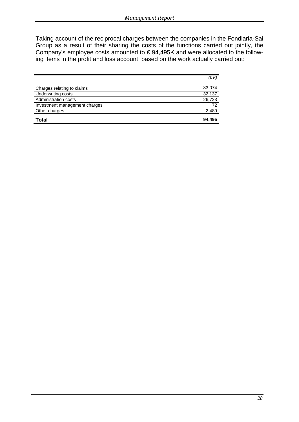Taking account of the reciprocal charges between the companies in the Fondiaria-Sai Group as a result of their sharing the costs of the functions carried out jointly, the Company's employee costs amounted to € 94,495K and were allocated to the following items in the profit and loss account, based on the work actually carried out:

|                               | (E K)  |
|-------------------------------|--------|
| Charges relating to claims    | 33,074 |
| Underwriting costs            | 32,137 |
| Administration costs          | 26,723 |
| Investment management charges | 72     |
| Other charges                 | 2,489  |
| <b>Total</b>                  | 94.495 |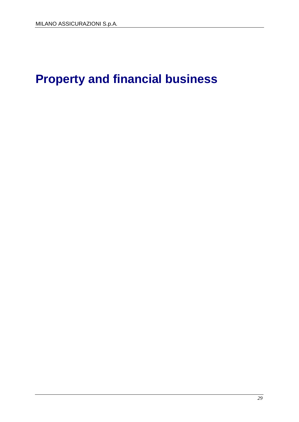# **Property and financial business**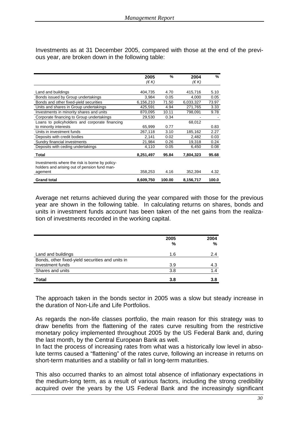Investments as at 31 December 2005, compared with those at the end of the previous year, are broken down in the following table:

|                                                                                                | 2005<br>(€ K) | %      | 2004<br>(E K) | %     |
|------------------------------------------------------------------------------------------------|---------------|--------|---------------|-------|
|                                                                                                |               |        |               |       |
| Land and buildings                                                                             | 404,735       | 4.70   | 415,716       | 5.10  |
| Bonds issued by Group undertakings                                                             | 3,984         | 0.05   | 4,000         | 0.05  |
| Bonds and other fixed-yield securities                                                         | 6,156,210     | 71.50  | 6,033,327     | 73.97 |
| Units and shares in Group undertakings                                                         | 425,591       | 4.94   | 271,765       | 3.33  |
| Investments in minority shares and units                                                       | 870,095       | 10.11  | 798,091       | 9.78  |
| Corporate financing to Group undertakings                                                      | 29,530        | 0.34   |               |       |
| Loans to policyholders and corporate financing                                                 |               |        | 68,012        |       |
| to minority interests                                                                          | 65.999        | 0.77   |               | 0.83  |
| Units in investment funds                                                                      | 267,118       | 3.10   | 185,162       | 2.27  |
| Deposits with credit bodies                                                                    | 2,141         | 0.02   | 2,482         | 0.03  |
| Sundry financial investments                                                                   | 21,984        | 0.26   | 19,318        | 0.24  |
| Deposits with ceding undertakings                                                              | 4,110         | 0.05   | 6,450         | 0.08  |
| Total                                                                                          | 8,251,497     | 95.84  | 7,804,323     | 95.68 |
| Investments where the risk is borne by policy-<br>holders and arising out of pension fund man- |               |        |               |       |
| agement                                                                                        | 358,253       | 4.16   | 352,394       | 4.32  |
| <b>Grand total</b>                                                                             | 8,609,750     | 100.00 | 8,156,717     | 100.0 |

Average net returns achieved during the year compared with those for the previous year are shown in the following table. In calculating returns on shares, bonds and units in investment funds account has been taken of the net gains from the realization of investments recorded in the working capital.

|                                                  | 2005<br>% | 2004<br>% |
|--------------------------------------------------|-----------|-----------|
| Land and buildings                               | 1.6       | 2.4       |
| Bonds, other fixed-yield securities and units in |           |           |
| investment funds                                 | 3.9       | 4.3       |
| Shares and units                                 | 3.8       | 1.4       |
| <b>Total</b>                                     | 3.8       | 3.8       |

The approach taken in the bonds sector in 2005 was a slow but steady increase in the duration of Non-Life and Life Portfolios.

As regards the non-life classes portfolio, the main reason for this strategy was to draw benefits from the flattening of the rates curve resulting from the restrictive monetary policy implemented throughout 2005 by the US Federal Bank and, during the last month, by the Central European Bank as well.

In fact the process of increasing rates from what was a historically low level in absolute terms caused a "flattening" of the rates curve, following an increase in returns on short-term maturities and a stability or fall in long-term maturities.

This also occurred thanks to an almost total absence of inflationary expectations in the medium-long term, as a result of various factors, including the strong credibility acquired over the years by the US Federal Bank and the increasingly significant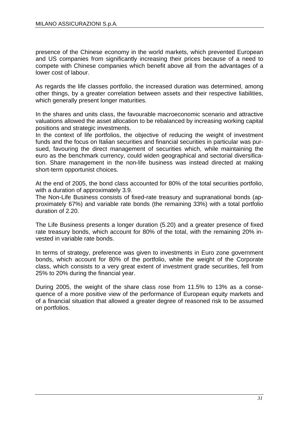presence of the Chinese economy in the world markets, which prevented European and US companies from significantly increasing their prices because of a need to compete with Chinese companies which benefit above all from the advantages of a lower cost of labour.

As regards the life classes portfolio, the increased duration was determined, among other things, by a greater correlation between assets and their respective liabilities, which generally present longer maturities.

In the shares and units class, the favourable macroeconomic scenario and attractive valuations allowed the asset allocation to be rebalanced by increasing working capital positions and strategic investments.

In the context of life portfolios, the objective of reducing the weight of investment funds and the focus on Italian securities and financial securities in particular was pursued, favouring the direct management of securities which, while maintaining the euro as the benchmark currency, could widen geographical and sectorial diversification. Share management in the non-life business was instead directed at making short-term opportunist choices.

At the end of 2005, the bond class accounted for 80% of the total securities portfolio, with a duration of approximately 3.9.

The Non-Life Business consists of fixed-rate treasury and supranational bonds (approximately 67%) and variable rate bonds (the remaining 33%) with a total portfolio duration of 2.20.

The Life Business presents a longer duration (5.20) and a greater presence of fixed rate treasury bonds, which account for 80% of the total, with the remaining 20% invested in variable rate bonds.

In terms of strategy, preference was given to investments in Euro zone government bonds, which account for 80% of the portfolio, while the weight of the Corporate class, which consists to a very great extent of investment grade securities, fell from 25% to 20% during the financial year.

During 2005, the weight of the share class rose from 11.5% to 13% as a consequence of a more positive view of the performance of European equity markets and of a financial situation that allowed a greater degree of reasoned risk to be assumed on portfolios.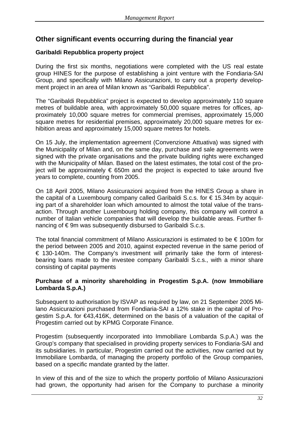## **Other significant events occurring during the financial year**

## **Garibaldi Repubblica property project**

During the first six months, negotiations were completed with the US real estate group HINES for the purpose of establishing a joint venture with the Fondiaria-SAI Group, and specifically with Milano Assicurazioni, to carry out a property development project in an area of Milan known as "Garibaldi Repubblica".

The "Garibaldi Repubblica" project is expected to develop approximately 110 square metres of buildable area, with approximately 50,000 square metres for offices, approximately 10,000 square metres for commercial premises, approximately 15,000 square metres for residential premises, approximately 20,000 square metres for exhibition areas and approximately 15,000 square metres for hotels.

On 15 July, the implementation agreement (Convenzione Attuativa) was signed with the Municipality of Milan and, on the same day, purchase and sale agreements were signed with the private organisations and the private building rights were exchanged with the Municipality of Milan. Based on the latest estimates, the total cost of the project will be approximately  $\epsilon$  650m and the project is expected to take around five years to complete, counting from 2005.

On 18 April 2005, Milano Assicurazioni acquired from the HINES Group a share in the capital of a Luxembourg company called Garibaldi S.c.s. for  $\epsilon$  15.34m by acquiring part of a shareholder loan which amounted to almost the total value of the transaction. Through another Luxembourg holding company, this company will control a number of Italian vehicle companies that will develop the buildable areas. Further financing of € 9m was subsequently disbursed to Garibaldi S.c.s.

The total financial commitment of Milano Assicurazioni is estimated to be  $\epsilon$  100m for the period between 2005 and 2010, against expected revenue in the same period of € 130-140m. The Company's investment will primarily take the form of interestbearing loans made to the investee company Garibaldi S.c.s., with a minor share consisting of capital payments

## **Purchase of a minority shareholding in Progestim S.p.A. (now Immobiliare Lombarda S.p.A.)**

Subsequent to authorisation by ISVAP as required by law, on 21 September 2005 Milano Assicurazioni purchased from Fondiaria-SAI a 12% stake in the capital of Progestim S.p.A. for €43,416K, determined on the basis of a valuation of the capital of Progestim carried out by KPMG Corporate Finance.

Progestim (subsequently incorporated into Immobiliare Lombarda S.p.A.) was the Group's company that specialised in providing property services to Fondiaria-SAI and its subsidiaries. In particular, Progestim carried out the activities, now carried out by Immobiliare Lombarda, of managing the property portfolio of the Group companies, based on a specific mandate granted by the latter.

In view of this and of the size to which the property portfolio of Milano Assicurazioni had grown, the opportunity had arisen for the Company to purchase a minority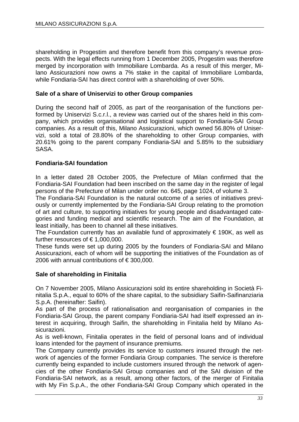shareholding in Progestim and therefore benefit from this company's revenue prospects. With the legal effects running from 1 December 2005, Progestim was therefore merged by incorporation with Immobiliare Lombarda. As a result of this merger, Milano Assicurazioni now owns a 7% stake in the capital of Immobiliare Lombarda, while Fondiaria-SAI has direct control with a shareholding of over 50%.

## **Sale of a share of Uniservizi to other Group companies**

During the second half of 2005, as part of the reorganisation of the functions performed by Uniservizi S.c.r.l., a review was carried out of the shares held in this company, which provides organisational and logistical support to Fondiaria-SAI Group companies. As a result of this, Milano Assicurazioni, which owned 56.80% of Uniservizi, sold a total of 28.80% of the shareholding to other Group companies, with 20.61% going to the parent company Fondiaria-SAI and 5.85% to the subsidiary SASA.

## **Fondiaria-SAI foundation**

In a letter dated 28 October 2005, the Prefecture of Milan confirmed that the Fondiaria-SAI Foundation had been inscribed on the same day in the register of legal persons of the Prefecture of Milan under order no. 645, page 1024, of volume 3.

The Fondiaria-SAI Foundation is the natural outcome of a series of initiatives previously or currently implemented by the Fondiaria-SAI Group relating to the promotion of art and culture, to supporting initiatives for young people and disadvantaged categories and funding medical and scientific research. The aim of the Foundation, at least initially, has been to channel all these initiatives.

The Foundation currently has an available fund of approximately  $\epsilon$  190K, as well as further resources of  $\epsilon$  1,000,000.

These funds were set up during 2005 by the founders of Fondiaria-SAI and Milano Assicurazioni, each of whom will be supporting the initiatives of the Foundation as of 2006 with annual contributions of  $\epsilon$  300,000.

#### **Sale of shareholding in Finitalia**

On 7 November 2005, Milano Assicurazioni sold its entire shareholding in Società Finitalia S.p.A., equal to 60% of the share capital, to the subsidiary Saifin-Saifinanziaria S.p.A. (hereinafter: Saifin).

As part of the process of rationalisation and reorganisation of companies in the Fondiaria-SAI Group, the parent company Fondiaria-SAI had itself expressed an interest in acquiring, through Saifin, the shareholding in Finitalia held by Milano Assicurazioni.

As is well-known, Finitalia operates in the field of personal loans and of individual loans intended for the payment of insurance premiums.

The Company currently provides its service to customers insured through the network of agencies of the former Fondiaria Group companies. The service is therefore currently being expanded to include customers insured through the network of agencies of the other Fondiaria-SAI Group companies and of the SAI division of the Fondiaria-SAI network, as a result, among other factors, of the merger of Finitalia with My Fin S.p.A., the other Fondiaria-SAI Group Company which operated in the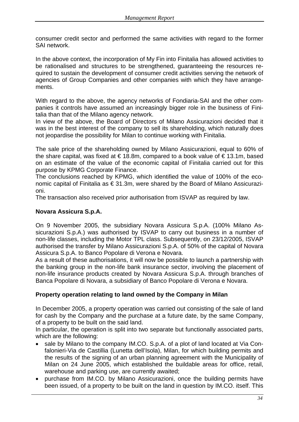consumer credit sector and performed the same activities with regard to the former SAI network.

In the above context, the incorporation of My Fin into Finitalia has allowed activities to be rationalised and structures to be strengthened, guaranteeing the resources required to sustain the development of consumer credit activities serving the network of agencies of Group Companies and other companies with which they have arrangements.

With regard to the above, the agency networks of Fondiaria-SAI and the other companies it controls have assumed an increasingly bigger role in the business of Finitalia than that of the Milano agency network.

In view of the above, the Board of Directors of Milano Assicurazioni decided that it was in the best interest of the company to sell its shareholding, which naturally does not jeopardise the possibility for Milan to continue working with Finitalia.

The sale price of the shareholding owned by Milano Assicurazioni, equal to 60% of the share capital, was fixed at  $\epsilon$  18.8m, compared to a book value of  $\epsilon$  13.1m, based on an estimate of the value of the economic capital of Finitalia carried out for this purpose by KPMG Corporate Finance.

The conclusions reached by KPMG, which identified the value of 100% of the economic capital of Finitalia as € 31.3m, were shared by the Board of Milano Assicurazioni.

The transaction also received prior authorisation from ISVAP as required by law.

## **Novara Assicura S.p.A.**

On 9 November 2005, the subsidiary Novara Assicura S.p.A. (100% Milano Assicurazioni S.p.A.) was authorised by ISVAP to carry out business in a number of non-life classes, including the Motor TPL class. Subsequently, on 23/12/2005, ISVAP authorised the transfer by Milano Assicurazioni S.p.A. of 50% of the capital of Novara Assicura S.p.A. to Banco Popolare di Verona e Novara.

As a result of these authorisations, it will now be possible to launch a partnership with the banking group in the non-life bank insurance sector, involving the placement of non-life insurance products created by Novara Assicura S.p.A. through branches of Banca Popolare di Novara, a subsidiary of Banco Popolare di Verona e Novara.

## **Property operation relating to land owned by the Company in Milan**

In December 2005, a property operation was carried out consisting of the sale of land for cash by the Company and the purchase at a future date, by the same Company, of a property to be built on the said land.

In particular, the operation is split into two separate but functionally associated parts, which are the following:

- sale by Milano to the company IM.CO. S.p.A. of a plot of land located at Via Confalonieri-Via de Castillia (Lunetta dell'Isola), Milan, for which building permits and the results of the signing of an urban planning agreement with the Municipality of Milan on 24 June 2005, which established the buildable areas for office, retail, warehouse and parking use, are currently awaited;
- purchase from IM.CO. by Milano Assicurazioni, once the building permits have been issued, of a property to be built on the land in question by IM.CO. itself. This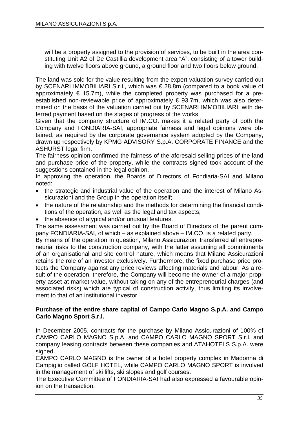will be a property assigned to the provision of services, to be built in the area constituting Unit A2 of De Castillia development area "A", consisting of a tower building with twelve floors above ground, a ground floor and two floors below ground.

The land was sold for the value resulting from the expert valuation survey carried out by SCENARI IMMOBILIARI S.r.l., which was € 28.8m (compared to a book value of approximately  $\epsilon$  15.7m), while the completed property was purchased for a preestablished non-reviewable price of approximately  $\epsilon$  93.7m, which was also determined on the basis of the valuation carried out by SCENARI IMMOBILIARI, with deferred payment based on the stages of progress of the works.

Given that the company structure of IM.CO. makes it a related party of both the Company and FONDIARIA-SAI, appropriate fairness and legal opinions were obtained, as required by the corporate governance system adopted by the Company, drawn up respectively by KPMG ADVISORY S.p.A. CORPORATE FINANCE and the ASHURST legal firm.

The fairness opinion confirmed the fairness of the aforesaid selling prices of the land and purchase price of the property, while the contracts signed took account of the suggestions contained in the legal opinion.

In approving the operation, the Boards of Directors of Fondiaria-SAI and Milano noted:

- the strategic and industrial value of the operation and the interest of Milano Assicurazioni and the Group in the operation itself;
- the nature of the relationship and the methods for determining the financial conditions of the operation, as well as the legal and tax aspects;
- the absence of atypical and/or unusual features.

The same assessment was carried out by the Board of Directors of the parent company FONDIARIA-SAI, of which – as explained above – IM.CO. is a related party.

By means of the operation in question, Milano Assicurazioni transferred all entrepreneurial risks to the construction company, with the latter assuming all commitments of an organisational and site control nature, which means that Milano Assicurazioni retains the role of an investor exclusively. Furthermore, the fixed purchase price protects the Company against any price reviews affecting materials and labour. As a result of the operation, therefore, the Company will become the owner of a major property asset at market value, without taking on any of the entrepreneurial charges (and associated risks) which are typical of construction activity, thus limiting its involvement to that of an institutional investor

#### **Purchase of the entire share capital of Campo Carlo Magno S.p.A. and Campo Carlo Magno Sport S.r.l.**

In December 2005, contracts for the purchase by Milano Assicurazioni of 100% of CAMPO CARLO MAGNO S.p.A. and CAMPO CARLO MAGNO SPORT S.r.l. and company leasing contracts between these companies and ATAHOTELS S.p.A. were signed.

CAMPO CARLO MAGNO is the owner of a hotel property complex in Madonna di Campiglio called GOLF HOTEL, while CAMPO CARLO MAGNO SPORT is involved in the management of ski lifts, ski slopes and golf courses.

The Executive Committee of FONDIARIA-SAI had also expressed a favourable opinion on the transaction.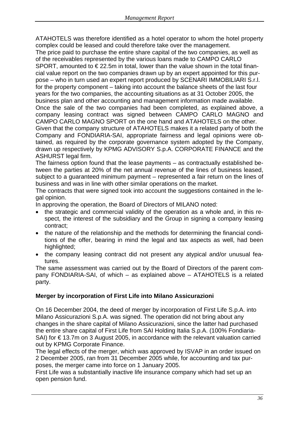ATAHOTELS was therefore identified as a hotel operator to whom the hotel property complex could be leased and could therefore take over the management.

The price paid to purchase the entire share capital of the two companies, as well as of the receivables represented by the various loans made to CAMPO CARLO SPORT, amounted to  $\epsilon$  22.5m in total, lower than the value shown in the total financial value report on the two companies drawn up by an expert appointed for this purpose – who in turn used an expert report produced by SCENARI IMMOBILIARI S.r.l. for the property component – taking into account the balance sheets of the last four years for the two companies, the accounting situations as at 31 October 2005, the business plan and other accounting and management information made available. Once the sale of the two companies had been completed, as explained above, a company leasing contract was signed between CAMPO CARLO MAGNO and CAMPO CARLO MAGNO SPORT on the one hand and ATAHOTELS on the other. Given that the company structure of ATAHOTELS makes it a related party of both the Company and FONDIARIA-SAI, appropriate fairness and legal opinions were obtained, as required by the corporate governance system adopted by the Company, drawn up respectively by KPMG ADVISORY S.p.A. CORPORATE FINANCE and the ASHURST legal firm.

The fairness option found that the lease payments – as contractually established between the parties at 20% of the net annual revenue of the lines of business leased, subject to a guaranteed minimum payment – represented a fair return on the lines of business and was in line with other similar operations on the market.

The contracts that were signed took into account the suggestions contained in the legal opinion.

In approving the operation, the Board of Directors of MILANO noted:

- the strategic and commercial validity of the operation as a whole and, in this respect, the interest of the subsidiary and the Group in signing a company leasing contract;
- the nature of the relationship and the methods for determining the financial conditions of the offer, bearing in mind the legal and tax aspects as well, had been highlighted;
- the company leasing contract did not present any atypical and/or unusual features.

The same assessment was carried out by the Board of Directors of the parent company FONDIARIA-SAI, of which – as explained above – ATAHOTELS is a related party.

## **Merger by incorporation of First Life into Milano Assicurazioni**

On 16 December 2004, the deed of merger by incorporation of First Life S.p.A. into Milano Assicurazioni S.p.A. was signed. The operation did not bring about any changes in the share capital of Milano Assicurazioni, since the latter had purchased the entire share capital of First Life from SAI Holding Italia S.p.A. (100% Fondiaria-SAI) for € 13.7m on 3 August 2005, in accordance with the relevant valuation carried out by KPMG Corporate Finance.

The legal effects of the merger, which was approved by ISVAP in an order issued on 2 December 2005, ran from 31 December 2005 while, for accounting and tax purposes, the merger came into force on 1 January 2005.

First Life was a substantially inactive life insurance company which had set up an open pension fund.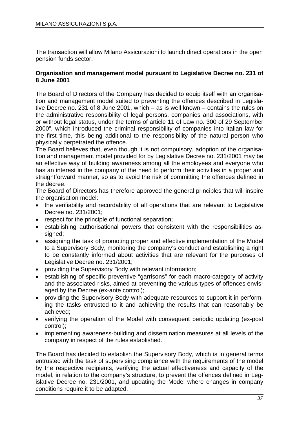The transaction will allow Milano Assicurazioni to launch direct operations in the open pension funds sector.

#### **Organisation and management model pursuant to Legislative Decree no. 231 of 8 June 2001**

The Board of Directors of the Company has decided to equip itself with an organisation and management model suited to preventing the offences described in Legislative Decree no. 231 of 8 June 2001, which – as is well known – contains the rules on the administrative responsibility of legal persons, companies and associations, with or without legal status, under the terms of article 11 of Law no. 300 of 29 September 2000", which introduced the criminal responsibility of companies into Italian law for the first time, this being additional to the responsibility of the natural person who physically perpetrated the offence.

The Board believes that, even though it is not compulsory, adoption of the organisation and management model provided for by Legislative Decree no. 231/2001 may be an effective way of building awareness among all the employees and everyone who has an interest in the company of the need to perform their activities in a proper and straightforward manner, so as to avoid the risk of committing the offences defined in the decree.

The Board of Directors has therefore approved the general principles that will inspire the organisation model:

- the verifiability and recordability of all operations that are relevant to Legislative Decree no. 231/2001;
- respect for the principle of functional separation;
- establishing authorisational powers that consistent with the responsibilities assigned;
- assigning the task of promoting proper and effective implementation of the Model to a Supervisory Body, monitoring the company's conduct and establishing a right to be constantly informed about activities that are relevant for the purposes of Legislative Decree no. 231/2001;
- providing the Supervisory Body with relevant information;
- establishing of specific preventive "garrisons" for each macro-category of activity and the associated risks, aimed at preventing the various types of offences envisaged by the Decree (ex-ante control);
- providing the Supervisory Body with adequate resources to support it in performing the tasks entrusted to it and achieving the results that can reasonably be achieved;
- verifying the operation of the Model with consequent periodic updating (ex-post control);
- implementing awareness-building and dissemination measures at all levels of the company in respect of the rules established.

The Board has decided to establish the Supervisory Body, which is in general terms entrusted with the task of supervising compliance with the requirements of the model by the respective recipients, verifying the actual effectiveness and capacity of the model, in relation to the company's structure, to prevent the offences defined in Legislative Decree no. 231/2001, and updating the Model where changes in company conditions require it to be adapted.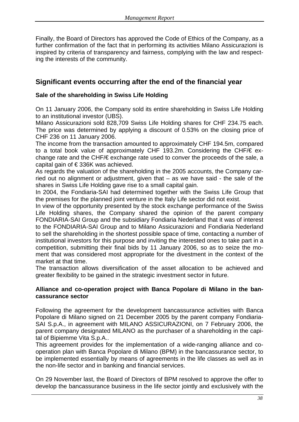Finally, the Board of Directors has approved the Code of Ethics of the Company, as a further confirmation of the fact that in performing its activities Milano Assicurazioni is inspired by criteria of transparency and fairness, complying with the law and respecting the interests of the community.

### **Significant events occurring after the end of the financial year**

#### **Sale of the shareholding in Swiss Life Holding**

On 11 January 2006, the Company sold its entire shareholding in Swiss Life Holding to an institutional investor (UBS).

Milano Assicurazioni sold 828,709 Swiss Life Holding shares for CHF 234.75 each. The price was determined by applying a discount of 0.53% on the closing price of CHF 236 on 11 January 2006.

The income from the transaction amounted to approximately CHF 194.5m, compared to a total book value of approximately CHF 193.2m. Considering the CHF/€ exchange rate and the CHF/€ exchange rate used to conver the proceeds of the sale, a capital gain of € 336K was achieved.

As regards the valuation of the shareholding in the 2005 accounts, the Company carried out no alignment or adjustment, given that – as we have said - the sale of the shares in Swiss Life Holding gave rise to a small capital gain.

In 2004, the Fondiaria-SAI had determined together with the Swiss Life Group that the premises for the planned joint venture in the Italy Life sector did not exist.

In view of the opportunity presented by the stock exchange performance of the Swiss Life Holding shares, the Company shared the opinion of the parent company FONDIARIA-SAI Group and the subsidiary Fondiaria Nederland that it was of interest to the FONDIARIA-SAI Group and to Milano Assicurazioni and Fondiaria Nederland to sell the shareholding in the shortest possible space of time, contacting a number of institutional investors for this purpose and inviting the interested ones to take part in a competition, submitting their final bids by 11 January 2006, so as to seize the moment that was considered most appropriate for the divestment in the context of the market at that time.

The transaction allows diversification of the asset allocation to be achieved and greater flexibility to be gained in the strategic investment sector in future.

#### **Alliance and co-operation project with Banca Popolare di Milano in the bancassurance sector**

Following the agreement for the development bancassurance activities with Banca Popolare di Milano signed on 21 December 2005 by the parent company Fondiaria-SAI S.p.A., in agreement with MILANO ASSICURAZIONI, on 7 February 2006, the parent company designated MILANO as the purchaser of a shareholding in the capital of Bipiemme Vita S.p.A..

This agreement provides for the implementation of a wide-ranging alliance and cooperation plan with Banca Popolare di Milano (BPM) in the bancassurance sector, to be implemented essentially by means of agreements in the life classes as well as in the non-life sector and in banking and financial services.

On 29 November last, the Board of Directors of BPM resolved to approve the offer to develop the bancassurance business in the life sector jointly and exclusively with the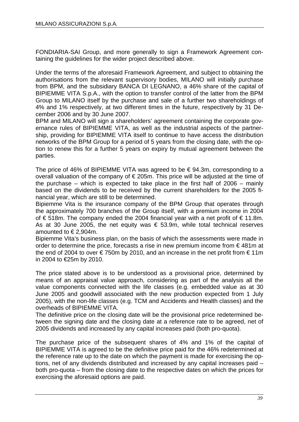FONDIARIA-SAI Group, and more generally to sign a Framework Agreement containing the guidelines for the wider project described above.

Under the terms of the aforesaid Framework Agreement, and subject to obtaining the authorisations from the relevant supervisory bodies, MILANO will initially purchase from BPM, and the subsidiary BANCA DI LEGNANO, a 46% share of the capital of BIPIEMME VITA S.p.A., with the option to transfer control of the latter from the BPM Group to MILANO itself by the purchase and sale of a further two shareholdings of 4% and 1% respectively, at two different times in the future, respectively by 31 December 2006 and by 30 June 2007.

BPM and MILANO will sign a shareholders' agreement containing the corporate governance rules of BIPIEMME VITA, as well as the industrial aspects of the partnership, providing for BIPIEMME VITA itself to continue to have access the distribution networks of the BPM Group for a period of 5 years from the closing date, with the option to renew this for a further 5 years on expiry by mutual agreement between the parties.

The price of 46% of BIPIEMME VITA was agreed to be  $\epsilon$  94.3m, corresponding to a overall valuation of the company of € 205m. This price will be adjusted at the time of the purchase – which is expected to take place in the first half of 2006 – mainly based on the dividends to be received by the current shareholders for the 2005 financial year, which are still to be determined.

Bipiemme Vita is the insurance company of the BPM Group that operates through the approximately 700 branches of the Group itself, with a premium income in 2004 of €518m. The company ended the 2004 financial year with a net profit of €11.8m. As at 30 June 2005, the net equity was  $\epsilon$  53.9m, while total technical reserves amounted to € 2,904m.

Bipiemme Vita's business plan, on the basis of which the assessments were made in order to determine the price, forecasts a rise in new premium income from  $\epsilon$  481m at the end of 2004 to over  $\epsilon$  750m by 2010, and an increase in the net profit from  $\epsilon$  11m in 2004 to €25m by 2010.

The price stated above is to be understood as a provisional price, determined by means of an appraisal value approach, considering as part of the analysis all the value components connected with the life classes (e.g. embedded value as at 30 June 2005 and goodwill associated with the new production expected from 1 July 2005), with the non-life classes (e.g. TCM and Accidents and Health classes) and the overheads of BIPIEMME VITA.

The definitive price on the closing date will be the provisional price redetermined between the signing date and the closing date at a reference rate to be agreed, net of 2005 dividends and increased by any capital increases paid (both pro-quota).

The purchase price of the subsequent shares of 4% and 1% of the capital of BIPIEMME VITA is agreed to be the definitive price paid for the 46% redetermined at the reference rate up to the date on which the payment is made for exercising the options, net of any dividends distributed and increased by any capital increases paid – both pro-quota – from the closing date to the respective dates on which the prices for exercising the aforesaid options are paid.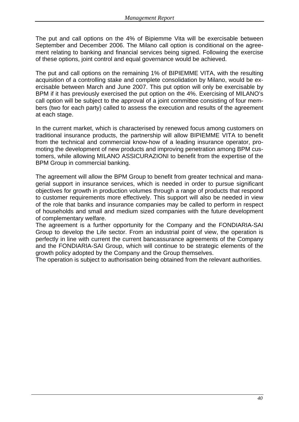The put and call options on the 4% of Bipiemme Vita will be exercisable between September and December 2006. The Milano call option is conditional on the agreement relating to banking and financial services being signed. Following the exercise of these options, joint control and equal governance would be achieved.

The put and call options on the remaining 1% of BIPIEMME VITA, with the resulting acquisition of a controlling stake and complete consolidation by Milano, would be exercisable between March and June 2007. This put option will only be exercisable by BPM if it has previously exercised the put option on the 4%. Exercising of MILANO's call option will be subject to the approval of a joint committee consisting of four members (two for each party) called to assess the execution and results of the agreement at each stage.

In the current market, which is characterised by renewed focus among customers on traditional insurance products, the partnership will allow BIPIEMME VITA to benefit from the technical and commercial know-how of a leading insurance operator, promoting the development of new products and improving penetration among BPM customers, while allowing MILANO ASSICURAZIONI to benefit from the expertise of the BPM Group in commercial banking.

The agreement will allow the BPM Group to benefit from greater technical and managerial support in insurance services, which is needed in order to pursue significant objectives for growth in production volumes through a range of products that respond to customer requirements more effectively. This support will also be needed in view of the role that banks and insurance companies may be called to perform in respect of households and small and medium sized companies with the future development of complementary welfare.

The agreement is a further opportunity for the Company and the FONDIARIA-SAI Group to develop the Life sector. From an industrial point of view, the operation is perfectly in line with current the current bancassurance agreements of the Company and the FONDIARIA-SAI Group, which will continue to be strategic elements of the growth policy adopted by the Company and the Group themselves.

The operation is subject to authorisation being obtained from the relevant authorities.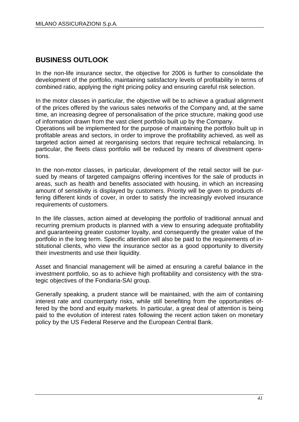## **BUSINESS OUTLOOK**

In the non-life insurance sector, the objective for 2006 is further to consolidate the development of the portfolio, maintaining satisfactory levels of profitability in terms of combined ratio, applying the right pricing policy and ensuring careful risk selection.

In the motor classes in particular, the objective will be to achieve a gradual alignment of the prices offered by the various sales networks of the Company and, at the same time, an increasing degree of personalisation of the price structure, making good use of information drawn from the vast client portfolio built up by the Company.

Operations will be implemented for the purpose of maintaining the portfolio built up in profitable areas and sectors, in order to improve the profitability achieved, as well as targeted action aimed at reorganising sectors that require technical rebalancing. In particular, the fleets class portfolio will be reduced by means of divestment operations.

In the non-motor classes, in particular, development of the retail sector will be pursued by means of targeted campaigns offering incentives for the sale of products in areas, such as health and benefits associated with housing, in which an increasing amount of sensitivity is displayed by customers. Priority will be given to products offering different kinds of cover, in order to satisfy the increasingly evolved insurance requirements of customers.

In the life classes, action aimed at developing the portfolio of traditional annual and recurring premium products is planned with a view to ensuring adequate profitability and guaranteeing greater customer loyalty, and consequently the greater value of the portfolio in the long term. Specific attention will also be paid to the requirements of institutional clients, who view the insurance sector as a good opportunity to diversity their investments and use their liquidity.

Asset and financial management will be aimed at ensuring a careful balance in the investment portfolio, so as to achieve high profitability and consistency with the strategic objectives of the Fondiaria-SAI group.

Generally speaking, a prudent stance will be maintained, with the aim of containing interest rate and counterparty risks, while still benefiting from the opportunities offered by the bond and equity markets. In particular, a great deal of attention is being paid to the evolution of interest rates following the recent action taken on monetary policy by the US Federal Reserve and the European Central Bank.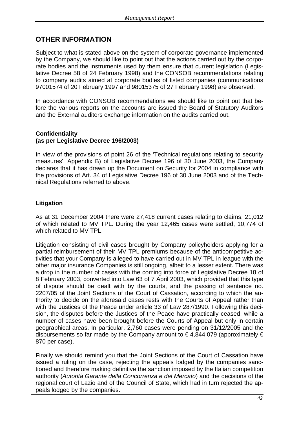## **OTHER INFORMATION**

Subject to what is stated above on the system of corporate governance implemented by the Company, we should like to point out that the actions carried out by the corporate bodies and the instruments used by them ensure that current legislation (Legislative Decree 58 of 24 February 1998) and the CONSOB recommendations relating to company audits aimed at corporate bodies of listed companies (communications 97001574 of 20 February 1997 and 98015375 of 27 February 1998) are observed.

In accordance with CONSOB recommendations we should like to point out that before the various reports on the accounts are issued the Board of Statutory Auditors and the External auditors exchange information on the audits carried out.

#### **Confidentiality (as per Legislative Decree 196/2003)**

In view of the provisions of point 26 of the 'Technical regulations relating to security measures', Appendix B) of Legislative Decree 196 of 30 June 2003, the Company declares that it has drawn up the Document on Security for 2004 in compliance with the provisions of Art. 34 of Legislative Decree 196 of 30 June 2003 and of the Technical Regulations referred to above.

#### **Litigation**

As at 31 December 2004 there were 27,418 current cases relating to claims, 21,012 of which related to MV TPL. During the year 12,465 cases were settled, 10,774 of which related to MV TPL.

Litigation consisting of civil cases brought by Company policyholders applying for a partial reimbursement of their MV TPL premiums because of the anticompetitive activities that your Company is alleged to have carried out in MV TPL in league with the other major insurance Companies is still ongoing, albeit to a lesser extent. There was a drop in the number of cases with the coming into force of Legislative Decree 18 of 8 February 2003, converted into Law 63 of 7 April 2003, which provided that this type of dispute should be dealt with by the courts, and the passing of sentence no. 2207/05 of the Joint Sections of the Court of Cassation, according to which the authority to decide on the aforesaid cases rests with the Courts of Appeal rather than with the Justices of the Peace under article 33 of Law 287/1990. Following this decision, the disputes before the Justices of the Peace have practically ceased, while a number of cases have been brought before the Courts of Appeal but only in certain geographical areas. In particular, 2,760 cases were pending on 31/12/2005 and the disbursements so far made by the Company amount to  $\epsilon$  4,844,079 (approximately  $\epsilon$ 870 per case).

Finally we should remind you that the Joint Sections of the Court of Cassation have issued a ruling on the case, rejecting the appeals lodged by the companies sanctioned and therefore making definitive the sanction imposed by the Italian competition authority (*Autorità Garante della Concorrenza e del Mercato*) and the decisions of the regional court of Lazio and of the Council of State, which had in turn rejected the appeals lodged by the companies.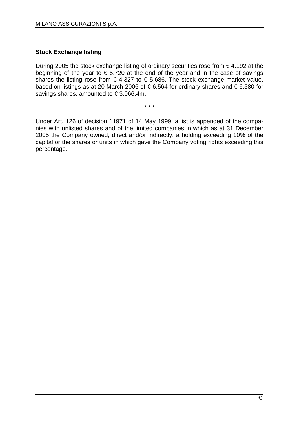#### **Stock Exchange listing**

During 2005 the stock exchange listing of ordinary securities rose from € 4.192 at the beginning of the year to  $\epsilon$  5.720 at the end of the year and in the case of savings shares the listing rose from  $\epsilon$  4.327 to  $\epsilon$  5.686. The stock exchange market value, based on listings as at 20 March 2006 of  $\epsilon$  6.564 for ordinary shares and  $\epsilon$  6.580 for savings shares, amounted to €3,066.4m.

\* \* \*

Under Art. 126 of decision 11971 of 14 May 1999, a list is appended of the companies with unlisted shares and of the limited companies in which as at 31 December 2005 the Company owned, direct and/or indirectly, a holding exceeding 10% of the capital or the shares or units in which gave the Company voting rights exceeding this percentage.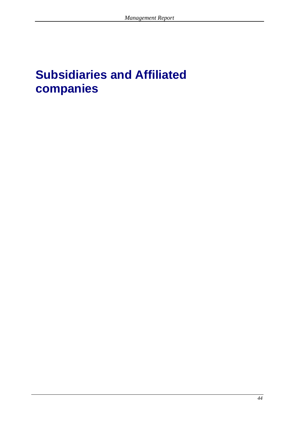# **Subsidiaries and Affiliated companies**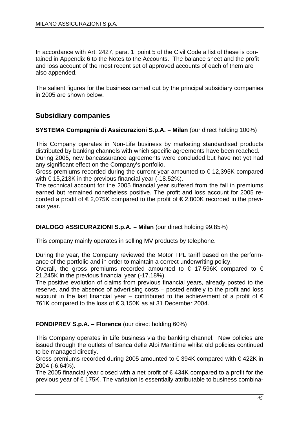In accordance with Art. 2427, para. 1, point 5 of the Civil Code a list of these is contained in Appendix 6 to the Notes to the Accounts. The balance sheet and the profit and loss account of the most recent set of approved accounts of each of them are also appended.

The salient figures for the business carried out by the principal subsidiary companies in 2005 are shown below.

### **Subsidiary companies**

#### **SYSTEMA Compagnia di Assicurazioni S.p.A. – Milan** (our direct holding 100%)

This Company operates in Non-Life business by marketing standardised products distributed by banking channels with which specific agreements have been reached. During 2005, new bancassurance agreements were concluded but have not yet had

any significant effect on the Company's portfolio.

Gross premiums recorded during the current year amounted to  $\epsilon$  12,395K compared with  $\epsilon$  15,213K in the previous financial year (-18.52%).

The technical account for the 2005 financial year suffered from the fall in premiums earned but remained nonetheless positive. The profit and loss account for 2005 recorded a prodit of  $\epsilon$  2,075K compared to the profit of  $\epsilon$  2,800K recorded in the previous year.

#### **DIALOGO ASSICURAZIONI S.p.A. – Milan** (our direct holding 99.85%)

This company mainly operates in selling MV products by telephone.

During the year, the Company reviewed the Motor TPL tariff based on the performance of the portfolio and in order to maintain a correct underwriting policy.

Overall, the gross premiums recorded amounted to  $\epsilon$  17,596K compared to  $\epsilon$ 21,245K in the previous financial year (-17.18%).

The positive evolution of claims from previous financial years, already posted to the reserve, and the absence of advertising costs – posted entirely to the profit and loss account in the last financial year – contributed to the achievement of a profit of  $\epsilon$ 761K compared to the loss of €3,150K as at 31 December 2004.

#### **FONDIPREV S.p.A. – Florence** (our direct holding 60%)

This Company operates in Life business via the banking channel. New policies are issued through the outlets of Banca delle Alpi Marittime whilst old policies continued to be managed directly.

Gross premiums recorded during 2005 amounted to € 394K compared with € 422K in 2004 (-6.64%).

The 2005 financial year closed with a net profit of  $\epsilon$  434K compared to a profit for the previous year of €175K. The variation is essentially attributable to business combina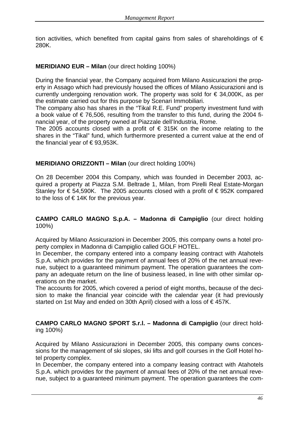tion activities, which benefited from capital gains from sales of shareholdings of  $\epsilon$ 280K.

#### **MERIDIANO EUR – Milan** (our direct holding 100%)

During the financial year, the Company acquired from Milano Assicurazioni the property in Assago which had previously housed the offices of Milano Assicurazioni and is currently undergoing renovation work. The property was sold for  $\epsilon$  34,000K, as per the estimate carried out for this purpose by Scenari Immobiliari.

The company also has shares in the "Tikal R.E. Fund" property investment fund with a book value of  $\epsilon$  76,506, resulting from the transfer to this fund, during the 2004 financial year, of the property owned at Piazzale dell'Industria, Rome.

The 2005 accounts closed with a profit of  $\epsilon$  315K on the income relating to the shares in the "Tikal" fund, which furthermore presented a current value at the end of the financial year of  $\text{\large\ensuremath{\in}} 93,953\text{\large\ensuremath{\mathsf{K}}}$ .

#### **MERIDIANO ORIZZONTI – Milan** (our direct holding 100%)

On 28 December 2004 this Company, which was founded in December 2003, acquired a property at Piazza S.M. Beltrade 1, Milan, from Pirelli Real Estate-Morgan Stanley for  $\epsilon$  54,590K. The 2005 accounts closed with a profit of  $\epsilon$  952K compared to the loss of  $\epsilon$  14K for the previous year.

#### **CAMPO CARLO MAGNO S.p.A. – Madonna di Campiglio** (our direct holding 100%)

Acquired by Milano Assicurazioni in December 2005, this company owns a hotel property complex in Madonna di Campiglio called GOLF HOTEL.

In December, the company entered into a company leasing contract with Atahotels S.p.A. which provides for the payment of annual fees of 20% of the net annual revenue, subject to a guaranteed minimum payment. The operation guarantees the company an adequate return on the line of business leased, in line with other similar operations on the market.

The accounts for 2005, which covered a period of eight months, because of the decision to make the financial year coincide with the calendar year (it had previously started on 1st May and ended on 30th April) closed with a loss of €457K.

**CAMPO CARLO MAGNO SPORT S.r.l. – Madonna di Campiglio** (our direct holding 100%)

Acquired by Milano Assicurazioni in December 2005, this company owns concessions for the management of ski slopes, ski lifts and golf courses in the Golf Hotel hotel property complex.

In December, the company entered into a company leasing contract with Atahotels S.p.A. which provides for the payment of annual fees of 20% of the net annual revenue, subject to a guaranteed minimum payment. The operation guarantees the com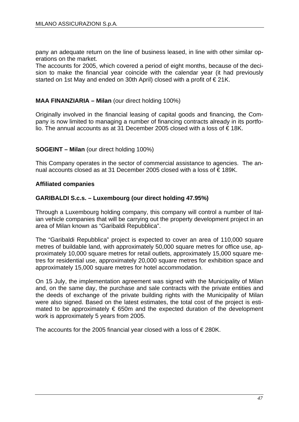pany an adequate return on the line of business leased, in line with other similar operations on the market.

The accounts for 2005, which covered a period of eight months, because of the decision to make the financial year coincide with the calendar year (it had previously started on 1st May and ended on 30th April) closed with a profit of €21K.

#### **MAA FINANZIARIA – Milan** (our direct holding 100%)

Originally involved in the financial leasing of capital goods and financing, the Company is now limited to managing a number of financing contracts already in its portfolio. The annual accounts as at 31 December 2005 closed with a loss of €18K.

#### **SOGEINT – Milan** (our direct holding 100%)

This Company operates in the sector of commercial assistance to agencies. The annual accounts closed as at 31 December 2005 closed with a loss of  $\in$  189K.

#### **Affiliated companies**

#### **GARIBALDI S.c.s. – Luxembourg (our direct holding 47.95%)**

Through a Luxembourg holding company, this company will control a number of Italian vehicle companies that will be carrying out the property development project in an area of Milan known as "Garibaldi Repubblica".

The "Garibaldi Repubblica" project is expected to cover an area of 110,000 square metres of buildable land, with approximately 50,000 square metres for office use, approximately 10,000 square metres for retail outlets, approximately 15,000 square metres for residential use, approximately 20,000 square metres for exhibition space and approximately 15,000 square metres for hotel accommodation.

On 15 July, the implementation agreement was signed with the Municipality of Milan and, on the same day, the purchase and sale contracts with the private entities and the deeds of exchange of the private building rights with the Municipality of Milan were also signed. Based on the latest estimates, the total cost of the project is estimated to be approximately  $\epsilon$  650m and the expected duration of the development work is approximately 5 years from 2005.

The accounts for the 2005 financial year closed with a loss of  $\epsilon$  280K.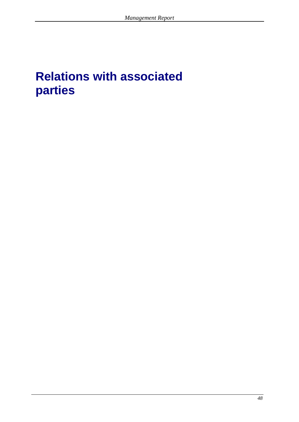# **Relations with associated parties**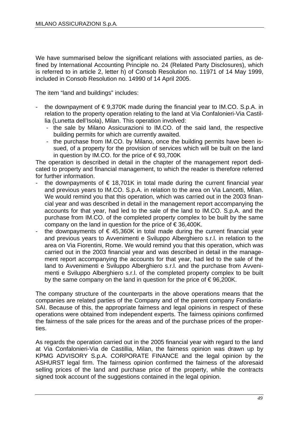We have summarised below the significant relations with associated parties, as defined by International Accounting Principle no. 24 (Related Party Disclosures), which is referred to in article 2, letter h) of Consob Resolution no. 11971 of 14 May 1999, included in Consob Resolution no. 14990 of 14 April 2005.

The item "land and buildings" includes:

- the downpayment of  $\epsilon$  9,370K made during the financial year to IM.CO. S.p.A. in relation to the property operation relating to the land at Via Confalonieri-Via Castillia (Lunetta dell'Isola), Milan. This operation involved:
	- the sale by Milano Assicurazioni to IM.CO. of the said land, the respective building permits for which are currently awaited.
	- the purchase from IM.CO. by Milano, once the building permits have been issued, of a property for the provision of services which will be built on the land in question by IM.CO. for the price of  $\epsilon$ 93,700K

The operation is described in detail in the chapter of the management report dedicated to property and financial management, to which the reader is therefore referred for further information.

- the downpayments of  $\epsilon$  18,701K in total made during the current financial year and previous years to IM.CO. S.p.A. in relation to the area on Via Lancetti, Milan. We would remind you that this operation, which was carried out in the 2003 financial year and was described in detail in the management report accompanying the accounts for that year, had led to the sale of the land to IM.CO. S.p.A. and the purchase from IM.CO. of the completed property complex to be built by the same company on the land in question for the price of  $\epsilon$  36,400K.
- the downpayments of  $\epsilon$  45,360K in total made during the current financial year and previous years to Avvenimenti e Sviluppo Alberghiero s.r.l. in relation to the area on Via Fiorentini, Rome. We would remind you that this operation, which was carried out in the 2003 financial year and was described in detail in the management report accompanying the accounts for that year, had led to the sale of the land to Avvenimenti e Sviluppo Alberghiero s.r.l. and the purchase from Avvenimenti e Sviluppo Alberghiero s.r.l. of the completed property complex to be built by the same company on the land in question for the price of  $\epsilon$  96,200K.

The company structure of the counterparts in the above operations means that the companies are related parties of the Company and of the parent company Fondiaria-SAI. Because of this, the appropriate fairness and legal opinions in respect of these operations were obtained from independent experts. The fairness opinions confirmed the fairness of the sale prices for the areas and of the purchase prices of the properties.

As regards the operation carried out in the 2005 financial year with regard to the land at Via Confalonieri-Via de Castillia, Milan, the fairness opinion was drawn up by KPMG ADVISORY S.p.A. CORPORATE FINANCE and the legal opinion by the ASHURST legal firm. The fairness opinion confirmed the fairness of the aforesaid selling prices of the land and purchase price of the property, while the contracts signed took account of the suggestions contained in the legal opinion.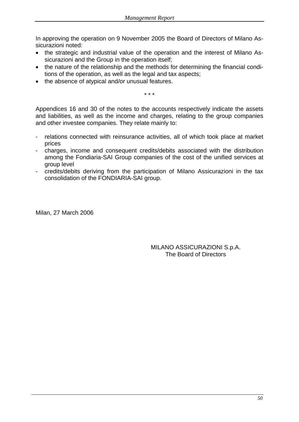In approving the operation on 9 November 2005 the Board of Directors of Milano Assicurazioni noted:

- the strategic and industrial value of the operation and the interest of Milano Assicurazioni and the Group in the operation itself;
- the nature of the relationship and the methods for determining the financial conditions of the operation, as well as the legal and tax aspects;
- the absence of atypical and/or unusual features.

\* \* \*

Appendices 16 and 30 of the notes to the accounts respectively indicate the assets and liabilities, as well as the income and charges, relating to the group companies and other investee companies. They relate mainly to:

- relations connected with reinsurance activities, all of which took place at market prices
- charges, income and consequent credits/debits associated with the distribution among the Fondiaria-SAI Group companies of the cost of the unified services at group level
- credits/debits deriving from the participation of Milano Assicurazioni in the tax consolidation of the FONDIARIA-SAI group.

Milan, 27 March 2006

MILANO ASSICURAZIONI S.p.A. The Board of Directors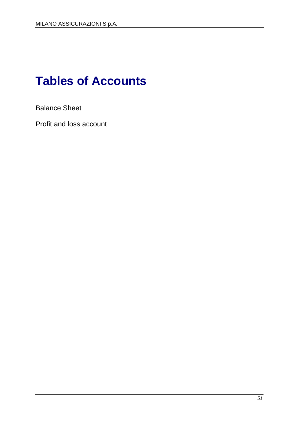# **Tables of Accounts**

Balance Sheet

Profit and loss account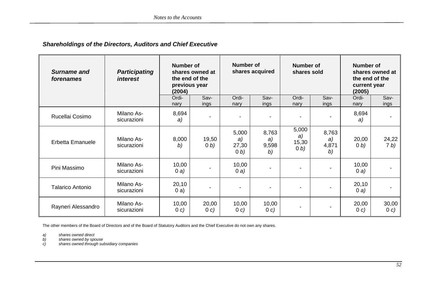#### *Shareholdings of the Directors, Auditors and Chief Executive*

| Surname and<br>forenames | <b>Participating</b><br><i>interest</i> | Number of<br>(2004)<br>Ordi- | shares owned at<br>the end of the<br>previous year<br>Sav- | Number of<br>Ordi-             | shares acquired<br>Sav-    | <b>Number of</b><br>shares sold<br>Ordi- | Sav-                             | <b>Number of</b><br>current year<br>(2005)<br>Ordi- | shares owned at<br>the end of the<br>Sav- |
|--------------------------|-----------------------------------------|------------------------------|------------------------------------------------------------|--------------------------------|----------------------------|------------------------------------------|----------------------------------|-----------------------------------------------------|-------------------------------------------|
| Rucellai Cosimo          | Milano As-<br>sicurazioni               | nary<br>8,694<br>a)          | ings                                                       | nary                           | ings                       | nary                                     | ings<br>$\overline{\phantom{a}}$ | nary<br>8,694<br>a)                                 | ings                                      |
| <b>Erbetta Emanuele</b>  | Milano As-<br>sicurazioni               | 8,000<br>b)                  | 19,50<br>(0, b)                                            | 5,000<br>a)<br>27,30<br>(0, b) | 8,763<br>a)<br>9,598<br>b) | 5,000<br>a)<br>15,30<br>(0, b)           | 8,763<br>a)<br>4,871<br>b)       | 20,00<br>(0, b)                                     | 24,22<br>7 <sub>b</sub>                   |
| Pini Massimo             | Milano As-<br>sicurazioni               | 10,00<br>0a)                 |                                                            | 10,00<br>0a)                   |                            |                                          | $\blacksquare$                   | 10,00<br>0a)                                        |                                           |
| <b>Talarico Antonio</b>  | Milano As-<br>sicurazioni               | 20,10<br>0a)                 | $\overline{\phantom{0}}$                                   | $\overline{\phantom{a}}$       |                            |                                          |                                  | 20,10<br>0a)                                        |                                           |
| Rayneri Alessandro       | Milano As-<br>sicurazioni               | 10,00<br>0 c)                | 20,00<br>0 c)                                              | 10,00<br>0 c)                  | 10,00<br>0 c)              |                                          | $\blacksquare$                   | 20,00<br>0 c)                                       | 30,00<br>0 c)                             |

The other members of the Board of Directors and of the Board of Statutory Auditors and the Chief Executive do not own any shares.

*a) shares owned direct b) shares owned by spouse* 

*c) shares owned through subsidiary companies*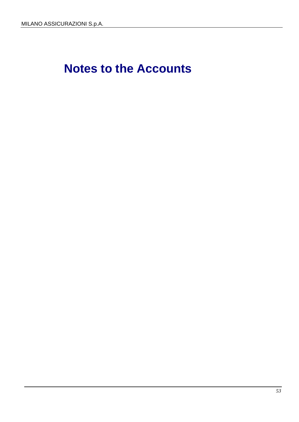# **Notes to the Accounts**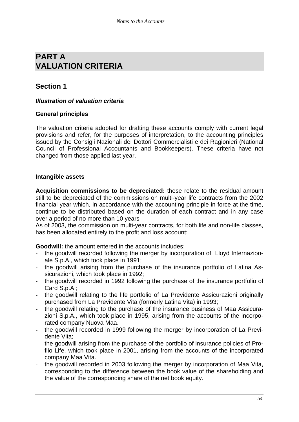# **PART A VALUATION CRITERIA**

### **Section 1**

#### *Illustration of valuation criteria*

#### **General principles**

The valuation criteria adopted for drafting these accounts comply with current legal provisions and refer, for the purposes of interpretation, to the accounting principles issued by the Consigli Nazionali dei Dottori Commercialisti e dei Ragionieri (National Council of Professional Accountants and Bookkeepers). These criteria have not changed from those applied last year.

#### **Intangible assets**

**Acquisition commissions to be depreciated:** these relate to the residual amount still to be depreciated of the commissions on multi-year life contracts from the 2002 financial year which, in accordance with the accounting principle in force at the time, continue to be distributed based on the duration of each contract and in any case over a period of no more than 10 years

As of 2003, the commission on multi-year contracts, for both life and non-life classes, has been allocated entirely to the profit and loss account:

**Goodwill:** the amount entered in the accounts includes:

- the goodwill recorded following the merger by incorporation of Lloyd Internazionale S.p.A., which took place in 1991;
- the goodwill arising from the purchase of the insurance portfolio of Latina Assicurazioni, which took place in 1992;
- the goodwill recorded in 1992 following the purchase of the insurance portfolio of Card S.p.A.;
- the goodwill relating to the life portfolio of La Previdente Assicurazioni originally purchased from La Previdente Vita (formerly Latina Vita) in 1993;
- the goodwill relating to the purchase of the insurance business of Maa Assicurazioni S.p.A., which took place in 1995, arising from the accounts of the incorporated company Nuova Maa.
- the goodwill recorded in 1999 following the merger by incorporation of La Previdente Vita;
- the goodwill arising from the purchase of the portfolio of insurance policies of Profilo Life, which took place in 2001, arising from the accounts of the incorporated company Maa Vita.
- the goodwill recorded in 2003 following the merger by incorporation of Maa Vita, corresponding to the difference between the book value of the shareholding and the value of the corresponding share of the net book equity.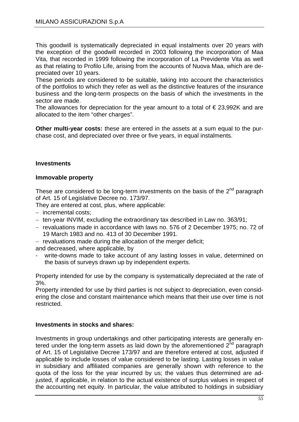This goodwill is systematically depreciated in equal instalments over 20 years with the exception of the goodwill recorded in 2003 following the incorporation of Maa Vita, that recorded in 1999 following the incorporation of La Previdente Vita as well as that relating to Profilo Life, arising from the accounts of Nuova Maa, which are depreciated over 10 years.

These periods are considered to be suitable, taking into account the characteristics of the portfolios to which they refer as well as the distinctive features of the insurance business and the long-term prospects on the basis of which the investments in the sector are made.

The allowances for depreciation for the year amount to a total of  $\epsilon$  23,992K and are allocated to the item "other charges".

**Other multi-year costs:** these are entered in the assets at a sum equal to the purchase cost, and depreciated over three or five years, in equal instalments.

#### **Investments**

#### **Immovable property**

These are considered to be long-term investments on the basis of the  $2<sup>nd</sup>$  paragraph of Art. 15 of Legislative Decree no. 173/97.

They are entered at cost, plus, where applicable:

- − incremental costs;
- − ten-year INVIM, excluding the extraordinary tax described in Law no. 363/91;
- − revaluations made in accordance with laws no. 576 of 2 December 1975; no. 72 of 19 March 1983 and no. 413 of 30 December 1991.
- − revaluations made during the allocation of the merger deficit;

and decreased, where applicable, by

write-downs made to take account of any lasting losses in value, determined on the basis of surveys drawn up by independent experts.

Property intended for use by the company is systematically depreciated at the rate of 3%.

Property intended for use by third parties is not subject to depreciation, even considering the close and constant maintenance which means that their use over time is not restricted.

#### **Investments in stocks and shares:**

Investments in group undertakings and other participating interests are generally entered under the long-term assets as laid down by the aforementioned  $2<sup>nd</sup>$  paragraph of Art. 15 of Legislative Decree 173/97 and are therefore entered at cost, adjusted if applicable to include losses of value considered to be lasting. Lasting losses in value in subsidiary and affiliated companies are generally shown with reference to the quota of the loss for the year incurred by us; the values thus determined are adjusted, if applicable, in relation to the actual existence of surplus values in respect of the accounting net equity. In particular, the value attributed to holdings in subsidiary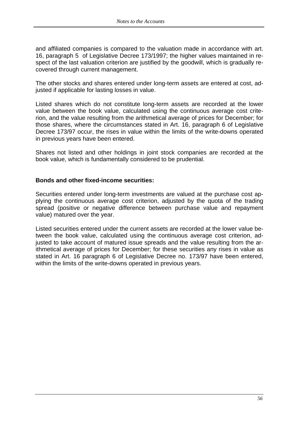and affiliated companies is compared to the valuation made in accordance with art. 16, paragraph 5 of Legislative Decree 173/1997; the higher values maintained in respect of the last valuation criterion are justified by the goodwill, which is gradually recovered through current management.

The other stocks and shares entered under long-term assets are entered at cost, adjusted if applicable for lasting losses in value.

Listed shares which do not constitute long-term assets are recorded at the lower value between the book value, calculated using the continuous average cost criterion, and the value resulting from the arithmetical average of prices for December; for those shares, where the circumstances stated in Art. 16, paragraph 6 of Legislative Decree 173/97 occur, the rises in value within the limits of the write-downs operated in previous years have been entered.

Shares not listed and other holdings in joint stock companies are recorded at the book value, which is fundamentally considered to be prudential.

#### **Bonds and other fixed-income securities:**

Securities entered under long-term investments are valued at the purchase cost applying the continuous average cost criterion, adjusted by the quota of the trading spread (positive or negative difference between purchase value and repayment value) matured over the year.

Listed securities entered under the current assets are recorded at the lower value between the book value, calculated using the continuous average cost criterion, adjusted to take account of matured issue spreads and the value resulting from the arithmetical average of prices for December; for these securities any rises in value as stated in Art. 16 paragraph 6 of Legislative Decree no. 173/97 have been entered, within the limits of the write-downs operated in previous years.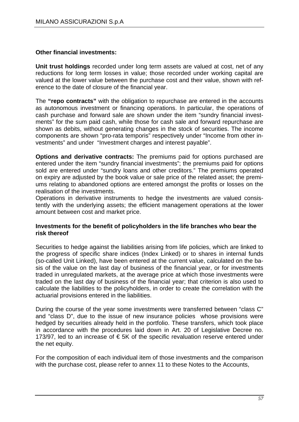#### **Other financial investments:**

**Unit trust holdings** recorded under long term assets are valued at cost, net of any reductions for long term losses in value; those recorded under working capital are valued at the lower value between the purchase cost and their value, shown with reference to the date of closure of the financial year.

The **"repo contracts"** with the obligation to repurchase are entered in the accounts as autonomous investment or financing operations. In particular, the operations of cash purchase and forward sale are shown under the item "sundry financial investments" for the sum paid cash, while those for cash sale and forward repurchase are shown as debits, without generating changes in the stock of securities. The income components are shown "pro-rata temporis" respectively under "Income from other investments" and under "Investment charges and interest payable".

**Options and derivative contracts:** The premiums paid for options purchased are entered under the item "sundry financial investments"; the premiums paid for options sold are entered under "sundry loans and other creditors." The premiums operated on expiry are adjusted by the book value or sale price of the related asset; the premiums relating to abandoned options are entered amongst the profits or losses on the realisation of the investments.

Operations in derivative instruments to hedge the investments are valued consistently with the underlying assets; the efficient management operations at the lower amount between cost and market price.

#### **Investments for the benefit of policyholders in the life branches who bear the risk thereof**

Securities to hedge against the liabilities arising from life policies, which are linked to the progress of specific share indices (Index Linked) or to shares in internal funds (so-called Unit Linked), have been entered at the current value, calculated on the basis of the value on the last day of business of the financial year, or for investments traded in unregulated markets, at the average price at which those investments were traded on the last day of business of the financial year; that criterion is also used to calculate the liabilities to the policyholders, in order to create the correlation with the actuarial provisions entered in the liabilities.

During the course of the year some investments were transferred between "class C" and "class D", due to the issue of new insurance policies whose provisions were hedged by securities already held in the portfolio. These transfers, which took place in accordance with the procedures laid down in Art. 20 of Legislative Decree no. 173/97, led to an increase of  $\epsilon$  5K of the specific revaluation reserve entered under the net equity.

For the composition of each individual item of those investments and the comparison with the purchase cost, please refer to annex 11 to these Notes to the Accounts,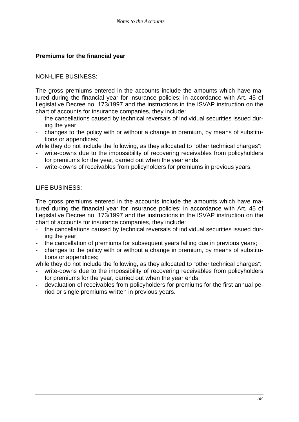#### **Premiums for the financial year**

#### NON-LIFE BUSINESS:

The gross premiums entered in the accounts include the amounts which have matured during the financial year for insurance policies; in accordance with Art. 45 of Legislative Decree no. 173/1997 and the instructions in the ISVAP instruction on the chart of accounts for insurance companies, they include:

- the cancellations caused by technical reversals of individual securities issued during the year;
- changes to the policy with or without a change in premium, by means of substitutions or appendices;

while they do not include the following, as they allocated to "other technical charges":

- write-downs due to the impossibility of recovering receivables from policyholders for premiums for the year, carried out when the year ends;
- write-downs of receivables from policyholders for premiums in previous years.

#### LIFE BUSINESS:

The gross premiums entered in the accounts include the amounts which have matured during the financial year for insurance policies; in accordance with Art. 45 of Legislative Decree no. 173/1997 and the instructions in the ISVAP instruction on the chart of accounts for insurance companies, they include:

- the cancellations caused by technical reversals of individual securities issued during the year;
- the cancellation of premiums for subsequent years falling due in previous years;
- changes to the policy with or without a change in premium, by means of substitutions or appendices;

while they do not include the following, as they allocated to "other technical charges":

- write-downs due to the impossibility of recovering receivables from policyholders for premiums for the year, carried out when the year ends;
- devaluation of receivables from policyholders for premiums for the first annual period or single premiums written in previous years.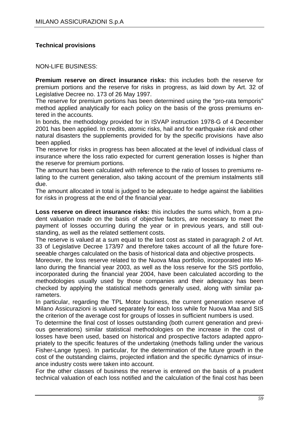#### **Technical provisions**

NON-LIFE BUSINESS:

**Premium reserve on direct insurance risks:** this includes both the reserve for premium portions and the reserve for risks in progress, as laid down by Art. 32 of Legislative Decree no. 173 of 26 May 1997.

The reserve for premium portions has been determined using the "pro-rata temporis" method applied analytically for each policy on the basis of the gross premiums entered in the accounts.

In bonds, the methodology provided for in ISVAP instruction 1978-G of 4 December 2001 has been applied. In credits, atomic risks, hail and for earthquake risk and other natural disasters the supplements provided for by the specific provisions have also been applied.

The reserve for risks in progress has been allocated at the level of individual class of insurance where the loss ratio expected for current generation losses is higher than the reserve for premium portions.

The amount has been calculated with reference to the ratio of losses to premiums relating to the current generation, also taking account of the premium instalments still due.

The amount allocated in total is judged to be adequate to hedge against the liabilities for risks in progress at the end of the financial year.

**Loss reserve on direct insurance risks:** this includes the sums which, from a prudent valuation made on the basis of objective factors, are necessary to meet the payment of losses occurring during the year or in previous years, and still outstanding, as well as the related settlement costs.

The reserve is valued at a sum equal to the last cost as stated in paragraph 2 of Art. 33 of Legislative Decree 173/97 and therefore takes account of all the future foreseeable charges calculated on the basis of historical data and objective prospects.

Moreover, the loss reserve related to the Nuova Maa portfolio, incorporated into Milano during the financial year 2003, as well as the loss reserve for the SIS portfolio, incorporated during the financial year 2004, have been calculated according to the methodologies usually used by those companies and their adequacy has been checked by applying the statistical methods generally used, along with similar parameters.

In particular, regarding the TPL Motor business, the current generation reserve of Milano Assicurazioni is valued separately for each loss while for Nuova Maa and SIS the criterion of the average cost for groups of losses in sufficient numbers is used.

To determine the final cost of losses outstanding (both current generation and previous generations) similar statistical methodologies on the increase in the cost of losses have been used, based on historical and prospective factors adapted appropriately to the specific features of the undertaking (methods falling under the various Fisher-Lange types). In particular, for the determination of the future growth in the cost of the outstanding claims, projected inflation and the specific dynamics of insurance industry costs were taken into account.

For the other classes of business the reserve is entered on the basis of a prudent technical valuation of each loss notified and the calculation of the final cost has been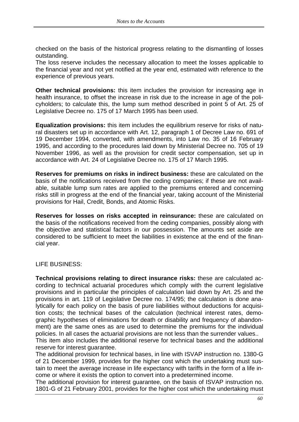checked on the basis of the historical progress relating to the dismantling of losses outstanding.

The loss reserve includes the necessary allocation to meet the losses applicable to the financial year and not yet notified at the year end, estimated with reference to the experience of previous years.

**Other technical provisions:** this item includes the provision for increasing age in health insurance, to offset the increase in risk due to the increase in age of the policyholders; to calculate this, the lump sum method described in point 5 of Art. 25 of Legislative Decree no. 175 of 17 March 1995 has been used.

**Equalization provisions:** this item includes the equilibrium reserve for risks of natural disasters set up in accordance with Art. 12, paragraph 1 of Decree Law no. 691 of 19 December 1994, converted, with amendments, into Law no. 35 of 16 February 1995, and according to the procedures laid down by Ministerial Decree no. 705 of 19 November 1996, as well as the provision for credit sector compensation, set up in accordance with Art. 24 of Legislative Decree no. 175 of 17 March 1995.

**Reserves for premiums on risks in indirect business:** these are calculated on the basis of the notifications received from the ceding companies; if these are not available, suitable lump sum rates are applied to the premiums entered and concerning risks still in progress at the end of the financial year, taking account of the Ministerial provisions for Hail, Credit, Bonds, and Atomic Risks.

**Reserves for losses on risks accepted in reinsurance:** these are calculated on the basis of the notifications received from the ceding companies, possibly along with the objective and statistical factors in our possession. The amounts set aside are considered to be sufficient to meet the liabilities in existence at the end of the financial year.

LIFE BUSINESS:

**Technical provisions relating to direct insurance risks:** these are calculated according to technical actuarial procedures which comply with the current legislative provisions and in particular the principles of calculation laid down by Art. 25 and the provisions in art. 119 of Legislative Decree no. 174/95; the calculation is done analytically for each policy on the basis of pure liabilities without deductions for acquisition costs; the technical bases of the calculation (technical interest rates, demographic hypotheses of eliminations for death or disability and frequency of abandonment) are the same ones as are used to determine the premiums for the individual policies. In all cases the actuarial provisions are not less than the surrender values..

This item also includes the additional reserve for technical bases and the additional reserve for interest guarantee.

The additional provision for technical bases, in line with ISVAP instruction no. 1380-G of 21 December 1999, provides for the higher cost which the undertaking must sustain to meet the average increase in life expectancy with tariffs in the form of a life income or where it exists the option to convert into a predetermined income.

The additional provision for interest guarantee, on the basis of ISVAP instruction no. 1801-G of 21 February 2001, provides for the higher cost which the undertaking must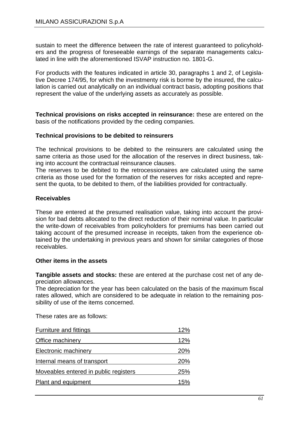sustain to meet the difference between the rate of interest guaranteed to policyholders and the progress of foreseeable earnings of the separate managements calculated in line with the aforementioned ISVAP instruction no. 1801-G.

For products with the features indicated in article 30, paragraphs 1 and 2, of Legislative Decree 174/95, for which the investmenty risk is borme by the insured, the calculation is carried out analytically on an individual contract basis, adopting positions that represent the value of the underlying assets as accurately as possible.

**Technical provisions on risks accepted in reinsurance:** these are entered on the basis of the notifications provided by the ceding companies.

#### **Technical provisions to be debited to reinsurers**

The technical provisions to be debited to the reinsurers are calculated using the same criteria as those used for the allocation of the reserves in direct business, taking into account the contractual reinsurance clauses.

The reserves to be debited to the retrocessionaires are calculated using the same criteria as those used for the formation of the reserves for risks accepted and represent the quota, to be debited to them, of the liabilities provided for contractually.

#### **Receivables**

These are entered at the presumed realisation value, taking into account the provision for bad debts allocated to the direct reduction of their nominal value. In particular the write-down of receivables from policyholders for premiums has been carried out taking account of the presumed increase in receipts, taken from the experience obtained by the undertaking in previous years and shown for similar categories of those receivables.

#### **Other items in the assets**

**Tangible assets and stocks:** these are entered at the purchase cost net of any depreciation allowances.

The depreciation for the year has been calculated on the basis of the maximum fiscal rates allowed, which are considered to be adequate in relation to the remaining possibility of use of the items concerned.

These rates are as follows:

| <b>Furniture and fittings</b>         | 12% |
|---------------------------------------|-----|
| Office machinery                      | 12% |
| Electronic machinery                  | 20% |
| Internal means of transport           | 20% |
| Moveables entered in public registers | 25% |
| Plant and equipment                   | 15% |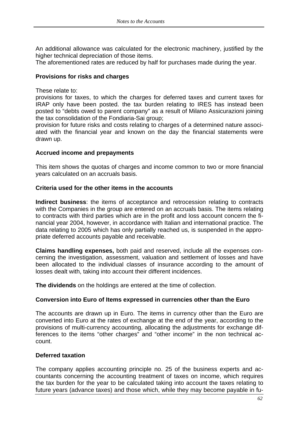An additional allowance was calculated for the electronic machinery, justified by the higher technical depreciation of those items.

The aforementioned rates are reduced by half for purchases made during the year.

#### **Provisions for risks and charges**

These relate to:

provisions for taxes, to which the charges for deferred taxes and current taxes for IRAP only have been posted. the tax burden relating to IRES has instead been posted to "debts owed to parent company" as a result of Milano Assicurazioni joining the tax consolidation of the Fondiaria-Sai group;

provision for future risks and costs relating to charges of a determined nature associated with the financial year and known on the day the financial statements were drawn up.

#### **Accrued income and prepayments**

This item shows the quotas of charges and income common to two or more financial years calculated on an accruals basis.

#### **Criteria used for the other items in the accounts**

**Indirect business**: the items of acceptance and retrocession relating to contracts with the Companies in the group are entered on an accruals basis. The items relating to contracts with third parties which are in the profit and loss account concern the financial year 2004, however, in accordance with Italian and international practice. The data relating to 2005 which has only partially reached us, is suspended in the appropriate deferred accounts payable and receivable.

**Claims handling expenses,** both paid and reserved, include all the expenses concerning the investigation, assessment, valuation and settlement of losses and have been allocated to the individual classes of insurance according to the amount of losses dealt with, taking into account their different incidences.

**The dividends** on the holdings are entered at the time of collection.

#### **Conversion into Euro of Items expressed in currencies other than the Euro**

The accounts are drawn up in Euro. The items in currency other than the Euro are converted into Euro at the rates of exchange at the end of the year, according to the provisions of multi-currency accounting, allocating the adjustments for exchange differences to the items "other charges" and "other income" in the non technical account.

#### **Deferred taxation**

The company applies accounting principle no. 25 of the business experts and accountants concerning the accounting treatment of taxes on income, which requires the tax burden for the year to be calculated taking into account the taxes relating to future years (advance taxes) and those which, while they may become payable in fu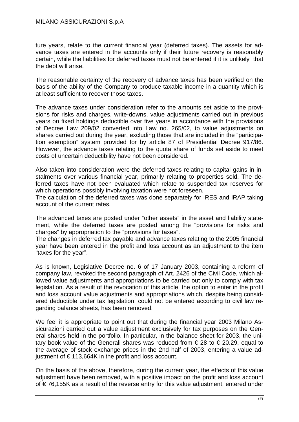ture years, relate to the current financial year (deferred taxes). The assets for advance taxes are entered in the accounts only if their future recovery is reasonably certain, while the liabilities for deferred taxes must not be entered if it is unlikely that the debt will arise.

The reasonable certainty of the recovery of advance taxes has been verified on the basis of the ability of the Company to produce taxable income in a quantity which is at least sufficient to recover those taxes.

The advance taxes under consideration refer to the amounts set aside to the provisions for risks and charges, write-downs, value adjustments carried out in previous years on fixed holdings deductible over five years in accordance with the provisions of Decree Law 209/02 converted into Law no. 265/02, to value adjustments on shares carried out during the year, excluding those that are included in the "participation exemption" system provided for by article 87 of Presidential Decree 917/86. However, the advance taxes relating to the quota share of funds set aside to meet costs of uncertain deductibility have not been considered.

Also taken into consideration were the deferred taxes relating to capital gains in instalments over various financial year, primarily relating to properties sold. The deferred taxes have not been evaluated which relate to suspended tax reserves for which operations possibly involving taxation were not foreseen.

The calculation of the deferred taxes was done separately for IRES and IRAP taking account of the current rates.

The advanced taxes are posted under "other assets" in the asset and liability statement, while the deferred taxes are posted among the "provisions for risks and charges" by appropriation to the "provisions for taxes".

The changes in deferred tax payable and advance taxes relating to the 2005 financial year have been entered in the profit and loss account as an adjustment to the item "taxes for the year".

As is known, Legislative Decree no. 6 of 17 January 2003, containing a reform of company law, revoked the second paragraph of Art. 2426 of the Civil Code, which allowed value adjustments and appropriations to be carried out only to comply with tax legislation. As a result of the revocation of this article, the option to enter in the profit and loss account value adjustments and appropriations which, despite being considered deductible under tax legislation, could not be entered according to civil law regarding balance sheets, has been removed.

We feel it is appropriate to point out that during the financial year 2003 Milano Assicurazioni carried out a value adjustment exclusively for tax purposes on the General shares held in the portfolio. In particular, in the balance sheet for 2003, the unitary book value of the Generali shares was reduced from  $\epsilon$  28 to  $\epsilon$  20.29, equal to the average of stock exchange prices in the 2nd half of 2003, entering a value adjustment of €113,664K in the profit and loss account.

On the basis of the above, therefore, during the current year, the effects of this value adjustment have been removed, with a positive impact on the profit and loss account of € 76,155K as a result of the reverse entry for this value adjustment, entered under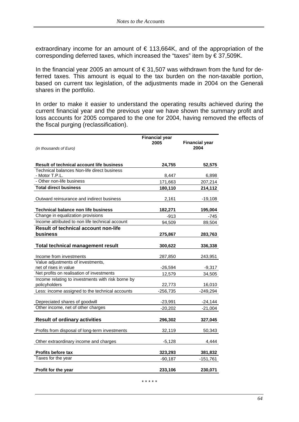extraordinary income for an amount of  $\epsilon$  113,664K, and of the appropriation of the corresponding deferred taxes, which increased the "taxes" item by € 37,509K.

In the financial year 2005 an amount of  $\epsilon$  31,507 was withdrawn from the fund for deferred taxes. This amount is equal to the tax burden on the non-taxable portion, based on current tax legislation, of the adjustments made in 2004 on the Generali shares in the portfolio.

In order to make it easier to understand the operating results achieved during the current financial year and the previous year we have shown the summary profit and loss accounts for 2005 compared to the one for 2004, having removed the effects of the fiscal purging (reclassification).

| (in thousands of Euro)                                             | <b>Financial year</b><br>2005 | <b>Financial year</b><br>2004 |
|--------------------------------------------------------------------|-------------------------------|-------------------------------|
| <b>Result of technical account life business</b>                   | 24,755                        | 52,575                        |
| Technical balances Non-life direct business<br>- Motor T.P.L.      | 8,447                         | 6,898                         |
| - Other non-life business                                          | 171,663                       | 207,214                       |
| <b>Total direct business</b>                                       | 180,110                       | 214,112                       |
| Outward reinsurance and indirect business                          | 2,161                         | -19,108                       |
| <b>Technical balance non life business</b>                         | 182,271                       | 195,004                       |
| Change in equalization provisions                                  | -913                          | -745                          |
| Income attributed to non life technical account                    | 94,509                        | 89,504                        |
| <b>Result of technical account non-life</b>                        |                               |                               |
| business                                                           | 275,867                       | 283,763                       |
| <b>Total technical management result</b>                           | 300,622                       | 336,338                       |
| Income from investments                                            | 287,850                       | 243,951                       |
| Value adjustments of investments,                                  |                               |                               |
| net of rises in value                                              | -26,594                       | $-9,317$                      |
| Net profits on realisation of investments                          | 12,579                        | 34,505                        |
| Income relating to investments with risk borne by<br>policyholders | 22,773                        | 16,010                        |
| Less: income assigned to the technical accounts                    | $-256,735$                    | $-249,294$                    |
| Depreciated shares of goodwill                                     | $-23,991$                     | -24,144                       |
| Other income, net of other charges                                 | $-20,202$                     | $-21,004$                     |
| <b>Result of ordinary activities</b>                               | 296,302                       | 327,045                       |
| Profits from disposal of long-term investments                     | 32,119                        | 50,343                        |
| Other extraordinary income and charges                             | $-5,128$                      | 4,444                         |
| Profits before tax                                                 | 323,293                       | 381,832                       |
| Taxes for the year                                                 | $-90,187$                     | $-151,761$                    |
| Profit for the year                                                | 233,106                       | 230,071                       |

\* \* \* \* \*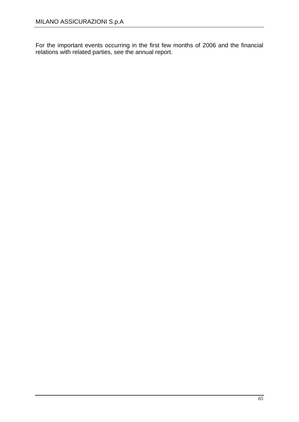For the important events occurring in the first few months of 2006 and the financial relations with related parties, see the annual report.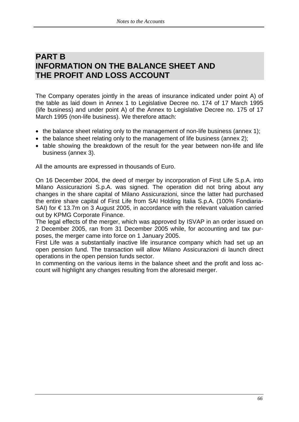# **PART B INFORMATION ON THE BALANCE SHEET AND THE PROFIT AND LOSS ACCOUNT**

The Company operates jointly in the areas of insurance indicated under point A) of the table as laid down in Annex 1 to Legislative Decree no. 174 of 17 March 1995 (life business) and under point A) of the Annex to Legislative Decree no. 175 of 17 March 1995 (non-life business). We therefore attach:

- the balance sheet relating only to the management of non-life business (annex 1);
- the balance sheet relating only to the management of life business (annex 2);
- table showing the breakdown of the result for the year between non-life and life business (annex 3).

All the amounts are expressed in thousands of Euro.

On 16 December 2004, the deed of merger by incorporation of First Life S.p.A. into Milano Assicurazioni S.p.A. was signed. The operation did not bring about any changes in the share capital of Milano Assicurazioni, since the latter had purchased the entire share capital of First Life from SAI Holding Italia S.p.A. (100% Fondiaria-SAI) for  $\epsilon$  13.7m on 3 August 2005, in accordance with the relevant valuation carried out by KPMG Corporate Finance.

The legal effects of the merger, which was approved by ISVAP in an order issued on 2 December 2005, ran from 31 December 2005 while, for accounting and tax purposes, the merger came into force on 1 January 2005.

First Life was a substantially inactive life insurance company which had set up an open pension fund. The transaction will allow Milano Assicurazioni di launch direct operations in the open pension funds sector.

In commenting on the various items in the balance sheet and the profit and loss account will highlight any changes resulting from the aforesaid merger.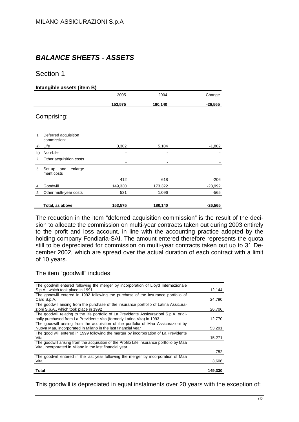## *BALANCE SHEETS - ASSETS*

#### Section 1

#### **Intangible assets (item B)**

|    |                                      | 2005                         | 2004    | Change    |
|----|--------------------------------------|------------------------------|---------|-----------|
|    |                                      | 153,575                      | 180,140 | $-26,565$ |
|    | Comprising:                          |                              |         |           |
| 1. | Deferred acquisition<br>commission:  |                              |         |           |
| a) | Life                                 | 3,302                        | 5,104   | $-1,802$  |
| b) | Non-Life                             | ۰                            |         |           |
| 2. | Other acquisition costs              | $\qquad \qquad \blacksquare$ |         |           |
| 3. | enlarge-<br>Set-up and<br>ment costs |                              |         |           |
|    |                                      | 412                          | 618     | $-206$    |
| 4. | Goodwill                             | 149,330                      | 173,322 | $-23,992$ |
| 5. | Other multi-year costs               | 531                          | 1,096   | $-565$    |
|    | Total, as above                      | 153,575                      | 180,140 | $-26,565$ |

The reduction in the item "deferred acquisition commission" is the result of the decision to allocate the commission on multi-year contracts taken out during 2003 entirely to the profit and loss account, in line with the accounting practice adopted by the holding company Fondiaria-SAI. The amount entered therefore represents the quota still to be depreciated for commission on multi-year contracts taken out up to 31 December 2002, which are spread over the actual duration of each contract with a limit of 10 years.

#### The item "goodwill" includes:

| The goodwill entered following the merger by incorporation of Lloyd Internazionale       |         |
|------------------------------------------------------------------------------------------|---------|
| S.p.A., which took place in 1991                                                         | 12,144  |
| The goodwill entered in 1992 following the purchase of the insurance portfolio of        |         |
| Card S.p.A.                                                                              | 24,790  |
| The goodwill arising from the purchase of the insurance portfolio of Latina Assicura-    |         |
| zioni S.p.A., which took place in 1992                                                   | 26,706  |
| The goodwill relating to the life portfolio of La Previdente Assicurazioni S.p.A. origi- |         |
| nally purchased from La Previdente Vita (formerly Latina Vita) in 1993                   | 12,770  |
| The goodwill arising from the acquisition of the portfolio of Maa Assicurazioni by       |         |
| Nuova Maa, incorporated in Milano in the last financial year                             | 53,291  |
| The good will entered in 1999 following the merger by incorporation of La Previdente     |         |
| Vita                                                                                     | 15,271  |
| The goodwill arising from the acquisition of the Profilo Life insurance portfolio by Maa |         |
| Vita, incorporated in Milano in the last financial year                                  |         |
|                                                                                          | 752     |
| The goodwill entered in the last year following the merger by incorporation of Maa       |         |
| Vita                                                                                     | 3,606   |
|                                                                                          |         |
| Total                                                                                    | 149,330 |

This goodwill is depreciated in equal instalments over 20 years with the exception of: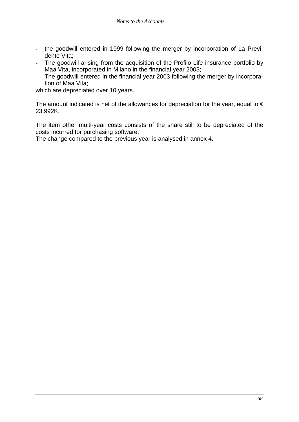- the goodwill entered in 1999 following the merger by incorporation of La Previdente Vita;
- The goodwill arising from the acquisition of the Profilo Life insurance portfolio by Maa Vita, incorporated in Milano in the financial year 2003;
- The goodwill entered in the financial year 2003 following the merger by incorporation of Maa Vita;

which are depreciated over 10 years.

The amount indicated is net of the allowances for depreciation for the year, equal to  $\epsilon$ 23,992K.

The item other multi-year costs consists of the share still to be depreciated of the costs incurred for purchasing software.

The change compared to the previous year is analysed in annex 4.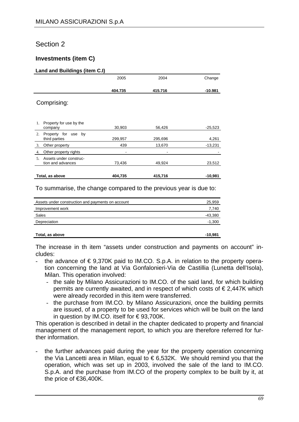### Section 2

#### **Investments (item C)**

#### **Land and Buildings (item C.I)**

|                  |                                             | 2005    | 2004    | Change    |
|------------------|---------------------------------------------|---------|---------|-----------|
|                  |                                             | 404.735 | 415.716 | -10.981   |
|                  | Comprising:                                 |         |         |           |
| 1.               | Property for use by the<br>company          | 30,903  | 56,426  | $-25,523$ |
| $\overline{2}$ . | Property for use by<br>third parties        | 299,957 | 295,696 | 4,261     |
| 3.               | Other property                              | 439     | 13,670  | $-13,231$ |
| 4.               | Other property rights                       |         |         |           |
| .5               | Assets under construc-<br>tion and advances | 73,436  | 49,924  | 23,512    |
|                  | Total, as above                             | 404,735 | 415,716 | $-10,981$ |

To summarise, the change compared to the previous year is due to:

| Assets under construction and payments on account | 25,959    |
|---------------------------------------------------|-----------|
| Improvement work                                  | 7,740     |
| Sales                                             | -43,380   |
| Depreciation                                      | $-1,300$  |
| Total, as above                                   | $-10,981$ |

The increase in th item "assets under construction and payments on account" includes:

- the advance of  $\epsilon$  9,370K paid to IM.CO. S.p.A. in relation to the property operation concerning the land at Via Gonfalonieri-Via de Castillia (Lunetta dell'Isola), Milan. This operation involved:
	- the sale by Milano Assicurazioni to IM.CO. of the said land, for which building permits are currently awaited, and in respect of which costs of  $\epsilon$  2,447K which were already recorded in this item were transferred.
	- the purchase from IM.CO. by Milano Assicurazioni, once the building permits are issued, of a property to be used for services which will be built on the land in question by IM.CO. itself for € 93,700K.

This operation is described in detail in the chapter dedicated to property and financial management of the management report, to which you are therefore referred for further information.

the further advances paid during the year for the property operation concerning the Via Lancetti area in Milan, equal to  $\epsilon$  6,532K. We should remind you that the operation, which was set up in 2003, involved the sale of the land to IM.CO. S.p.A. and the purchase from IM.CO of the property complex to be built by it, at the price of €36,400K.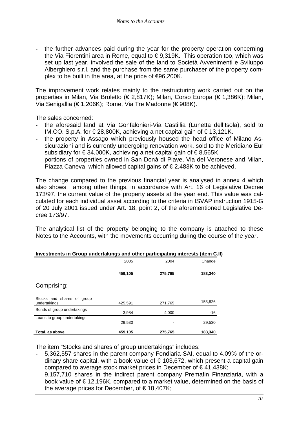the further advances paid during the year for the property operation concerning the Via Fiorentini area in Rome, equal to € 9,319K. This operation too, which was set up last year, involved the sale of the land to Società Avvenimenti e Sviluppo Alberghiero s.r.l. and the purchase from the same purchaser of the property complex to be built in the area, at the price of €96,200K.

The improvement work relates mainly to the restructuring work carried out on the properties in Milan, Via Broletto (€ 2,817K); Milan, Corso Europa (€ 1,386K); Milan, Via Senigallia (€ 1,206K); Rome, Via Tre Madonne (€ 908K).

The sales concerned:

- the aforesaid land at Via Gonfalonieri-Via Castillia (Lunetta dell'Isola), sold to IM.CO. S.p.A. for €28,800K, achieving a net capital gain of €13,121K.
- the property in Assago which previously housed the head office of Milano Assicurazioni and is currently undergoing renovation work, sold to the Meridiano Eur subsidiary for €34,000K, achieving a net capital gain of €8,565K.
- portions of properties owned in San Donà di Piave, Via del Veronese and Milan, Piazza Caneva, which allowed capital gains of € 2,483K to be achieved.

The change compared to the previous financial year is analysed in annex 4 which also shows, among other things, in accordance with Art. 16 of Legislative Decree 173/97, the current value of the property assets at the year end. This value was calculated for each individual asset according to the criteria in ISVAP instruction 1915-G of 20 July 2001 issued under Art. 18, point 2, of the aforementioned Legislative Decree 173/97.

The analytical list of the property belonging to the company is attached to these Notes to the Accounts, with the movements occurring during the course of the year.

|                                            | 2005    | 2004    | Change  |
|--------------------------------------------|---------|---------|---------|
|                                            | 459,105 | 275,765 | 183,340 |
| Comprising:                                |         |         |         |
| Stocks and shares of group<br>undertakings | 425,591 | 271,765 | 153,826 |
| Bonds of group undertakings                | 3,984   | 4,000   | $-16$   |
| Loans to group undertakings                | 29,530  |         | 29,530  |
| Total, as above                            | 459,105 | 275,765 | 183,340 |

| Investments in Group undertakings and other participating interests (item C.II) |  |  |
|---------------------------------------------------------------------------------|--|--|
|                                                                                 |  |  |

The item "Stocks and shares of group undertakings" includes:

- 5,362,557 shares in the parent company Fondiaria-SAI, equal to 4.09% of the ordinary share capital, with a book value of  $\epsilon$  103,672, which present a capital gain compared to average stock market prices in December of € 41,438K;
- 9,157,710 shares in the indirect parent company Premafin Finanziaria, with a book value of € 12,196K, compared to a market value, determined on the basis of the average prices for December, of  $\in$  18,407K;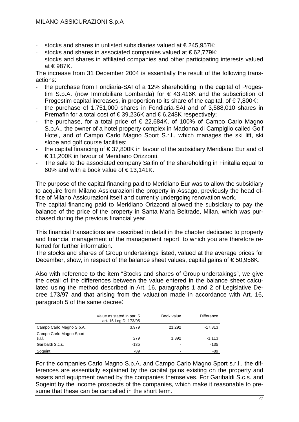- stocks and shares in unlisted subsidiaries valued at  $\epsilon$  245,957K;
- stocks and shares in associated companies valued at €62,779K;
- stocks and shares in affiliated companies and other participating interests valued at € 987K.

The increase from 31 December 2004 is essentially the result of the following transactions:

- the purchase from Fondiaria-SAI of a 12% shareholding in the capital of Progestim S.p.A. (now Immobiliare Lombarda) for € 43,416K and the subscription of Progestim capital increases, in proportion to its share of the capital, of  $\epsilon$ 7,800K;
- the purchase of 1,751,000 shares in Fondiaria-SAI and of 3,588,010 shares in Premafin for a total cost of € 39,236K and € 6,248K respectively;
- the purchase, for a total price of  $\epsilon$  22,684K, of 100% of Campo Carlo Magno S.p.A., the owner of a hotel property complex in Madonna di Campiglio called Golf Hotel, and of Campo Carlo Magno Sport S.r.l., which manages the ski lift, ski slope and golf course facilities;
- the capital financing of  $\epsilon$  37,800K in favour of the subsidiary Meridiano Eur and of € 11,200K in favour of Meridiano Orizzonti.
- The sale to the associated company Saifin of the shareholding in Finitalia equal to 60% and with a book value of  $\epsilon$  13,141K.

The purpose of the capital financing paid to Meridiano Eur was to allow the subsidiary to acquire from Milano Assicurazioni the property in Assago, previously the head office of Milano Assicurazioni itself and currently undergoing renovation work.

The capital financing paid to Meridiano Orizzonti allowed the subsidiary to pay the balance of the price of the property in Santa Maria Beltrade, Milan, which was purchased during the previous financial year.

This financial transactions are described in detail in the chapter dedicated to property and financial management of the management report, to which you are therefore referred for further information.

The stocks and shares of Group undertakings listed, valued at the average prices for December, show, in respect of the balance sheet values, capital gains of  $\epsilon$  50,956K.

Also with reference to the item "Stocks and shares of Group undertakings", we give the detail of the differences between the value entered in the balance sheet calculated using the method described in Art. 16, paragraphs 1 and 2 of Legislative Decree 173/97 and that arising from the valuation made in accordance with Art. 16, paragraph 5 of the same decree:

|                                   | Value as stated in par. 5<br>art. 16 Leg.D. 173/95 | Book value | <b>Difference</b> |
|-----------------------------------|----------------------------------------------------|------------|-------------------|
| Campo Carlo Magno S.p.A.          | 3.979                                              | 21,292     | $-17,313$         |
| Campo Carlo Magno Sport<br>s.r.l. | 279                                                | 1,392      | $-1,113$          |
| Garibaldi S.c.s.                  | -135                                               | -          | $-135$            |
| Sogeint                           | -89                                                |            | $-89$             |

For the companies Carlo Magno S.p.A. and Campo Carlo Magno Sport s.r.l., the differences are essentially explained by the capital gains existing on the property and assets and equipment owned by the companies themselves. For Garibaldi S.c.s. and Sogeint by the income prospects of the companies, which make it reasonable to presume that these can be cancelled in the short term.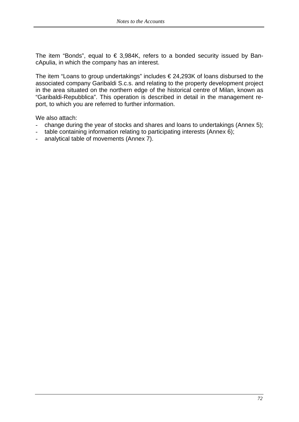The item "Bonds", equal to  $\epsilon$  3,984K, refers to a bonded security issued by BancApulia, in which the company has an interest.

The item "Loans to group undertakings" includes  $\epsilon$  24,293K of loans disbursed to the associated company Garibaldi S.c.s. and relating to the property development project in the area situated on the northern edge of the historical centre of Milan, known as "Garibaldi-Repubblica". This operation is described in detail in the management report, to which you are referred to further information.

We also attach:

- change during the year of stocks and shares and loans to undertakings (Annex 5);
- table containing information relating to participating interests (Annex 6);
- analytical table of movements (Annex 7).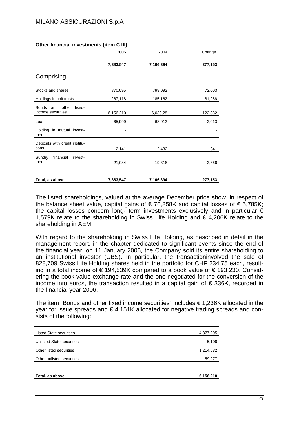|                                                | 2005      | 2004      | Change   |
|------------------------------------------------|-----------|-----------|----------|
|                                                | 7,383.547 | 7,106,394 | 277,153  |
| Comprising:                                    |           |           |          |
| Stocks and shares                              | 870,095   | 798,092   | 72,003   |
| Holdings in unit trusts                        | 267,118   | 185,162   | 81,956   |
| Bonds and other<br>fixed-<br>income securities | 6,156,210 | 6,033,28  | 122,882  |
| Loans                                          | 65,999    | 68,012    | $-2,013$ |
| Holding in mutual invest-<br>ments             |           |           |          |
| Deposits with credit institu-<br>tions         | 2,141     | 2,482     | -341     |
| financial<br>Sundry<br>invest-<br>ments        | 21,984    | 19,318    | 2,666    |
| Total, as above                                | 7,383,547 | 7,106,394 | 277,153  |

#### **Other financial investments (item C.III)**

The listed shareholdings, valued at the average December price show, in respect of the balance sheet value, capital gains of  $\epsilon$  70,858K and capital losses of  $\epsilon$  5,785K; the capital losses concern long- term investments exclusively and in particular  $\epsilon$ 1,579K relate to the shareholding in Swiss Life Holding and € 4,206K relate to the shareholding in AEM.

With regard to the shareholding in Swiss Life Holding, as described in detail in the management report, in the chapter dedicated to significant events since the end of the financial year, on 11 January 2006, the Company sold its entire shareholding to an institutional investor (UBS). In particular, the transactioninvolved the sale of 828,709 Swiss Life Holding shares held in the portfolio for CHF 234.75 each, resulting in a total income of € 194,539K compared to a book value of € 193,230. Considering the book value exchange rate and the one negotiated for the conversion of the income into euros, the transaction resulted in a capital gain of €336K, recorded in the financial year 2006.

The item "Bonds and other fixed income securities" includes  $\epsilon$  1,236K allocated in the year for issue spreads and € 4,151K allocated for negative trading spreads and consists of the following:

| <b>Listed State securities</b> | 4,877,295 |
|--------------------------------|-----------|
| Unlisted State securities      | 5,106     |
| Other listed securities        | 1,214,532 |
| Other unlisted securities      | 59,277    |
|                                |           |
| Total, as above                | 6,156,210 |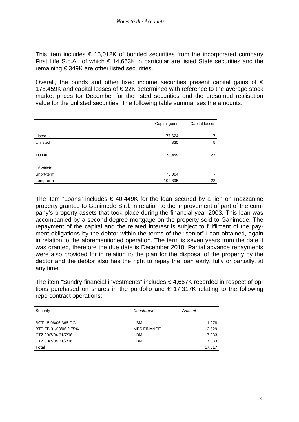This item includes  $\epsilon$  15,012K of bonded securities from the incorporated company First Life S.p.A., of which  $\epsilon$  14,663K in particular are listed State securities and the remaining € 349K are other listed securities.

Overall, the bonds and other fixed income securities present capital gains of  $\epsilon$ 178,459K and capital losses of € 22K determined with reference to the average stock market prices for December for the listed securities and the presumed realisation value for the unlisted securities. The following table summarises the amounts:

|                         | Capital gains | Capital losses |
|-------------------------|---------------|----------------|
| Listed                  | 177,624       | 17             |
| Unlisted                | 835           | 5              |
| <b>TOTAL</b>            | 178,459       | 22             |
| Of which:<br>Short-term | 76,064        | -              |
| Long-term               | 102,395       | 22             |

The item "Loans" includes  $\epsilon$  40,449K for the loan secured by a lien on mezzanine property granted to Ganimede S.r.l. in relation to the improvement of part of the company's property assets that took place during the financial year 2003. This loan was accompanied by a second degree mortgage on the property sold to Ganimede. The repayment of the capital and the related interest is subject to fulfilment of the payment obligations by the debtor within the terms of the "senior" Loan obtained, again in relation to the aforementioned operation. The term is seven years from the date it was granted, therefore the due date is December 2010. Partial advance repayments were also provided for in relation to the plan for the disposal of the property by the debtor and the debtor also has the right to repay the loan early, fully or partially, at any time.

The item "Sundry financial investments" includes  $\epsilon$  4,667K recorded in respect of options purchased on shares in the portfolio and  $\epsilon$  17,317K relating to the following repo contract operations:

| Security              | Counterpart        | Amount |
|-----------------------|--------------------|--------|
| BOT 15/06/06 365 GG   | UBM                | 1,978  |
| BTP FB 01/03/06 2.75% | <b>MPS FINANCE</b> | 2,529  |
| CTZ 30/7/04 31/7/06   | UBM                | 7,883  |
| CTZ 30/7/04 31/7/06   | UBM                | 7,883  |
| <b>Total</b>          |                    | 17,317 |
|                       |                    |        |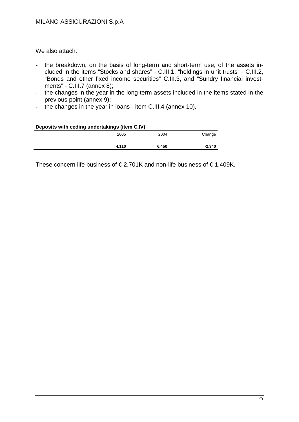We also attach:

- the breakdown, on the basis of long-term and short-term use, of the assets included in the items "Stocks and shares" - C.III.1, "holdings in unit trusts" - C.III.2, "Bonds and other fixed income securities" C.III.3, and "Sundry financial investments" - C.III.7 (annex 8);
- the changes in the year in the long-term assets included in the items stated in the previous point (annex 9);
- the changes in the year in loans item C.III.4 (annex 10).

| Deposits with ceding undertakings (item C.IV) |       |       |          |
|-----------------------------------------------|-------|-------|----------|
|                                               | 2005  | 2004  | Change   |
|                                               | 4.110 | 6.450 | $-2.340$ |
|                                               |       |       |          |

These concern life business of  $\epsilon$  2,701K and non-life business of  $\epsilon$  1,409K.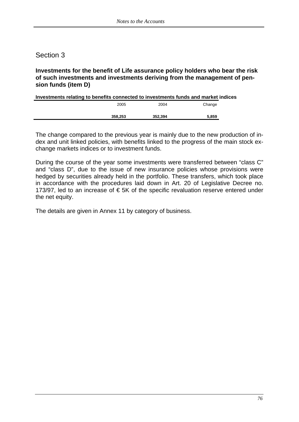### **Investments for the benefit of Life assurance policy holders who bear the risk of such investments and investments deriving from the management of pension funds (item D)**

| Investments relating to benefits connected to investments funds and market indices |         |        |
|------------------------------------------------------------------------------------|---------|--------|
| 2005                                                                               | 2004    | Change |
|                                                                                    |         |        |
| 358,253                                                                            | 352.394 | 5.859  |

The change compared to the previous year is mainly due to the new production of index and unit linked policies, with benefits linked to the progress of the main stock exchange markets indices or to investment funds.

During the course of the year some investments were transferred between "class C" and "class D", due to the issue of new insurance policies whose provisions were hedged by securities already held in the portfolio. These transfers, which took place in accordance with the procedures laid down in Art. 20 of Legislative Decree no. 173/97, led to an increase of  $\epsilon$  5K of the specific revaluation reserve entered under the net equity.

The details are given in Annex 11 by category of business.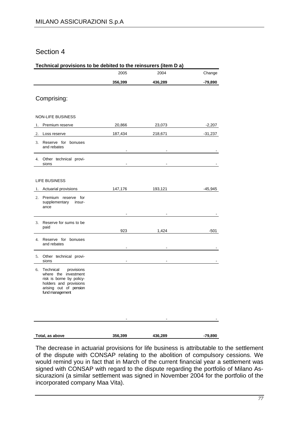| Technical provisions to be debited to the reinsurers (item D a) |                                                  |         |                |           |
|-----------------------------------------------------------------|--------------------------------------------------|---------|----------------|-----------|
|                                                                 |                                                  | 2005    | 2004           | Change    |
|                                                                 |                                                  | 356,399 | 436,289        | -79,890   |
|                                                                 |                                                  |         |                |           |
|                                                                 | Comprising:                                      |         |                |           |
|                                                                 |                                                  |         |                |           |
|                                                                 | <b>NON-LIFE BUSINESS</b>                         |         |                |           |
| 1.                                                              | Premium reserve                                  | 20,866  | 23,073         | $-2,207$  |
| 2.                                                              | Loss reserve                                     | 187,434 | 218,671        | $-31,237$ |
|                                                                 | 3. Reserve for bonuses                           |         |                |           |
|                                                                 | and rebates                                      |         |                |           |
|                                                                 | 4. Other technical provi-                        |         |                |           |
|                                                                 | sions                                            |         |                |           |
|                                                                 |                                                  |         |                |           |
|                                                                 | <b>LIFE BUSINESS</b>                             |         |                |           |
|                                                                 | 1. Actuarial provisions                          | 147,176 | 193,121        | -45,945   |
|                                                                 | 2. Premium reserve for<br>supplementary insur-   |         |                |           |
|                                                                 | ance                                             |         |                |           |
|                                                                 |                                                  |         |                |           |
|                                                                 | 3. Reserve for sums to be<br>paid                |         |                |           |
|                                                                 |                                                  | 923     | 1,424          | -501      |
|                                                                 | 4. Reserve for bonuses<br>and rebates            |         |                |           |
|                                                                 |                                                  |         |                |           |
|                                                                 | 5. Other technical provi-<br>sions               |         | $\blacksquare$ |           |
|                                                                 | 6. Technical provisions                          |         |                |           |
|                                                                 | where the investment<br>risk is borne by policy- |         |                |           |
|                                                                 | holders and provisions                           |         |                |           |
|                                                                 | arising out of pension<br>fund management        |         |                |           |
|                                                                 |                                                  |         |                |           |
|                                                                 |                                                  |         |                |           |
|                                                                 |                                                  |         |                |           |
|                                                                 |                                                  |         |                |           |
|                                                                 | Total, as above                                  | 356,399 | 436,289        | $-79,890$ |

The decrease in actuarial provisions for life business is attributable to the settlement of the dispute with CONSAP relating to the abolition of compulsory cessions. We would remind you in fact that in March of the current financial year a settlement was signed with CONSAP with regard to the dispute regarding the portfolio of Milano Assicurazioni (a similar settlement was signed in November 2004 for the portfolio of the incorporated company Maa Vita).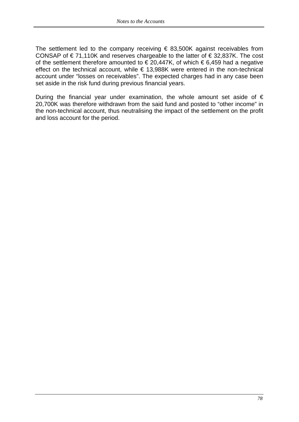The settlement led to the company receiving  $\epsilon$  83,500K against receivables from CONSAP of  $\epsilon$  71,110K and reserves chargeable to the latter of  $\epsilon$  32,837K. The cost of the settlement therefore amounted to  $\epsilon$  20,447K, of which  $\epsilon$  6,459 had a negative effect on the technical account, while  $\epsilon$  13,988K were entered in the non-technical account under "losses on receivables". The expected charges had in any case been set aside in the risk fund during previous financial years.

During the financial year under examination, the whole amount set aside of  $\epsilon$ 20,700K was therefore withdrawn from the said fund and posted to "other income" in the non-technical account, thus neutralising the impact of the settlement on the profit and loss account for the period.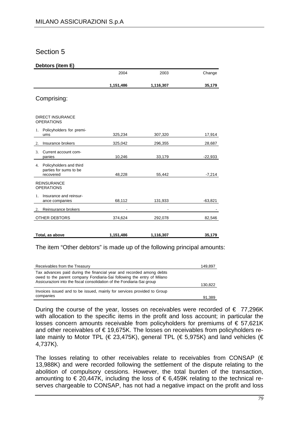#### **Debtors (item E)**

|                                                                      | 2004      | 2003      | Change    |
|----------------------------------------------------------------------|-----------|-----------|-----------|
|                                                                      | 1,151,486 | 1,116,307 | 35,179    |
| Comprising:                                                          |           |           |           |
| <b>DIRECT INSURANCE</b><br><b>OPERATIONS</b>                         |           |           |           |
| Policyholders for premi-<br>1.                                       |           |           |           |
| ums                                                                  | 325,234   | 307,320   | 17,914    |
| Insurance brokers<br>2.                                              | 325,042   | 296,355   | 28,687    |
| 3.<br>Current account com-<br>panies                                 | 10,246    | 33,179    | -22,933   |
| Policyholders and third<br>4.<br>parties for sums to be<br>recovered | 48,228    | 55,442    | $-7,214$  |
| <b>REINSURANCE</b><br><b>OPERATIONS</b>                              |           |           |           |
| Insurance and reinsur-<br>$1_{-}$<br>ance companies                  | 68,112    | 131,933   | $-63,821$ |
| 2. Reinsurance brokers                                               |           |           |           |
| OTHER DEBTORS                                                        | 374,624   | 292,078   | 82,546    |
| Total, as above                                                      | 1,151,486 | 1,116,307 | 35,179    |

The item "Other debtors" is made up of the following principal amounts:

| Receivables from the Treasury                                                                                                                                                                                            | 149,897 |
|--------------------------------------------------------------------------------------------------------------------------------------------------------------------------------------------------------------------------|---------|
| Tax advances paid during the financial year and recorded among debts<br>owed to the parent company Fondiaria-Sai following the entry of Milano<br>Assicurazioni into the fiscal consolidation of the Fondiaria-Sai group | 130,822 |
| Invoices issued and to be issued, mainly for services provided to Group<br>companies                                                                                                                                     | 91.389  |

During the course of the year, losses on receivables were recorded of  $\epsilon$  77,296K with allocation to the specific items in the profit and loss account; in particular the losses concern amounts receivable from policyholders for premiums of € 57,621K and other receivables of €19,675K. The losses on receivables from policyholders relate mainly to Motor TPL (€ 23,475K), general TPL (€ 5,975K) and land vehicles (€ 4,737K).

The losses relating to other receivables relate to receivables from CONSAP  $(\epsilon$ 13,988K) and were recorded following the settlement of the dispute relating to the abolition of compulsory cessions. However, the total burden of the transaction, amounting to  $\epsilon$  20,447K, including the loss of  $\epsilon$  6,459K relating to the technical reserves chargeable to CONSAP, has not had a negative impact on the profit and loss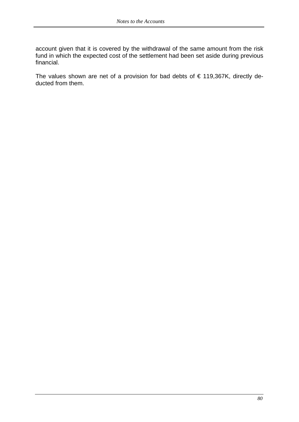account given that it is covered by the withdrawal of the same amount from the risk fund in which the expected cost of the settlement had been set aside during previous financial.

The values shown are net of a provision for bad debts of  $\epsilon$  119,367K, directly deducted from them.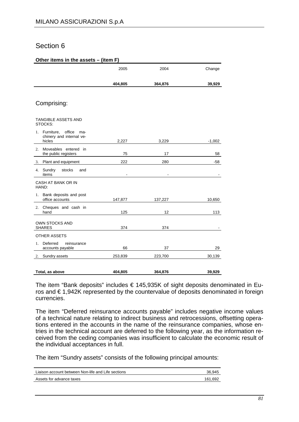#### **Other items in the assets – (item F)**

|                                                                      | 2005           | 2004           | Change   |
|----------------------------------------------------------------------|----------------|----------------|----------|
|                                                                      | 404,805        | 364,876        | 39,929   |
| Comprising:                                                          |                |                |          |
| <b>TANGIBLE ASSETS AND</b><br>STOCKS:                                |                |                |          |
| 1. Furniture,<br>office<br>ma-<br>chinery and internal ve-<br>hicles | 2,227          | 3,229          | $-1,002$ |
| Moveables entered in<br>2.<br>the public registers                   | 75             | 17             | 58       |
| Plant and equipment<br>3.                                            | 222            | 280            | -58      |
| 4. Sundry<br>stocks<br>and<br>items                                  | $\blacksquare$ | $\blacksquare$ |          |
| CASH AT BANK OR IN<br>HAND:                                          |                |                |          |
| Bank deposits and post<br>1.<br>office accounts                      | 147,877        | 137,227        | 10,650   |
| Cheques and cash in<br>2.<br>hand                                    | 125            | 12             | 113      |
| <b>OWN STOCKS AND</b><br><b>SHARES</b>                               | 374            | 374            |          |
| <b>OTHER ASSETS</b>                                                  |                |                |          |
| Deferred<br>reinsurance<br>$1_{-}$<br>accounts payable               | 66             | 37             | 29       |
| Sundry assets<br>2.                                                  | 253,839        | 223,700        | 30,139   |
| Total, as above                                                      | 404,805        | 364,876        | 39,929   |

The item "Bank deposits" includes € 145,935K of sight deposits denominated in Euros and € 1,942K represented by the countervalue of deposits denominated in foreign currencies.

The item "Deferred reinsurance accounts payable" includes negative income values of a technical nature relating to indirect business and retrocessions, offsetting operations entered in the accounts in the name of the reinsurance companies, whose entries in the technical account are deferred to the following year, as the information received from the ceding companies was insufficient to calculate the economic result of the individual acceptances in full.

The item "Sundry assets" consists of the following principal amounts:

| Liaison account between Non-life and Life sections | 36.945  |
|----------------------------------------------------|---------|
| Assets for advance taxes                           | 161.692 |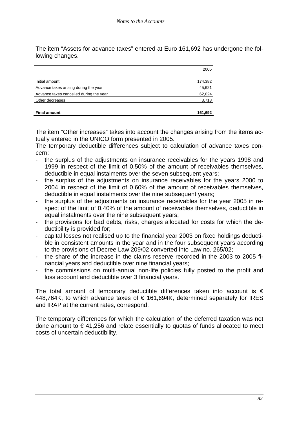The item "Assets for advance taxes" entered at Euro 161,692 has undergone the following changes.

|                                         | 2005    |
|-----------------------------------------|---------|
| Initial amount                          | 174,382 |
| Advance taxes arising during the year   | 45,621  |
| Advance taxes cancelled during the year | 62,024  |
| Other decreases                         | 3,713   |
| <b>Final amount</b>                     | 161,692 |

The item "Other increases" takes into account the changes arising from the items actually entered in the UNICO form presented in 2005.

The temporary deductible differences subject to calculation of advance taxes concern:

- the surplus of the adjustments on insurance receivables for the years 1998 and 1999 in respect of the limit of 0.50% of the amount of receivables themselves, deductible in equal instalments over the seven subsequent years;
- the surplus of the adjustments on insurance receivables for the years 2000 to 2004 in respect of the limit of 0.60% of the amount of receivables themselves, deductible in equal instalments over the nine subsequent years;
- the surplus of the adjustments on insurance receivables for the year 2005 in respect of the limit of 0.40% of the amount of receivables themselves, deductible in equal instalments over the nine subsequent years;
- the provisions for bad debts, risks, charges allocated for costs for which the deductibility is provided for;
- capital losses not realised up to the financial year 2003 on fixed holdings deductible in consistent amounts in the year and in the four subsequent years according to the provisions of Decree Law 209/02 converted into Law no. 265/02;
- the share of the increase in the claims reserve recorded in the 2003 to 2005 financial years and deductible over nine financial years;
- the commissions on multi-annual non-life policies fully posted to the profit and loss account and deductible over 3 financial years.

The total amount of temporary deductible differences taken into account is  $\epsilon$ 448,764K, to which advance taxes of  $\epsilon$  161,694K, determined separately for IRES and IRAP at the current rates, correspond.

The temporary differences for which the calculation of the deferred taxation was not done amount to  $\epsilon$  41,256 and relate essentially to quotas of funds allocated to meet costs of uncertain deductibility.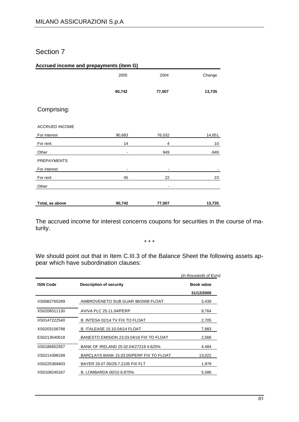#### **Accrued income and prepayments (item G)**

|                    | 2005   | 2004                     | Change |
|--------------------|--------|--------------------------|--------|
|                    |        |                          |        |
|                    | 90,742 | 77,007                   | 13,735 |
|                    |        |                          |        |
| Comprising:        |        |                          |        |
|                    |        |                          |        |
| ACCRUED INCOME     |        |                          |        |
| For interest       | 90,683 | 76,032                   | 14,651 |
| For rent           | 14     | $\overline{4}$           | 10     |
| Other              | -      | 949                      | -949   |
| <b>PREPAYMENTS</b> |        |                          |        |
| For interest       | -      | $\overline{\phantom{a}}$ |        |
| For rent           | 45     | 22                       | 23     |
| Other              |        | $\overline{a}$           |        |
|                    |        |                          |        |
| Total, as above    | 90,742 | 77,007                   | 13,735 |

The accrued income for interest concerns coupons for securities in the course of maturity.

\* \* \*

We should point out that in Item C.III.3 of the Balance Sheet the following assets appear which have subordination clauses:

|                  |                                          | (in thousands of Euro) |
|------------------|------------------------------------------|------------------------|
| <b>ISIN Code</b> | <b>Description of security</b>           | <b>Book value</b>      |
|                  |                                          | 31/12/2005             |
| XS0082765289     | AMBROVENETO SUB GUAR 98/2008 FLOAT       | 3,439                  |
| XS0206511130     | AVIVA PLC 25.11.04/PERP                  | 9,764                  |
| XS0147222540     | B. INTESA 02/14 TV FIX TO FLOAT          | 2,705                  |
| XS0203156798     | <b>B. ITALEASE 15.10.04/14 FLOAT</b>     | 7,983                  |
| ES0213540018     | BANESTO EMISION 23.03.04/16 FIX TO FLOAT | 2,566                  |
| XS0186652557     | BANK OF IRELAND 25.02.04/27219 4.625%    | 4.484                  |
| XS0214398199     | BARCLAYS BANK 15.03.05/PERP FIX TO FLOAT | 13,022                 |
| XS0225369403     | BAYER 29.07.05/29.7.2105 FIX FLT         | 1,979                  |
| XS0108245167     | B. LOMBARDA 00/10 6.875%                 | 5,586                  |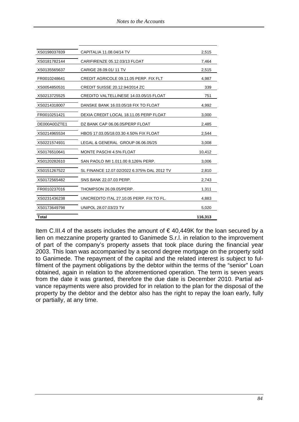| XS0198037839 | CAPITALIA 11.08.04/14 TV                      | 2,515   |
|--------------|-----------------------------------------------|---------|
| XS0181782144 | CARIFIRENZE 05.12.03/13 FLOAT                 | 7,464   |
| XS0135565637 | CARIGE 28.09.01/11 TV                         | 2,515   |
| FR0010248641 | CREDIT AGRICOLE 09.11.05 PERP. FIX FLT        | 4,987   |
| XS0054850531 | CREDIT SUISSE 20.12.94/2014 ZC                | 339     |
| XS0213725525 | <b>CREDITO VALTELLINESE 14.03.05/15 FLOAT</b> | 751     |
| XS0214318007 | DANSKE BANK 16.03.05/18 FIX TO FLOAT          | 4,992   |
| FR0010251421 | DEXIA CREDIT LOCAL 18.11.05 PERP FLOAT        | 3,000   |
| DE000A0DZTE1 | DZ BANK CAP 06.06.05/PERP FLOAT               | 2,485   |
| XS0214965534 | HBOS 17.03.05/18.03.30 4.50% FIX FLOAT        | 2,544   |
| XS0221574931 | LEGAL & GENERAL GROUP 06.06.05/25             | 3,008   |
| XS0176510641 | MONTE PASCHI 4.5% FLOAT                       | 10,412  |
| XS0120282610 | SAN PAOLO IMI 1.011.00 8.126% PERP.           | 3,006   |
| XS0151267522 | SL FINANCE 12.07.02/2022 6.375% DAL 2012 TV   | 2,810   |
| XS0172565482 | SNS BANK 22.07.03 PERP.                       | 2,743   |
| FR0010237016 | THOMPSON 26.09.05/PERP.                       | 1,311   |
| XS0231436238 | UNICREDITO ITAL 27.10.05 PERP. FIX TO FL.     | 4,883   |
| XS0173649798 | UNIPOL 28.07.03/23 TV                         | 5,020   |
| Total        |                                               | 116,313 |

Item C.III.4 of the assets includes the amount of €40,449K for the loan secured by a lien on mezzanine property granted to Ganimede S.r.l. in relation to the improvement of part of the company's property assets that took place during the financial year 2003. This loan was accompanied by a second degree mortgage on the property sold to Ganimede. The repayment of the capital and the related interest is subject to fulfilment of the payment obligations by the debtor within the terms of the "senior" Loan obtained, again in relation to the aforementioned operation. The term is seven years from the date it was granted, therefore the due date is December 2010. Partial advance repayments were also provided for in relation to the plan for the disposal of the property by the debtor and the debtor also has the right to repay the loan early, fully or partially, at any time.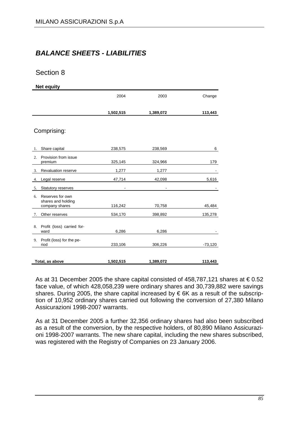# *BALANCE SHEETS - LIABILITIES*

## Section 8

**Net equity** 

|    |                                                          | 2004                     | 2003           | Change    |
|----|----------------------------------------------------------|--------------------------|----------------|-----------|
|    |                                                          | 1,502,515                | 1,389,072      | 113,443   |
|    | Comprising:                                              |                          |                |           |
| 1. | Share capital                                            | 238,575                  | 238,569        | 6         |
| 2. | Provision from issue<br>premium                          | 325,145                  | 324,966        | 179       |
| 3. | Revaluation reserve                                      | 1,277                    | 1,277          |           |
| 4. | Legal reserve                                            | 47,714                   | 42,098         | 5,616     |
| 5. | Statutory reserves                                       | $\overline{\phantom{a}}$ | $\blacksquare$ |           |
| 6. | Reserves for own<br>shares and holding<br>company shares | 116,242                  | 70,758         | 45,484    |
| 7. | Other reserves                                           | 534,170                  | 398,892        | 135,278   |
| 8. | Profit (loss) carried for-<br>ward                       | 6,286                    | 6,286          |           |
|    | 9. Profit (loss) for the pe-<br>riod                     | 233,106                  | 306,226        | $-73,120$ |
|    | Total, as above                                          | 1,502,515                | 1,389,072      | 113,443   |

As at 31 December 2005 the share capital consisted of 458,787,121 shares at  $\epsilon$  0.52 face value, of which 428,058,239 were ordinary shares and 30,739,882 were savings shares. During 2005, the share capital increased by  $\epsilon$  6K as a result of the subscription of 10,952 ordinary shares carried out following the conversion of 27,380 Milano Assicurazioni 1998-2007 warrants.

As at 31 December 2005 a further 32,356 ordinary shares had also been subscribed as a result of the conversion, by the respective holders, of 80,890 Milano Assicurazioni 1998-2007 warrants. The new share capital, including the new shares subscribed, was registered with the Registry of Companies on 23 January 2006.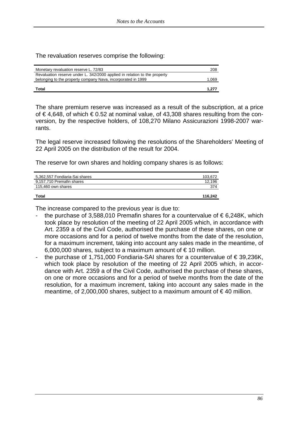The revaluation reserves comprise the following:

| Monetary revaluation reserve L. 72/83                                     | 208   |
|---------------------------------------------------------------------------|-------|
| Revaluation reserve under L. 342/2000 applied in relation to the property |       |
| belonging to the property company Nava, incorporated in 1999              | 1,069 |
|                                                                           |       |
| Total                                                                     | 1.277 |

The share premium reserve was increased as a result of the subscription, at a price of € 4,648, of which € 0.52 at nominal value, of 43,308 shares resulting from the conversion, by the respective holders, of 108,270 Milano Assicurazioni 1998-2007 warrants.

The legal reserve increased following the resolutions of the Shareholders' Meeting of 22 April 2005 on the distribution of the result for 2004.

The reserve for own shares and holding company shares is as follows:

| 5,362,557 Fondiaria-Sai shares<br>9,157,710 Premafin shares | 103,672<br>12,196 |
|-------------------------------------------------------------|-------------------|
| 115,460 own shares                                          | 374               |
| Total                                                       | 116.242           |

The increase compared to the previous year is due to:

- the purchase of 3,588,010 Premafin shares for a countervalue of  $\epsilon$  6,248K, which took place by resolution of the meeting of 22 April 2005 which, in accordance with Art. 2359 a of the Civil Code, authorised the purchase of these shares, on one or more occasions and for a period of twelve months from the date of the resolution, for a maximum increment, taking into account any sales made in the meantime, of 6,000,000 shares, subject to a maximum amount of  $\epsilon$  10 million.
- the purchase of 1,751,000 Fondiaria-SAI shares for a countervalue of  $\epsilon$  39,236K, which took place by resolution of the meeting of 22 April 2005 which, in accordance with Art. 2359 a of the Civil Code, authorised the purchase of these shares, on one or more occasions and for a period of twelve months from the date of the resolution, for a maximum increment, taking into account any sales made in the meantime, of 2,000,000 shares, subject to a maximum amount of  $\in$  40 million.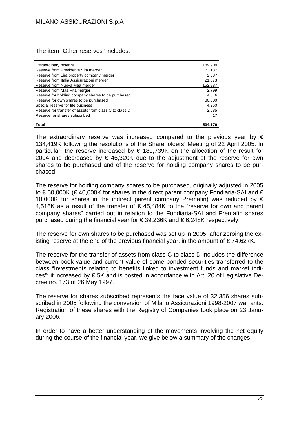The item "Other reserves" includes:

| Extraordinary reserve                                  | 189,909 |
|--------------------------------------------------------|---------|
| Reserve from Previdente Vita merger                    | 73,137  |
| Reserve from Lira property company merger              | 2,687   |
| Reserve from Italia Assicurazioni merger               | 21,873  |
| Reserve from Nuova Maa merger                          | 152,887 |
| Reserve from Maa Vita merger                           | 2,799   |
| Reserve for holding company shares to be purchased     | 4,516   |
| Reserve for own shares to be purchased                 | 80,000  |
| Special reserve for life business                      | 4,260   |
| Reserve for transfer of assets from class C to class D | 2,085   |
| Reserve for shares subscribed                          | 17      |
|                                                        |         |
| Total                                                  | 534.170 |

The extraordinary reserve was increased compared to the previous year by  $\epsilon$ 134,419K following the resolutions of the Shareholders' Meeting of 22 April 2005. In particular, the reserve increased by  $\epsilon$  180,739K on the allocation of the result for 2004 and decreased by € 46,320K due to the adjustment of the reserve for own shares to be purchased and of the reserve for holding company shares to be purchased.

The reserve for holding company shares to be purchased, originally adjusted in 2005 to € 50,000K (€ 40,000K for shares in the direct parent company Fondiaria-SAI and € 10,000K for shares in the indirect parent company Premafin) was reduced by  $\epsilon$ 4,516K as a result of the transfer of  $\epsilon$  45,484K to the "reserve for own and parent company shares" carried out in relation to the Fondiaria-SAI and Premafin shares purchased during the financial year for € 39,236K and € 6,248K respectively.

The reserve for own shares to be purchased was set up in 2005, after zeroing the existing reserve at the end of the previous financial year, in the amount of  $\epsilon$  74,627K.

The reserve for the transfer of assets from class C to class D includes the difference between book value and current value of some bonded securities transferred to the class "Investments relating to benefits linked to investment funds and market indices"; it increased by € 5K and is posted in accordance with Art. 20 of Legislative Decree no. 173 of 26 May 1997.

The reserve for shares subscribed represents the face value of 32,356 shares subscribed in 2005 following the conversion of Milano Assicurazioni 1998-2007 warrants. Registration of these shares with the Registry of Companies took place on 23 January 2006.

In order to have a better understanding of the movements involving the net equity during the course of the financial year, we give below a summary of the changes.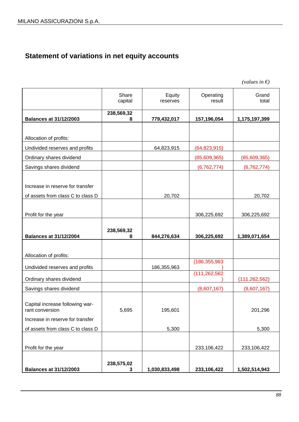# **Statement of variations in net equity accounts**

| <b>Balances at 31/12/2003</b>                            | 238,575,02<br>3  | 1,030,833,498      | 233,106,422         | 1,502,514,943           |
|----------------------------------------------------------|------------------|--------------------|---------------------|-------------------------|
| Profit for the year                                      |                  |                    | 233,106,422         | 233,106,422             |
| of assets from class C to class D                        |                  | 5,300              |                     | 5,300                   |
| Increase in reserve for transfer                         |                  |                    |                     |                         |
| Capital increase following war-<br>rant conversion       | 5,695            | 195,601            |                     | 201,296                 |
| Savings shares dividend                                  |                  |                    | (8,607,167)         | (8,607,167)             |
| Ordinary shares dividend                                 |                  |                    | (111, 262, 562)     | (111, 262, 562)         |
| Undivided reserves and profits                           |                  | 186,355,963        | (186, 355, 963)     |                         |
| Allocation of profits:                                   |                  |                    |                     |                         |
| <b>Balances at 31/12/2004</b>                            | 238,569,32<br>8  | 844,276,634        | 306,225,692         | 1,389,071,654           |
| Profit for the year                                      |                  |                    | 306,225,692         | 306,225,692             |
| of assets from class C to class D                        |                  | 20,702             |                     | 20,702                  |
| Increase in reserve for transfer                         |                  |                    |                     |                         |
| Savings shares dividend                                  |                  |                    | (6, 762, 774)       | (6, 762, 774)           |
| Ordinary shares dividend                                 |                  |                    | (85,609,365)        | (85,609,365)            |
| Allocation of profits:<br>Undivided reserves and profits |                  | 64,823,915         | (64, 823, 915)      |                         |
| <b>Balances at 31/12/2003</b>                            | 8                | 779,432,017        | 157,196,054         | 1,175,197,399           |
|                                                          | 238,569,32       |                    |                     |                         |
|                                                          | Share<br>capital | Equity<br>reserves | Operating<br>result | Grand<br>total          |
|                                                          |                  |                    |                     | (values in $\epsilon$ ) |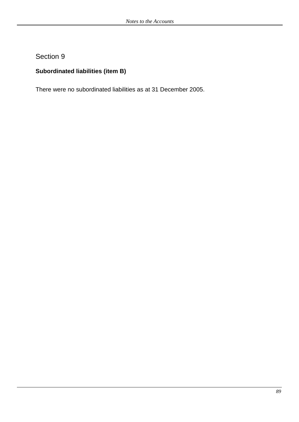# **Subordinated liabilities (item B)**

There were no subordinated liabilities as at 31 December 2005.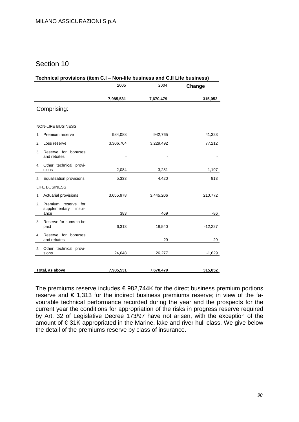| Technical provisions (item C.I - Non-life business and C.II Life business) |           |           |           |
|----------------------------------------------------------------------------|-----------|-----------|-----------|
|                                                                            | 2005      | 2004      | Change    |
|                                                                            | 7,985,531 | 7,670,479 | 315,052   |
| Comprising:                                                                |           |           |           |
|                                                                            |           |           |           |
| <b>NON-LIFE BUSINESS</b>                                                   |           |           |           |
| 1. Premium reserve                                                         | 984,088   | 942,765   | 41,323    |
| Loss reserve<br>2.                                                         | 3,306,704 | 3,229,492 | 77,212    |
| 3. Reserve for bonuses<br>and rebates                                      |           |           |           |
| 4. Other technical provi-<br>sions                                         | 2,084     | 3,281     | $-1,197$  |
| 5. Equalization provisions                                                 | 5,333     | 4,420     | 913       |
| <b>LIFE BUSINESS</b>                                                       |           |           |           |
| 1. Actuarial provisions                                                    | 3,655,978 | 3,445,206 | 210,772   |
| 2. Premium reserve for<br>supplementary insur-                             |           |           |           |
| ance                                                                       | 383       | 469       | -86       |
| 3. Reserve for sums to be<br>paid                                          | 6,313     | 18,540    | $-12,227$ |
| 4. Reserve for bonuses<br>and rebates                                      |           | 29        | $-29$     |
| 5. Other technical provi-<br>sions                                         | 24,648    | 26,277    | $-1,629$  |
|                                                                            |           |           |           |
| Total, as above                                                            | 7,985,531 | 7,670,479 | 315,052   |

The premiums reserve includes  $\epsilon$  982,744K for the direct business premium portions reserve and € 1,313 for the indirect business premiums reserve; in view of the favourable technical performance recorded during the year and the prospects for the current year the conditions for appropriation of the risks in progress reserve required by Art. 32 of Legislative Decree 173/97 have not arisen, with the exception of the amount of € 31K appropriated in the Marine, lake and river hull class. We give below the detail of the premiums reserve by class of insurance.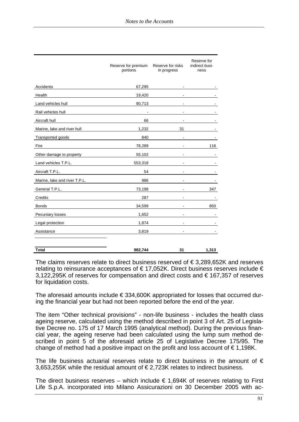|                               | Reserve for premium<br>portions | Reserve for risks<br>in progress | Reserve for<br>indirect busi-<br>ness |
|-------------------------------|---------------------------------|----------------------------------|---------------------------------------|
| Accidents                     | 67,295                          |                                  |                                       |
| Health                        | 19,420                          |                                  |                                       |
| Land vehicles hull            | 90,713                          |                                  |                                       |
| Rail vehicles hull            |                                 |                                  |                                       |
| Aircraft hull                 | 66                              |                                  |                                       |
| Marine, lake and river hull   | 1,232                           | 31                               |                                       |
| Transported goods             | 840                             |                                  |                                       |
| Fire                          | 78,289                          |                                  | 116                                   |
| Other damage to property      | 55,102                          |                                  |                                       |
| Land vehicles T.P.L.          | 553,318                         |                                  |                                       |
| Aircraft T.P.L.               | 54                              |                                  |                                       |
| Marine, lake and river T.P.L. | 986                             |                                  |                                       |
| General T.P.L.                | 73,198                          |                                  | 347                                   |
| Credits                       | 287                             |                                  |                                       |
| <b>Bonds</b>                  | 34,599                          |                                  | 850                                   |
| Pecuniary losses              | 1,652                           |                                  |                                       |
| Legal protection              | 1,874                           | $\blacksquare$                   |                                       |
| Assistance                    | 3,819                           |                                  |                                       |
|                               |                                 |                                  |                                       |

**Total 982,744 31 1,313** 

The claims reserves relate to direct business reserved of  $\epsilon$  3,289,652K and reserves relating to reinsurance acceptances of  $\epsilon$  17,052K. Direct business reserves include  $\epsilon$ 3,122,295K of reserves for compensation and direct costs and € 167,357 of reserves for liquidation costs.

The aforesaid amounts include  $\epsilon$  334,600K appropriated for losses that occurred during the financial year but had not been reported before the end of the year.

The item "Other technical provisions" - non-life business - includes the health class ageing reserve, calculated using the method described in point 3 of Art. 25 of Legislative Decree no. 175 of 17 March 1995 (analytical method). During the previous financial year, the ageing reserve had been calculated using the lump sum method described in point 5 of the aforesaid article 25 of Legislative Decree 175/95. The change of method had a positive impact on the profit and loss account of  $\epsilon$  1,198K.

The life business actuarial reserves relate to direct business in the amount of  $\epsilon$ 3,653,255K while the residual amount of € 2,723K relates to indirect business.

The direct business reserves – which include  $\epsilon$  1,694K of reserves relating to First Life S.p.A. incorporated into Milano Assicurazioni on 30 December 2005 with ac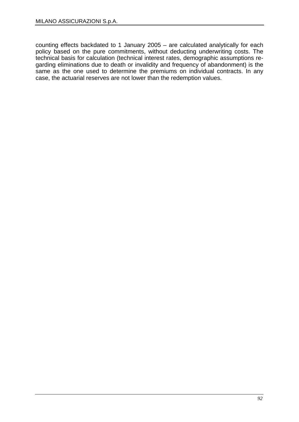counting effects backdated to 1 January 2005 – are calculated analytically for each policy based on the pure commitments, without deducting underwriting costs. The technical basis for calculation (technical interest rates, demographic assumptions regarding eliminations due to death or invalidity and frequency of abandonment) is the same as the one used to determine the premiums on individual contracts. In any case, the actuarial reserves are not lower than the redemption values.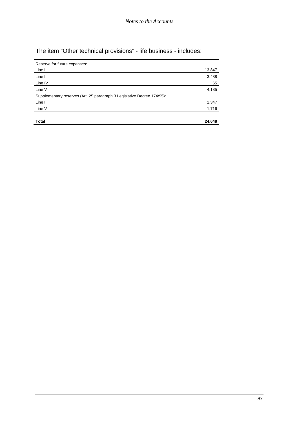The item "Other technical provisions" - life business - includes:

| Reserve for future expenses:                                            |        |
|-------------------------------------------------------------------------|--------|
| Line I                                                                  | 13,847 |
| Line III                                                                | 3,488  |
| Line IV                                                                 | 65     |
| Line V                                                                  | 4,185  |
| Supplementary reserves (Art. 25 paragraph 3 Legislative Decree 174/95): |        |
| Line I                                                                  | 1,347  |
| Line V                                                                  | 1,716  |
|                                                                         |        |
| Total                                                                   | 24,648 |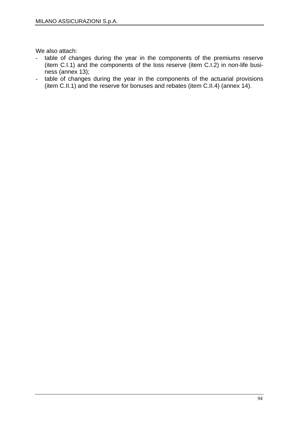We also attach:

- table of changes during the year in the components of the premiums reserve (item C.I.1) and the components of the loss reserve (item C.I.2) in non-life business (annex 13);
- table of changes during the year in the components of the actuarial provisions (item C.II.1) and the reserve for bonuses and rebates (item C.II.4) (annex 14).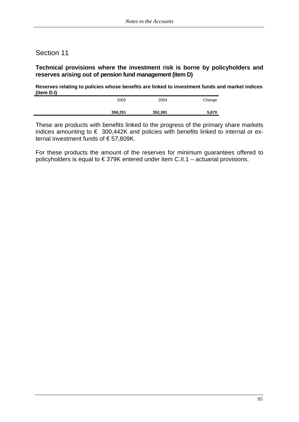### **Technical provisions where the investment risk is borne by policyholders and reserves arising out of pension fund management (item D)**

**Reserves relating to policies whose benefits are linked to investment funds and market indices (item D.I)** 

| 358,251 | 352,381 | 5,870  |
|---------|---------|--------|
| 2005    | 2004    | Change |

These are products with benefits linked to the progress of the primary share markets indices amounting to  $\epsilon$  300,442K and policies with benefits linked to internal or external investment funds of € 57,809K.

For these products the amount of the reserves for minimum guarantees offered to policyholders is equal to  $\epsilon$  379K entered under item C.II.1 – actuarial provisions.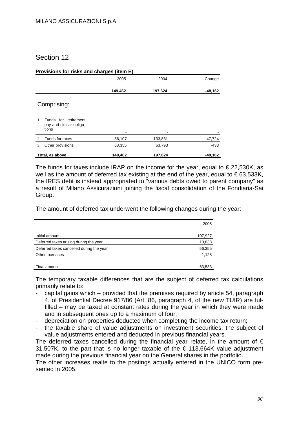| Provisions for risks and charges (item E)                         |         |         |           |  |
|-------------------------------------------------------------------|---------|---------|-----------|--|
|                                                                   | 2005    | 2004    | Change    |  |
|                                                                   | 149,462 | 197,624 | $-48,162$ |  |
| Comprising:                                                       |         |         |           |  |
| Funds for retirement<br>$1$ .<br>pay and similar obliga-<br>tions | -       |         |           |  |
| Funds for taxes<br>$\mathfrak{D}$                                 | 86,107  | 133,831 | $-47,724$ |  |
| Other provisions<br>3.                                            | 63,355  | 63,793  | -438      |  |
| Total, as above                                                   | 149,462 | 197,624 | $-48,162$ |  |

The funds for taxes include IRAP on the income for the year, equal to  $\epsilon$  22,530K, as well as the amount of deferred tax existing at the end of the year, equal to  $\epsilon$ 63,533K, the IRES debt is instead appropriated to "various debts owed to parent company" as a result of Milano Assicurazioni joining the fiscal consolidation of the Fondiaria-Sai Group.

The amount of deferred tax underwent the following changes during the year:

|                                          | 2005    |
|------------------------------------------|---------|
| Initial amount                           | 107,927 |
| Deferred taxes arising during the year   | 10,833  |
| Deferred taxes cancelled during the year | 56,355  |
| Other increases                          | 1,128   |
| Final amount                             | 63.533  |

The temporary taxable differences that are the subject of deferred tax calculations primarily relate to:

- capital gains which provided that the premises required by article 54, paragraph 4, of Presidential Decree 917/86 (Art. 86, paragraph 4, of the new TUIR) are fulfilled – may be taxed at constant rates during the year in which they were made and in subsequent ones up to a maximum of four;
- depreciation on properties deducted when completing the income tax return;
- the taxable share of value adjustments on investment securities, the subject of value adjustments entered and deducted in previous financial years.

The deferred taxes cancelled during the financial year relate, in the amount of  $\epsilon$ 31,507K, to the part that is no longer taxable of the  $\epsilon$  113,664K value adjustment made during the previous financial year on the General shares in the portfolio.

The other increases realte to the postings actually entered in the UNICO form presented in 2005.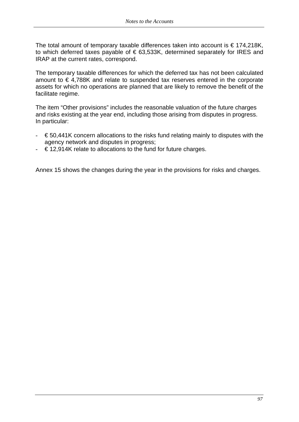The total amount of temporary taxable differences taken into account is  $\epsilon$  174,218K, to which deferred taxes payable of  $\epsilon$  63,533K, determined separately for IRES and IRAP at the current rates, correspond.

The temporary taxable differences for which the deferred tax has not been calculated amount to € 4,788K and relate to suspended tax reserves entered in the corporate assets for which no operations are planned that are likely to remove the benefit of the facilitate regime.

The item "Other provisions" includes the reasonable valuation of the future charges and risks existing at the year end, including those arising from disputes in progress. In particular:

- $\epsilon$  50,441K concern allocations to the risks fund relating mainly to disputes with the agency network and disputes in progress;
- $\epsilon$  12.914K relate to allocations to the fund for future charges.

Annex 15 shows the changes during the year in the provisions for risks and charges.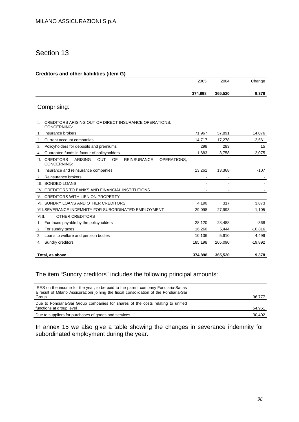#### **Creditors and other liabilities (item G)**

|                                                                                                         | 2005           | 2004    | Change    |
|---------------------------------------------------------------------------------------------------------|----------------|---------|-----------|
|                                                                                                         | 374,898        | 365,520 | 9,378     |
| Comprising:                                                                                             |                |         |           |
|                                                                                                         |                |         |           |
| CREDITORS ARISING OUT OF DIRECT INSURANCE OPERATIONS.<br>L<br>CONCERNING:                               |                |         |           |
| Insurance brokers<br>1.                                                                                 | 71,967         | 57,891  | 14,076    |
| 2.<br>Current account companies                                                                         | 14,717         | 17,278  | $-2,561$  |
| Policyholders for deposits and premiums<br>3.                                                           | 298            | 283     | 15        |
| Guarantee funds in favour of policyholders<br>4.                                                        | 1,683          | 3,758   | $-2,075$  |
| II. CREDITORS<br><b>ARISING</b><br><b>OUT</b><br>OF<br><b>REINSURANCE</b><br>OPERATIONS,<br>CONCERNING: |                |         |           |
| Insurance and reinsurance companies<br>-1.                                                              | 13,261         | 13,368  | $-107$    |
| Reinsurance brokers<br>2.                                                                               | ٠              |         |           |
| III. BONDED LOANS                                                                                       |                |         |           |
| IV. CREDITORS TO BANKS AND FINANCIAL INSTITUTIONS                                                       |                |         |           |
| V. CREDITORS WITH LIEN ON PROPERTY                                                                      | $\blacksquare$ |         |           |
| VI. SUNDRY LOANS AND OTHER CREDITORS                                                                    | 4,190          | 317     | 3,873     |
| VII. SEVERANCE INDEMNITY FOR SUBORDINATED EMPLOYMENT                                                    | 29,098         | 27,993  | 1,105     |
| <b>OTHER CREDITORS</b><br>VIII.                                                                         |                |         |           |
| For taxes payable by the policyholders<br>1.                                                            | 28,120         | 28,488  | $-368$    |
| For sundry taxes<br>2.                                                                                  | 16,260         | 5,444   | $-10,816$ |
| Loans to welfare and pension bodies<br>3.                                                               | 10,106         | 5,610   | 4,496     |
| Sundry creditors<br>4.                                                                                  | 185,198        | 205,090 | $-19,892$ |
|                                                                                                         |                |         |           |
| Total, as above                                                                                         | 374,898        | 365,520 | 9,378     |

### The item "Sundry creditors" includes the following principal amounts:

| IRES on the income for the year, to be paid to the parent company Fondiaria-Sai as<br>a result of Milano Assicurazioni joining the fiscal consolidation of the Fondiaria-Sai |        |
|------------------------------------------------------------------------------------------------------------------------------------------------------------------------------|--------|
| Group.                                                                                                                                                                       | 96,777 |
| Due to Fondiaria-Sai Group companies for shares of the costs relating to unified                                                                                             |        |
| functions at group level                                                                                                                                                     | 54,951 |
| Due to suppliers for purchases of goods and services                                                                                                                         | 30,402 |

In annex 15 we also give a table showing the changes in severance indemnity for subordinated employment during the year.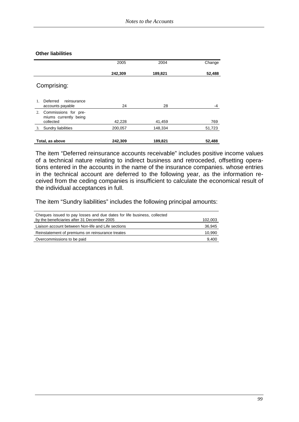#### **Other liabilities**

|                                                                  | 2005    | 2004    | Change |
|------------------------------------------------------------------|---------|---------|--------|
|                                                                  | 242,309 | 189,821 | 52,488 |
| Comprising:                                                      |         |         |        |
| Deferred<br>reinsurance<br>1<br>accounts payable                 | 24      | 28      | -4     |
| Commissions for pre-<br>2.<br>miums currently being<br>collected | 42,228  | 41,459  | 769    |
| Sundry liabilities<br>3.                                         | 200,057 | 148,334 | 51,723 |
| Total, as above                                                  | 242,309 | 189,821 | 52,488 |

The item "Deferred reinsurance accounts receivable" includes positive income values of a technical nature relating to indirect business and retroceded, offsetting operations entered in the accounts in the name of the insurance companies. whose entries in the technical account are deferred to the following year, as the information received from the ceding companies is insufficient to calculate the economical result of the individual acceptances in full.

The item "Sundry liabilities" includes the following principal amounts:

| Cheques issued to pay losses and due dates for life business, collected<br>by the beneficiaries after 31 December 2005 | 102,003 |
|------------------------------------------------------------------------------------------------------------------------|---------|
| Liaison account between Non-life and Life sections                                                                     | 36,945  |
| Reinstatement of premiums on reinsurance treates                                                                       | 10.990  |
| Overcommissions to be paid                                                                                             | 9.400   |
|                                                                                                                        |         |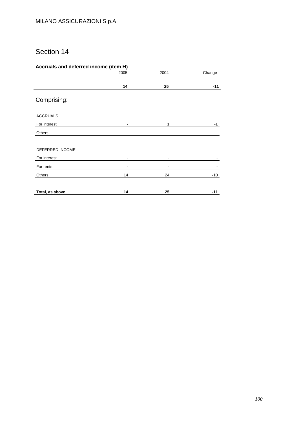### **Accruals and deferred income (item H)**

|                 | 2005 | 2004 | Change |
|-----------------|------|------|--------|
|                 |      |      |        |
|                 | 14   | 25   | $-11$  |
| Comprising:     |      |      |        |
| <b>ACCRUALS</b> |      |      |        |
| For interest    |      | 1    | $-1$   |
| Others          |      |      |        |
|                 |      |      |        |
| DEFERRED INCOME |      |      |        |
| For interest    |      |      |        |
| For rents       |      |      |        |
| Others          | 14   | 24   | $-10$  |
| Total, as above | 14   | 25   | $-11$  |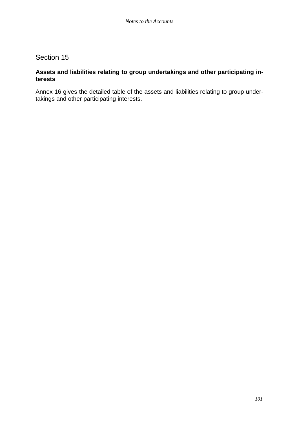### **Assets and liabilities relating to group undertakings and other participating interests**

Annex 16 gives the detailed table of the assets and liabilities relating to group undertakings and other participating interests.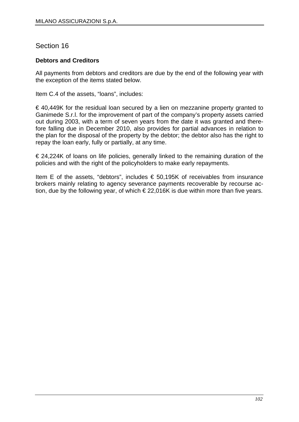### **Debtors and Creditors**

All payments from debtors and creditors are due by the end of the following year with the exception of the items stated below.

Item C.4 of the assets, "loans", includes:

 $\epsilon$  40,449K for the residual loan secured by a lien on mezzanine property granted to Ganimede S.r.l. for the improvement of part of the company's property assets carried out during 2003, with a term of seven years from the date it was granted and therefore falling due in December 2010, also provides for partial advances in relation to the plan for the disposal of the property by the debtor; the debtor also has the right to repay the loan early, fully or partially, at any time.

 $\epsilon$  24,224K of loans on life policies, generally linked to the remaining duration of the policies and with the right of the policyholders to make early repayments.

Item E of the assets, "debtors", includes € 50,195K of receivables from insurance brokers mainly relating to agency severance payments recoverable by recourse action, due by the following year, of which  $\epsilon$  22,016K is due within more than five years.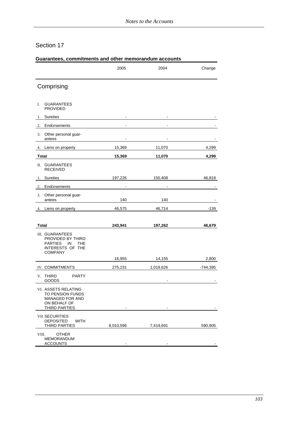|                                                                                                                         | 2005      | 2004                                    | Change     |
|-------------------------------------------------------------------------------------------------------------------------|-----------|-----------------------------------------|------------|
| Comprising:                                                                                                             |           |                                         |            |
| <b>GUARANTEES</b><br>I.<br><b>PROVIDED</b>                                                                              |           |                                         |            |
| <b>Sureties</b><br>1.                                                                                                   |           | $\sim$ 100 $\sim$ 100 $\sim$ 100 $\sim$ |            |
| Endorsements<br>2.                                                                                                      |           |                                         |            |
| Other personal guar-<br>3.<br>antees                                                                                    |           |                                         |            |
| Liens on property <b>Example 20</b><br>4.                                                                               | 15,369    | 11,070                                  | 4,299      |
| Total                                                                                                                   | 15,369    | 11,070                                  | 4,299      |
| II. GUARANTEES<br><b>RECEIVED</b>                                                                                       |           |                                         |            |
| Sureties<br>1.                                                                                                          | 197,226   | 150,408                                 | 46,818     |
| Endorsements<br>2.                                                                                                      |           |                                         |            |
| 3. Other personal guar-<br>antees                                                                                       | 140       | 140                                     |            |
| Liens on property<br>4.                                                                                                 | 46,575    | 46,714                                  | $-139$     |
| <b>Total</b>                                                                                                            | 243,941   | 197,262                                 | 46,679     |
| III. GUARANTEES<br>PROVIDED BY THIRD<br><b>PARTIES</b><br><b>IN</b><br><b>THE</b><br>INTERESTS OF THE<br><b>COMPANY</b> |           |                                         |            |
|                                                                                                                         | 16,955    | 14,155                                  | 2,800      |
| IV. COMMITMENTS                                                                                                         | 275,231   | 1,019,626                               | $-744,395$ |
| <b>PARTY</b><br>V. THIRD<br>GOODS                                                                                       |           |                                         |            |
| VI. ASSETS RELATING<br>TO PENSION FUNDS<br><b>MANAGED FOR AND</b><br>ON BEHALF OF<br>THIRD PARTIES                      |           |                                         |            |
| <b>VII. SECURITIES</b><br><b>DEPOSITED</b><br>WITH<br><b>THIRD PARTIES</b>                                              | 8,010,596 | 7,419,691                               | 590,905    |
| <b>OTHER</b><br>VIII.<br><b>MEMORANDUM</b><br><b>ACCOUNTS</b>                                                           |           |                                         |            |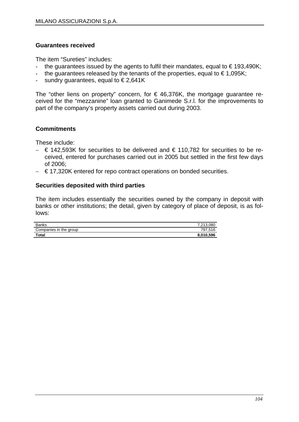### **Guarantees received**

The item "Sureties" includes:

- the guarantees issued by the agents to fulfil their mandates, equal to  $\epsilon$  193,490K;
- the guarantees released by the tenants of the properties, equal to  $\epsilon$  1,095K;
- sundry guarantees, equal to  $\in$  2,641K

The "other liens on property" concern, for  $\epsilon$  46,376K, the mortgage guarantee received for the "mezzanine" loan granted to Ganimede S.r.l. for the improvements to part of the company's property assets carried out during 2003.

### **Commitments**

These include:

- − € 142,593K for securities to be delivered and € 110,782 for securities to be received, entered for purchases carried out in 2005 but settled in the first few days of 2006;
- − € 17,320K entered for repo contract operations on bonded securities.

### **Securities deposited with third parties**

The item includes essentially the securities owned by the company in deposit with banks or other institutions; the detail, given by category of place of deposit, is as follows:

| Banks                  | 7,213,080 |
|------------------------|-----------|
| Companies in the group | 797.516   |
| <b>Total</b>           | 8,010,596 |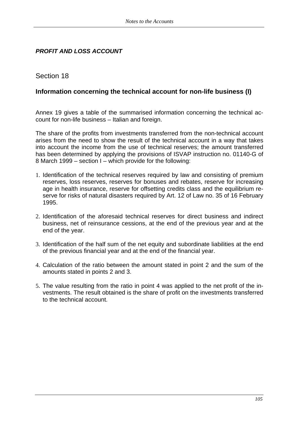## *PROFIT AND LOSS ACCOUNT*

## Section 18

### **Information concerning the technical account for non-life business (I)**

Annex 19 gives a table of the summarised information concerning the technical account for non-life business – Italian and foreign.

The share of the profits from investments transferred from the non-technical account arises from the need to show the result of the technical account in a way that takes into account the income from the use of technical reserves; the amount transferred has been determined by applying the provisions of ISVAP instruction no. 01140-G of 8 March 1999 – section I – which provide for the following:

- 1. Identification of the technical reserves required by law and consisting of premium reserves, loss reserves, reserves for bonuses and rebates, reserve for increasing age in health insurance, reserve for offsetting credits class and the equilibrium reserve for risks of natural disasters required by Art. 12 of Law no. 35 of 16 February 1995.
- 2. Identification of the aforesaid technical reserves for direct business and indirect business, net of reinsurance cessions, at the end of the previous year and at the end of the year.
- 3. Identification of the half sum of the net equity and subordinate liabilities at the end of the previous financial year and at the end of the financial year.
- 4. Calculation of the ratio between the amount stated in point 2 and the sum of the amounts stated in points 2 and 3.
- 5. The value resulting from the ratio in point 4 was applied to the net profit of the investments. The result obtained is the share of profit on the investments transferred to the technical account.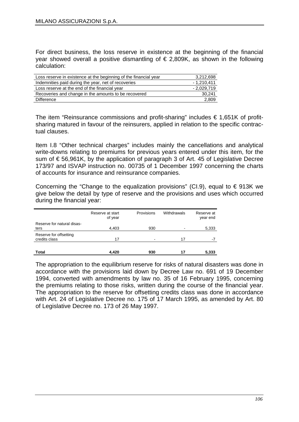For direct business, the loss reserve in existence at the beginning of the financial vear showed overall a positive dismantling of  $\epsilon$  2.809K, as shown in the following calculation:

| 3,212,698    |
|--------------|
| $-1,210,411$ |
| $-2,029,719$ |
| 30,241       |
| 2,809        |
|              |

The item "Reinsurance commissions and profit-sharing" includes  $\epsilon$  1,651K of profitsharing matured in favour of the reinsurers, applied in relation to the specific contractual clauses.

Item I.8 "Other technical charges" includes mainly the cancellations and analytical write-downs relating to premiums for previous years entered under this item, for the sum of € 56,961K, by the application of paragraph 3 of Art. 45 of Legislative Decree 173/97 and ISVAP instruction no. 00735 of 1 December 1997 concerning the charts of accounts for insurance and reinsurance companies.

Concerning the "Change to the equalization provisions" (CI.9), equal to  $\epsilon$  913K we give below the detail by type of reserve and the provisions and uses which occurred during the financial year:

|                                         | Reserve at start<br>of year | Provisions | Withdrawals | Reserve at<br>year end |
|-----------------------------------------|-----------------------------|------------|-------------|------------------------|
| Reserve for natural disas-<br>ters      | 4,403                       | 930        |             | 5,333                  |
| Reserve for offsetting<br>credits class | 17                          |            | 17          | $-7$                   |
| Total                                   | 4,420                       | 930        | 17          | 5,333                  |

The appropriation to the equilibrium reserve for risks of natural disasters was done in accordance with the provisions laid down by Decree Law no. 691 of 19 December 1994, converted with amendments by law no. 35 of 16 February 1995, concerning the premiums relating to those risks, written during the course of the financial year. The appropriation to the reserve for offsetting credits class was done in accordance with Art. 24 of Legislative Decree no. 175 of 17 March 1995, as amended by Art. 80 of Legislative Decree no. 173 of 26 May 1997.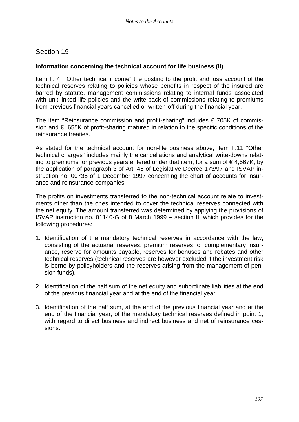### **Information concerning the technical account for life business (II)**

Item II. 4 "Other technical income" the posting to the profit and loss account of the technical reserves relating to policies whose benefits in respect of the insured are barred by statute, management commissions relating to internal funds associated with unit-linked life policies and the write-back of commissions relating to premiums from previous financial years cancelled or written-off during the financial year.

The item "Reinsurance commission and profit-sharing" includes  $\epsilon$  705K of commission and  $\epsilon$  655K of profit-sharing matured in relation to the specific conditions of the reinsurance treaties.

As stated for the technical account for non-life business above, item II.11 "Other technical charges" includes mainly the cancellations and analytical write-downs relating to premiums for previous years entered under that item, for a sum of  $\epsilon$ 4,567K, by the application of paragraph 3 of Art. 45 of Legislative Decree 173/97 and ISVAP instruction no. 00735 of 1 December 1997 concerning the chart of accounts for insurance and reinsurance companies.

The profits on investments transferred to the non-technical account relate to investments other than the ones intended to cover the technical reserves connected with the net equity. The amount transferred was determined by applying the provisions of ISVAP instruction no. 01140-G of 8 March 1999 – section II, which provides for the following procedures:

- 1. Identification of the mandatory technical reserves in accordance with the law, consisting of the actuarial reserves, premium reserves for complementary insurance, reserve for amounts payable, reserves for bonuses and rebates and other technical reserves (technical reserves are however excluded if the investment risk is borne by policyholders and the reserves arising from the management of pension funds).
- 2. Identification of the half sum of the net equity and subordinate liabilities at the end of the previous financial year and at the end of the financial year.
- 3. Identification of the half sum, at the end of the previous financial year and at the end of the financial year, of the mandatory technical reserves defined in point 1, with regard to direct business and indirect business and net of reinsurance cessions.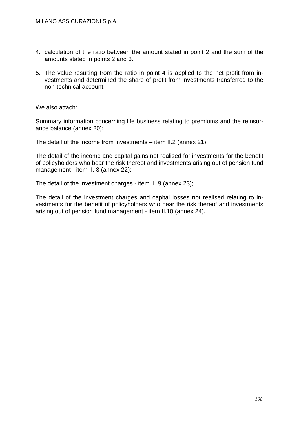- 4. calculation of the ratio between the amount stated in point 2 and the sum of the amounts stated in points 2 and 3.
- 5. The value resulting from the ratio in point 4 is applied to the net profit from investments and determined the share of profit from investments transferred to the non-technical account.

We also attach:

Summary information concerning life business relating to premiums and the reinsurance balance (annex 20);

The detail of the income from investments – item II.2 (annex 21);

The detail of the income and capital gains not realised for investments for the benefit of policyholders who bear the risk thereof and investments arising out of pension fund management - item II. 3 (annex 22);

The detail of the investment charges - item II. 9 (annex 23);

The detail of the investment charges and capital losses not realised relating to investments for the benefit of policyholders who bear the risk thereof and investments arising out of pension fund management - item II.10 (annex 24).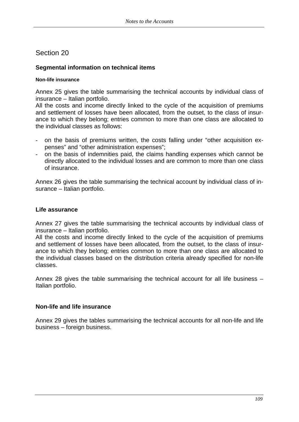# Section 20

# **Segmental information on technical items**

### **Non-life insurance**

Annex 25 gives the table summarising the technical accounts by individual class of insurance – Italian portfolio.

All the costs and income directly linked to the cycle of the acquisition of premiums and settlement of losses have been allocated, from the outset, to the class of insurance to which they belong; entries common to more than one class are allocated to the individual classes as follows:

- on the basis of premiums written, the costs falling under "other acquisition expenses" and "other administration expenses";
- on the basis of indemnities paid, the claims handling expenses which cannot be directly allocated to the individual losses and are common to more than one class of insurance.

Annex 26 gives the table summarising the technical account by individual class of insurance – Italian portfolio.

## **Life assurance**

Annex 27 gives the table summarising the technical accounts by individual class of insurance – Italian portfolio.

All the costs and income directly linked to the cycle of the acquisition of premiums and settlement of losses have been allocated, from the outset, to the class of insurance to which they belong; entries common to more than one class are allocated to the individual classes based on the distribution criteria already specified for non-life classes.

Annex 28 gives the table summarising the technical account for all life business – Italian portfolio.

# **Non-life and life insurance**

Annex 29 gives the tables summarising the technical accounts for all non-life and life business – foreign business.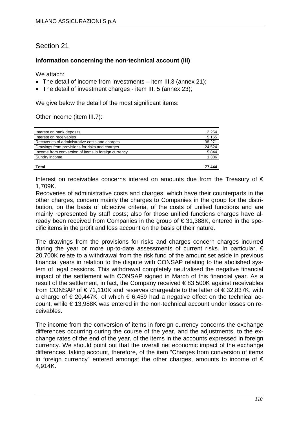# Section 21

# **Information concerning the non-technical account (III)**

We attach:

- The detail of income from investments item III.3 (annex 21);
- The detail of investment charges item III. 5 (annex 23);

We give below the detail of the most significant items:

Other income (item III.7):

| Interest on bank deposits                           | 2,254  |
|-----------------------------------------------------|--------|
| Interest on receivables                             | 5,165  |
| Recoveries of administrative costs and charges      | 38,271 |
| Drawings from provisions for risks and charges      | 24,524 |
| Income from conversion of items in foreign currency | 5,844  |
| Sundry income                                       | 1,386  |
| <b>Total</b>                                        | 77.444 |

Interest on receivables concerns interest on amounts due from the Treasury of  $\epsilon$ 1,709K.

Recoveries of administrative costs and charges, which have their counterparts in the other charges, concern mainly the charges to Companies in the group for the distribution, on the basis of objective criteria, of the costs of unified functions and are mainly represented by staff costs; also for those unified functions charges have already been received from Companies in the group of € 31,388K, entered in the specific items in the profit and loss account on the basis of their nature.

The drawings from the provisions for risks and charges concern charges incurred during the year or more up-to-date assessments of current risks. In particular, € 20,700K relate to a withdrawal from the risk fund of the amount set aside in previous financial years in relation to the dispute with CONSAP relating to the abolished system of legal cessions. This withdrawal completely neutralised the negative financial impact of the settlement with CONSAP signed in March of this financial year. As a result of the settlement, in fact, the Company received  $\epsilon$ 83,500K against receivables from CONSAP of € 71,110K and reserves chargeable to the latter of € 32,837K, with a charge of  $\epsilon$  20,447K, of which  $\epsilon$  6,459 had a negative effect on the technical account, while € 13,988K was entered in the non-technical account under losses on receivables.

The income from the conversion of items in foreign currency concerns the exchange differences occurring during the course of the year, and the adjustments, to the exchange rates of the end of the year, of the items in the accounts expressed in foreign currency. We should point out that the overall net economic impact of the exchange differences, taking account, therefore, of the item "Charges from conversion of items in foreign currency" entered amongst the other charges, amounts to income of  $\epsilon$ 4,914K.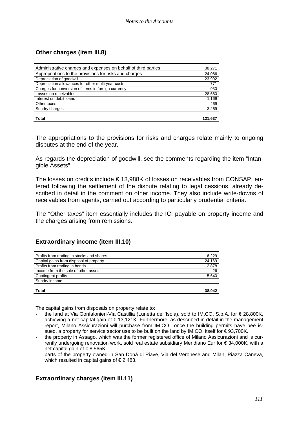# **Other charges (item III.8)**

| Administrative charges and expenses on behalf of third parties | 38,271  |
|----------------------------------------------------------------|---------|
| Appropriations to the provisions for risks and charges         | 24,086  |
| Depreciation of goodwill                                       | 23,992  |
| Depreciation allowances for other multi-year costs             | 771     |
| Charges for conversion of items in foreign currency            | 930     |
| Losses on receivables                                          | 28,680  |
| Interest on debit loans                                        | 1,169   |
| Other taxes                                                    | 469     |
| Sundry charges                                                 | 3,269   |
|                                                                |         |
| <b>Total</b>                                                   | 121.637 |

The appropriations to the provisions for risks and charges relate mainly to ongoing disputes at the end of the year.

As regards the depreciation of goodwill, see the comments regarding the item "Intangible Assets".

The losses on credits include € 13,988K of losses on receivables from CONSAP, entered following the settlement of the dispute relating to legal cessions, already described in detail in the comment on other income. They also include write-downs of receivables from agents, carried out according to particularly prudential criteria.

The "Other taxes" item essentially includes the ICI payable on property income and the charges arising from remissions.

### **Extraordinary income (item III.10)**

| Profits from trading in stocks and shares | 6,229  |
|-------------------------------------------|--------|
| Capital gains from disposal of property   | 24,169 |
| Profits from trading in bonds             | 2,878  |
| Income from the sale of other assets      | 26     |
| Contingent profits                        | 5,640  |
| Sundry income                             |        |
| Total                                     | 38.942 |

The capital gains from disposals on property relate to:

- the land at Via Gonfalonieri-Via Castillia (Lunetta dell'Isola), sold to IM.CO. S.p.A. for € 28,800K, achieving a net capital gain of € 13,121K. Furthermore, as described in detail in the management report, Milano Assicurazioni will purchase from IM.CO., once the building permits have bee issued, a property for service sector use to be built on the land by IM.CO. itself for €93,700K.
- the property in Assago, which was the former registered office of Milano Assicurazioni and is currently undergoing renovation work, sold real estate subsidiary Meridiano Eur for € 34,000K, with a net capital gain of  $\epsilon$ 8.565K.
- parts of the property owned in San Donà di Piave, Via del Veronese and Milan, Piazza Caneva, which resulted in capital gains of  $\epsilon$  2,483.

# **Extraordinary charges (item III.11)**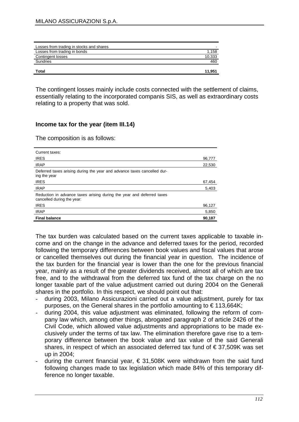| Losses from trading in stocks and shares |        |
|------------------------------------------|--------|
| Losses from trading in bonds             | 1,158  |
| Contingent losses                        | 10,333 |
| Sundries                                 | 460    |
| Total                                    | 11.951 |

The contingent losses mainly include costs connected with the settlement of claims, essentially relating to the incorporated companis SIS, as well as extraordinary costs relating to a property that was sold.

### **Income tax for the year (item III.14)**

The composition is as follows:

| Current taxes:                                                                                      |        |
|-----------------------------------------------------------------------------------------------------|--------|
| <b>IRES</b>                                                                                         | 96,777 |
| <b>IRAP</b>                                                                                         | 22,530 |
| Deferred taxes arising during the year and advance taxes cancelled dur-<br>ing the year             |        |
| <b>IRES</b>                                                                                         | 67,454 |
| <b>IRAP</b>                                                                                         | 5,403  |
| Reduction in advance taxes arising during the year and deferred taxes<br>cancelled during the year: |        |
| <b>IRES</b>                                                                                         | 96,127 |
| <b>IRAP</b>                                                                                         | 5,850  |
| <b>Final balance</b>                                                                                | 90,187 |

The tax burden was calculated based on the current taxes applicable to taxable income and on the change in the advance and deferred taxes for the period, recorded following the temporary differences between book values and fiscal values that arose or cancelled themselves out during the financial year in question. The incidence of the tax burden for the financial year is lower than the one for the previous financial year, mainly as a result of the greater dividends received, almost all of which are tax free, and to the withdrawal from the deferred tax fund of the tax charge on the no longer taxable part of the value adjustment carried out during 2004 on the Generali shares in the portfolio. In this respect, we should point out that:

- during 2003, Milano Assicurazioni carried out a value adjustment, purely for tax purposes, on the General shares in the portfolio amounting to  $\epsilon$  113,664K;
- during 2004, this value adjustment was eliminated, following the reform of company law which, among other things, abrogated paragraph 2 of article 2426 of the Civil Code, which allowed value adjustments and appropriations to be made exclusively under the terms of tax law. The elimination therefore gave rise to a temporary difference between the book value and tax value of the said Generali shares, in respect of which an associated deferred tax fund of  $\in$  37,509K was set up in 2004;
- during the current financial year,  $\epsilon$  31,508K were withdrawn from the said fund following changes made to tax legislation which made 84% of this temporary difference no longer taxable.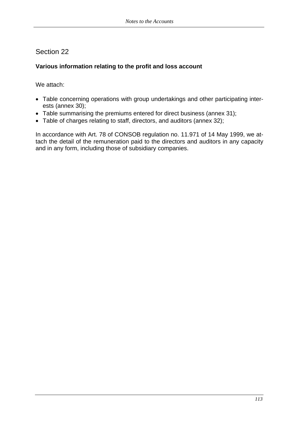# Section 22

# **Various information relating to the profit and loss account**

We attach:

- Table concerning operations with group undertakings and other participating interests (annex 30);
- Table summarising the premiums entered for direct business (annex 31);
- Table of charges relating to staff, directors, and auditors (annex 32);

In accordance with Art. 78 of CONSOB regulation no. 11.971 of 14 May 1999, we attach the detail of the remuneration paid to the directors and auditors in any capacity and in any form, including those of subsidiary companies.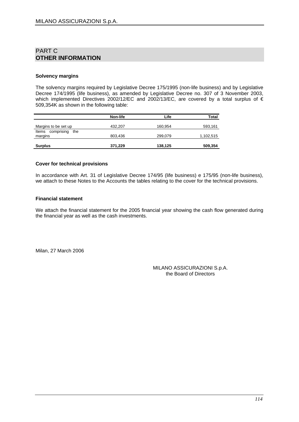## PART C **OTHER INFORMATION**

#### **Solvency margins**

The solvency margins required by Legislative Decree 175/1995 (non-life business) and by Legislative Decree 174/1995 (life business), as amended by Legislative Decree no. 307 of 3 November 2003, which implemented Directives 2002/12/EC and 2002/13/EC, are covered by a total surplus of € 509,354K as shown in the following table:

|                                       | Non-life | Life    | <b>Total</b> |
|---------------------------------------|----------|---------|--------------|
| Margins to be set up                  | 432,207  | 160,954 | 593,161      |
| comprising<br>Items<br>the<br>margins | 803,436  | 299,079 | 1,102,515    |
| <b>Surplus</b>                        | 371,229  | 138,125 | 509,354      |

#### **Cover for technical provisions**

In accordance with Art. 31 of Legislative Decree 174/95 (life business) e 175/95 (non-life business), we attach to these Notes to the Accounts the tables relating to the cover for the technical provisions.

#### **Financial statement**

We attach the financial statement for the 2005 financial year showing the cash flow generated during the financial year as well as the cash investments.

Milan, 27 March 2006

MILANO ASSICURAZIONI S.p.A. the Board of Directors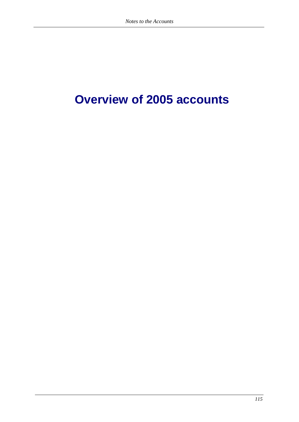# **Overview of 2005 accounts**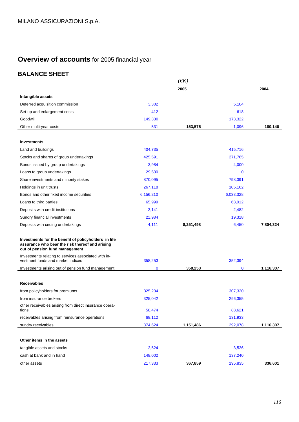# **Overview of accounts** for 2005 financial year

# **BALANCE SHEET**

|                                                                                                                                           |           | $(\epsilon K)$ |             |           |
|-------------------------------------------------------------------------------------------------------------------------------------------|-----------|----------------|-------------|-----------|
|                                                                                                                                           |           | 2005           |             | 2004      |
| Intangible assets                                                                                                                         |           |                |             |           |
| Deferred acquisition commission                                                                                                           | 3,302     |                | 5,104       |           |
| Set-up and enlargement costs                                                                                                              | 412       |                | 618         |           |
| Goodwill                                                                                                                                  | 149,330   |                | 173,322     |           |
| Other multi-year costs                                                                                                                    | 531       | 153,575        | 1,096       | 180,140   |
|                                                                                                                                           |           |                |             |           |
| <b>Investments</b>                                                                                                                        |           |                |             |           |
| Land and buildings                                                                                                                        | 404.735   |                | 415,716     |           |
| Stocks and shares of group undertakings                                                                                                   | 425,591   |                | 271,765     |           |
| Bonds issued by group undertakings                                                                                                        | 3,984     |                | 4,000       |           |
| Loans to group undertakings                                                                                                               | 29,530    |                | $\Omega$    |           |
| Share investments and minority stakes                                                                                                     | 870,095   |                | 798,091     |           |
| Holdings in unit trusts                                                                                                                   | 267,118   |                | 185,162     |           |
| Bonds and other fixed income securities                                                                                                   | 6,156,210 |                | 6,033,328   |           |
| Loans to third parties                                                                                                                    | 65,999    |                | 68,012      |           |
| Deposits with credit institutions                                                                                                         | 2,141     |                | 2,482       |           |
| Sundry financial investments                                                                                                              | 21,984    |                | 19,318      |           |
| Deposits with ceding undertakings                                                                                                         | 4,111     | 8,251,498      | 6,450       | 7,804,324 |
| Investments for the benefit of policyholders in life<br>assurance who bear the risk thereof and arising<br>out of pension fund management |           |                |             |           |
| Investments relating to services associated with in-<br>vestment funds and market indices                                                 | 358,253   |                | 352,394     |           |
| Investments arising out of pension fund management                                                                                        | 0         | 358,253        | $\mathbf 0$ | 1,116,307 |
|                                                                                                                                           |           |                |             |           |
| <b>Receivables</b>                                                                                                                        |           |                |             |           |
| from policyholders for premiums                                                                                                           | 325,234   |                | 307,320     |           |
| from insurance brokers                                                                                                                    | 325,042   |                | 296,355     |           |
| other receivables arising from direct insurance opera-<br>tions                                                                           | 58,474    |                | 88,621      |           |
| receivables arising from reinsurance operations                                                                                           | 68,112    |                | 131,933     |           |
| sundry receivables                                                                                                                        | 374,624   | 1,151,486      | 292,078     | 1,116,307 |
|                                                                                                                                           |           |                |             |           |
| Other items in the assets                                                                                                                 |           |                |             |           |
| tangible assets and stocks                                                                                                                | 2,524     |                | 3,526       |           |
| cash at bank and in hand                                                                                                                  | 148,002   |                | 137,240     |           |
| other assets                                                                                                                              | 217,333   | 367,859        | 195,835     | 336,601   |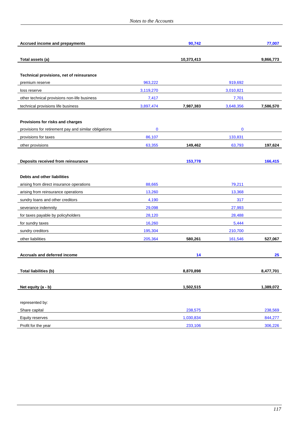| Accrued income and prepayments                        |           | 90,742     |             | 77,007    |
|-------------------------------------------------------|-----------|------------|-------------|-----------|
|                                                       |           |            |             |           |
| Total assets (a)                                      |           | 10,373,413 |             | 9,866,773 |
|                                                       |           |            |             |           |
| Technical provisions, net of reinsurance              |           |            |             |           |
| premium reserve                                       | 963,222   |            | 919,692     |           |
| loss reserve                                          | 3,119,270 |            | 3,010,821   |           |
| other technical provisions non-life business          | 7,417     |            | 7,701       |           |
| technical provisions life business                    | 3,897,474 | 7,987,383  | 3,648,356   | 7,586,570 |
| Provisions for risks and charges                      |           |            |             |           |
| provisions for retirement pay and similar obligations | $\bf{0}$  |            | $\mathbf 0$ |           |
| provisions for taxes                                  | 86,107    |            | 133,831     |           |
| other provisions                                      | 63,355    | 149,462    | 63,793      | 197,624   |
|                                                       |           |            |             |           |
| Deposits received from reinsurance                    |           | 153,778    |             | 166,415   |
|                                                       |           |            |             |           |
| Debts and other liabilities                           |           |            |             |           |
| arising from direct insurance operations              | 88,665    |            | 79,211      |           |
| arising from reinsurance operations                   | 13,260    |            | 13,368      |           |
| sundry loans and other creditors                      | 4,190     |            | 317         |           |
| severance indemnity                                   | 29,098    |            | 27,993      |           |
| for taxes payable by policyholders                    | 28,120    |            | 28,488      |           |
| for sundry taxes                                      | 16,260    |            | 5,444       |           |
| sundry creditors                                      | 195,304   |            | 210,700     |           |
| other liabilities                                     | 205,364   | 580,261    | 161,546     | 527,067   |
|                                                       |           |            |             |           |
| <b>Accruals and deferred income</b>                   |           | 14         |             | 25        |
|                                                       |           |            |             |           |
| Total liabilities (b)                                 |           | 8,870,898  |             | 8,477,701 |
|                                                       |           |            |             |           |
| Net equity $(a - b)$                                  |           | 1,502,515  |             | 1,389,072 |
|                                                       |           |            |             |           |
| represented by:                                       |           |            |             |           |
| Share capital                                         |           | 238,575    |             | 238,569   |
| Equity reserves                                       |           | 1,030,834  |             | 844,277   |
| Profit for the year                                   |           | 233,106    |             | 306,226   |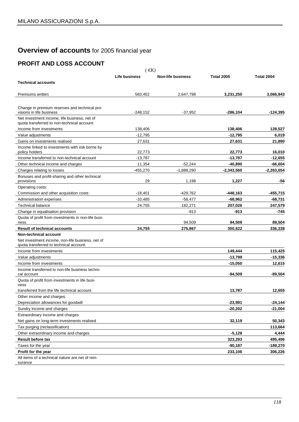# **Overview of accounts** for 2005 financial year

# **PROFIT AND LOSS ACCOUNT**

| (EK)                                                                     |               |                          |                   |                   |  |
|--------------------------------------------------------------------------|---------------|--------------------------|-------------------|-------------------|--|
|                                                                          | Life business | <b>Non-life business</b> | <b>Total 2005</b> | <b>Total 2004</b> |  |
| <b>Technical accounts</b>                                                |               |                          |                   |                   |  |
|                                                                          |               |                          |                   |                   |  |
| Premiums written                                                         | 583,452       | 2,647,798                | 3,231,250         | 3,066,943         |  |
|                                                                          |               |                          |                   |                   |  |
| Change in premium reserves and technical pro-                            |               |                          |                   |                   |  |
| visions in life business<br>Net investment income, life business, net of | $-248,152$    | $-37,952$                | $-286,104$        | $-124,395$        |  |
| quota transferred to non-technical account:                              |               |                          |                   |                   |  |
| Income from investments                                                  | 138,406       |                          | 138,406           | 128,527           |  |
| Value adjustments                                                        | $-12.795$     |                          | -12,795           | 6,019             |  |
| Gains on investments realised                                            | 27,631        |                          | 27,631            | 21,890            |  |
| Income linked to investments with risk borne by<br>policy holders        | 22,773        |                          | 22,773            | 16,010            |  |
| Income transferred to non-technical account                              | $-13,787$     |                          | $-13,787$         | -12,655           |  |
| Other technical income and charges                                       | 11,354        | $-52,244$                | -40,890           | -66,604           |  |
| Charges relating to losses                                               | $-455.270$    | $-1.888.290$             | $-2,343,560$      | $-2,263,654$      |  |
| Bonuses and profit-sharing and other technical                           |               |                          |                   |                   |  |
| provisions                                                               | 29            | 1,198                    | 1,227             | -56               |  |
| Operating costs:                                                         |               |                          |                   |                   |  |
| Commission and other acquisition costs                                   | $-18.401$     | $-429,762$               | -448,163          | $-455,715$        |  |
| Administration expenses                                                  | $-10,485$     | $-58,477$                | $-68,962$         | $-68,731$         |  |
| <b>Technical balance</b>                                                 | 24,755        | 182,271                  | 207,026           | 247,579           |  |
| Change in equalisation provision                                         |               | -913                     | -913              | -745              |  |
| Quota of profit from investments in non-life busi-                       |               | 94,509                   | 94,509            | 89,504            |  |
| ness<br><b>Result of technical accounts</b>                              | 24,755        | 275,867                  | 300,622           | 336,338           |  |
| Non-technical account                                                    |               |                          |                   |                   |  |
| Net investment income, non-life business, net of                         |               |                          |                   |                   |  |
| quota transferred to technical account:                                  |               |                          |                   |                   |  |
| Income from investments                                                  |               |                          | 149,444           | 115,425           |  |
| Value adjustments                                                        |               |                          | $-13,799$         | $-15,336$         |  |
| Income from investments                                                  |               |                          | $-15,050$         | 12,615            |  |
| Income transferred to non-life business techni-<br>cal account           |               |                          | -94,509           | $-89,504$         |  |
| Quota of profit from investments in life busi-<br>ness                   |               |                          |                   |                   |  |
| transferred from the life technical account                              |               |                          | 13.787            | 12,655            |  |
| Other income and charges:                                                |               |                          |                   |                   |  |
| Depreciation allowances for goodwill                                     |               |                          | $-23,991$         | $-24,144$         |  |
| Sundry income and charges                                                |               |                          | $-20,202$         | $-21,004$         |  |
| Extraordinary income and charges                                         |               |                          |                   |                   |  |
| Net gains on long-term investments realised                              |               |                          | 32,119            | 50,343            |  |
| Tax purging (reclassification)                                           |               |                          |                   | 113,664           |  |
| Other extraordinary income and charges                                   |               |                          | $-5,128$          | 4,444             |  |
| <b>Result before tax</b>                                                 |               |                          | 323,293           | 495,496           |  |
| Taxes for the year                                                       |               |                          | $-90,187$         | -189,270          |  |
| Profit for the year                                                      |               |                          | 233,106           | 306,226           |  |
| All items of a technical nature are net of rein-                         |               |                          |                   |                   |  |

surance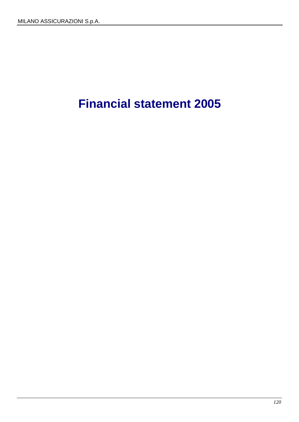# **Financial statement 2005**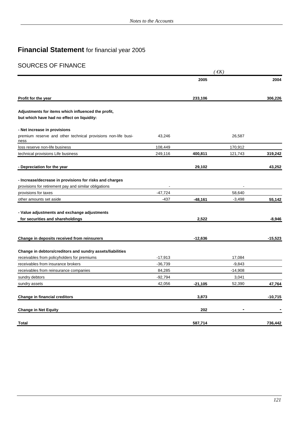# **Financial Statement** for financial year 2005

# SOURCES OF FINANCE

|                                                                              |                     | 2005      |                    | 2004      |
|------------------------------------------------------------------------------|---------------------|-----------|--------------------|-----------|
| Profit for the year                                                          |                     | 233,106   |                    | 306,226   |
| Adjustments for items which influenced the profit,                           |                     |           |                    |           |
| but which have had no effect on liquidity:                                   |                     |           |                    |           |
| - Net increase in provisions                                                 |                     |           |                    |           |
| premium reserve and other technical provisions non-life busi-<br>ness        | 43,246              |           | 26,587             |           |
| loss reserve non-life business                                               | 108,449             |           | 170,912            |           |
| technical provisions Life business                                           | 249,116             | 400,811   | 121,743            | 319,242   |
| - Depreciation for the year                                                  |                     | 29,102    |                    | 43,252    |
| - Increase/decrease in provisions for risks and charges                      |                     |           |                    |           |
| provisions for retirement pay and similar obligations                        |                     |           |                    |           |
| provisions for taxes                                                         | $-47,724$           |           | 58,640             |           |
| other amounts set aside                                                      | $-437$              | -48,161   | $-3,498$           | 55,142    |
| - Value adjustments and exchange adjustments                                 |                     |           |                    |           |
| for securities and shareholdings                                             |                     | 2,522     |                    | $-8,946$  |
| Change in deposits received from reinsurers                                  |                     | $-12,636$ |                    | $-15,523$ |
|                                                                              |                     |           |                    |           |
| Change in debtors/creditors and sundry assets/liabilities                    |                     |           |                    |           |
| receivables from policyholders for premiums                                  | $-17,913$           |           | 17,084<br>$-9,843$ |           |
| receivables from insurance brokers<br>receivables from reinsurance companies | $-36,739$<br>84,285 |           | $-14,908$          |           |
| sundry debtors                                                               | $-92,794$           |           | 3,041              |           |
| sundry assets                                                                | 42,056              | $-21,105$ | 52,390             | 47,764    |
| <b>Change in financial creditors</b>                                         |                     | 3,873     |                    | $-10,715$ |
|                                                                              |                     |           |                    |           |
| <b>Change in Net Equity</b>                                                  |                     | 202       |                    |           |
| Total                                                                        |                     | 587,714   |                    | 736,442   |